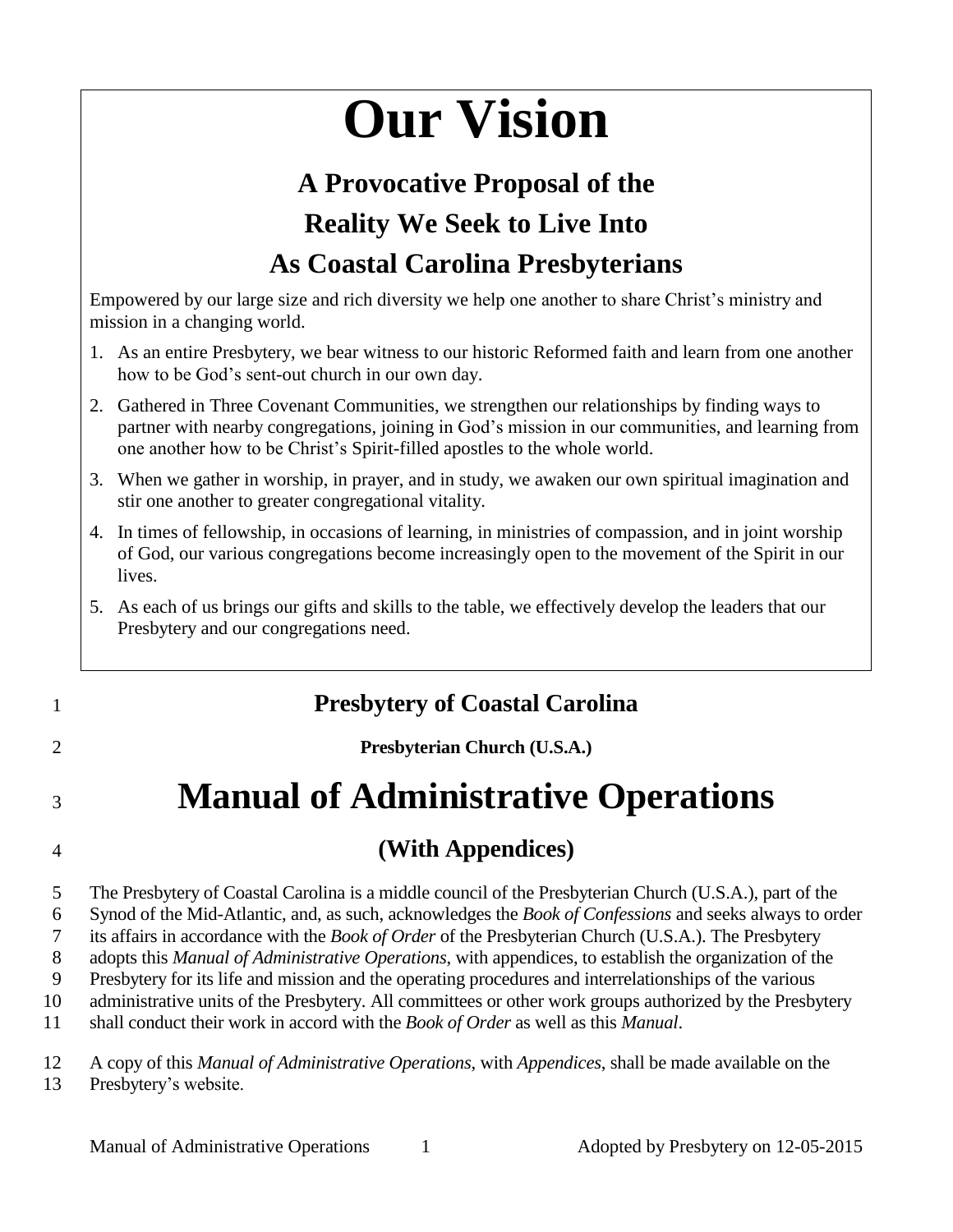# **Our Vision**

## **A Provocative Proposal of the Reality We Seek to Live Into As Coastal Carolina Presbyterians**

Empowered by our large size and rich diversity we help one another to share Christ's ministry and mission in a changing world.

- 1. As an entire Presbytery, we bear witness to our historic Reformed faith and learn from one another how to be God's sent-out church in our own day.
- 2. Gathered in Three Covenant Communities, we strengthen our relationships by finding ways to partner with nearby congregations, joining in God's mission in our communities, and learning from one another how to be Christ's Spirit-filled apostles to the whole world.
- 3. When we gather in worship, in prayer, and in study, we awaken our own spiritual imagination and stir one another to greater congregational vitality.
- 4. In times of fellowship, in occasions of learning, in ministries of compassion, and in joint worship of God, our various congregations become increasingly open to the movement of the Spirit in our lives.
- 5. As each of us brings our gifts and skills to the table, we effectively develop the leaders that our Presbytery and our congregations need.

## 1 **Presbytery of Coastal Carolina**

2 **Presbyterian Church (U.S.A.)**

## <sup>3</sup> **Manual of Administrative Operations**

## 4 **(With Appendices)**

5 The Presbytery of Coastal Carolina is a middle council of the Presbyterian Church (U.S.A.), part of the

6 Synod of the Mid-Atlantic, and, as such, acknowledges the *Book of Confessions* and seeks always to order

7 its affairs in accordance with the *Book of Order* of the Presbyterian Church (U.S.A.). The Presbytery

8 adopts this *Manual of Administrative Operations*, with appendices, to establish the organization of the 9 Presbytery for its life and mission and the operating procedures and interrelationships of the various

10 administrative units of the Presbytery. All committees or other work groups authorized by the Presbytery

11 shall conduct their work in accord with the *Book of Order* as well as this *Manual*.

12 A copy of this *Manual of Administrative Operations*, with *Appendices*, shall be made available on the 13 Presbytery's website.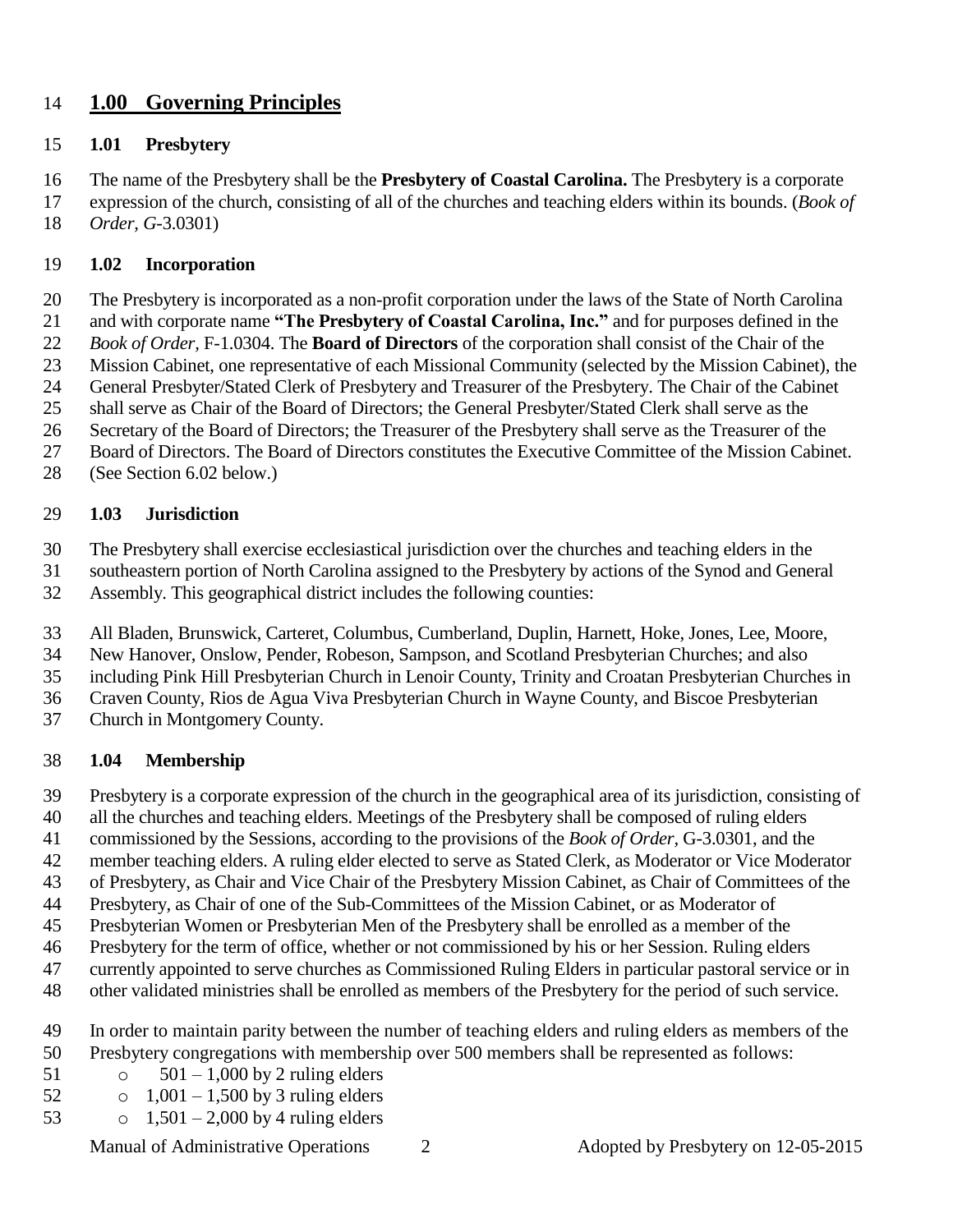#### **1.00 Governing Principles**

#### **1.01 Presbytery**

The name of the Presbytery shall be the **Presbytery of Coastal Carolina.** The Presbytery is a corporate

expression of the church, consisting of all of the churches and teaching elders within its bounds. (*Book of* 

*Order, G*-3.0301)

#### **1.02 Incorporation**

The Presbytery is incorporated as a non-profit corporation under the laws of the State of North Carolina

and with corporate name **"The Presbytery of Coastal Carolina, Inc."** and for purposes defined in the

*Book of Order,* F-1.0304. The **Board of Directors** of the corporation shall consist of the Chair of the

- Mission Cabinet, one representative of each Missional Community (selected by the Mission Cabinet), the
- General Presbyter/Stated Clerk of Presbytery and Treasurer of the Presbytery. The Chair of the Cabinet
- shall serve as Chair of the Board of Directors; the General Presbyter/Stated Clerk shall serve as the
- Secretary of the Board of Directors; the Treasurer of the Presbytery shall serve as the Treasurer of the
- Board of Directors. The Board of Directors constitutes the Executive Committee of the Mission Cabinet.
- (See Section 6.02 below.)

#### **1.03 Jurisdiction**

The Presbytery shall exercise ecclesiastical jurisdiction over the churches and teaching elders in the

southeastern portion of North Carolina assigned to the Presbytery by actions of the Synod and General

Assembly. This geographical district includes the following counties:

All Bladen, Brunswick, Carteret, Columbus, Cumberland, Duplin, Harnett, Hoke, Jones, Lee, Moore,

New Hanover, Onslow, Pender, Robeson, Sampson, and Scotland Presbyterian Churches; and also

including Pink Hill Presbyterian Church in Lenoir County, Trinity and Croatan Presbyterian Churches in

Craven County, Rios de Agua Viva Presbyterian Church in Wayne County, and Biscoe Presbyterian

Church in Montgomery County.

#### **1.04 Membership**

- Presbytery is a corporate expression of the church in the geographical area of its jurisdiction, consisting of
- all the churches and teaching elders. Meetings of the Presbytery shall be composed of ruling elders
- commissioned by the Sessions, according to the provisions of the *Book of Order,* G-3.0301, and the
- member teaching elders. A ruling elder elected to serve as Stated Clerk, as Moderator or Vice Moderator
- of Presbytery, as Chair and Vice Chair of the Presbytery Mission Cabinet, as Chair of Committees of the
- Presbytery, as Chair of one of the Sub-Committees of the Mission Cabinet, or as Moderator of
- Presbyterian Women or Presbyterian Men of the Presbytery shall be enrolled as a member of the
- Presbytery for the term of office, whether or not commissioned by his or her Session. Ruling elders
- currently appointed to serve churches as Commissioned Ruling Elders in particular pastoral service or in
- other validated ministries shall be enrolled as members of the Presbytery for the period of such service.
- In order to maintain parity between the number of teaching elders and ruling elders as members of the Presbytery congregations with membership over 500 members shall be represented as follows:
- 51  $\circ$  501 1,000 by 2 ruling elders
- 52  $\circ$  1,001 1,500 by 3 ruling elders
- 53 0 1,501 2,000 by 4 ruling elders

Manual of Administrative Operations 2 Adopted by Presbytery on 12-05-2015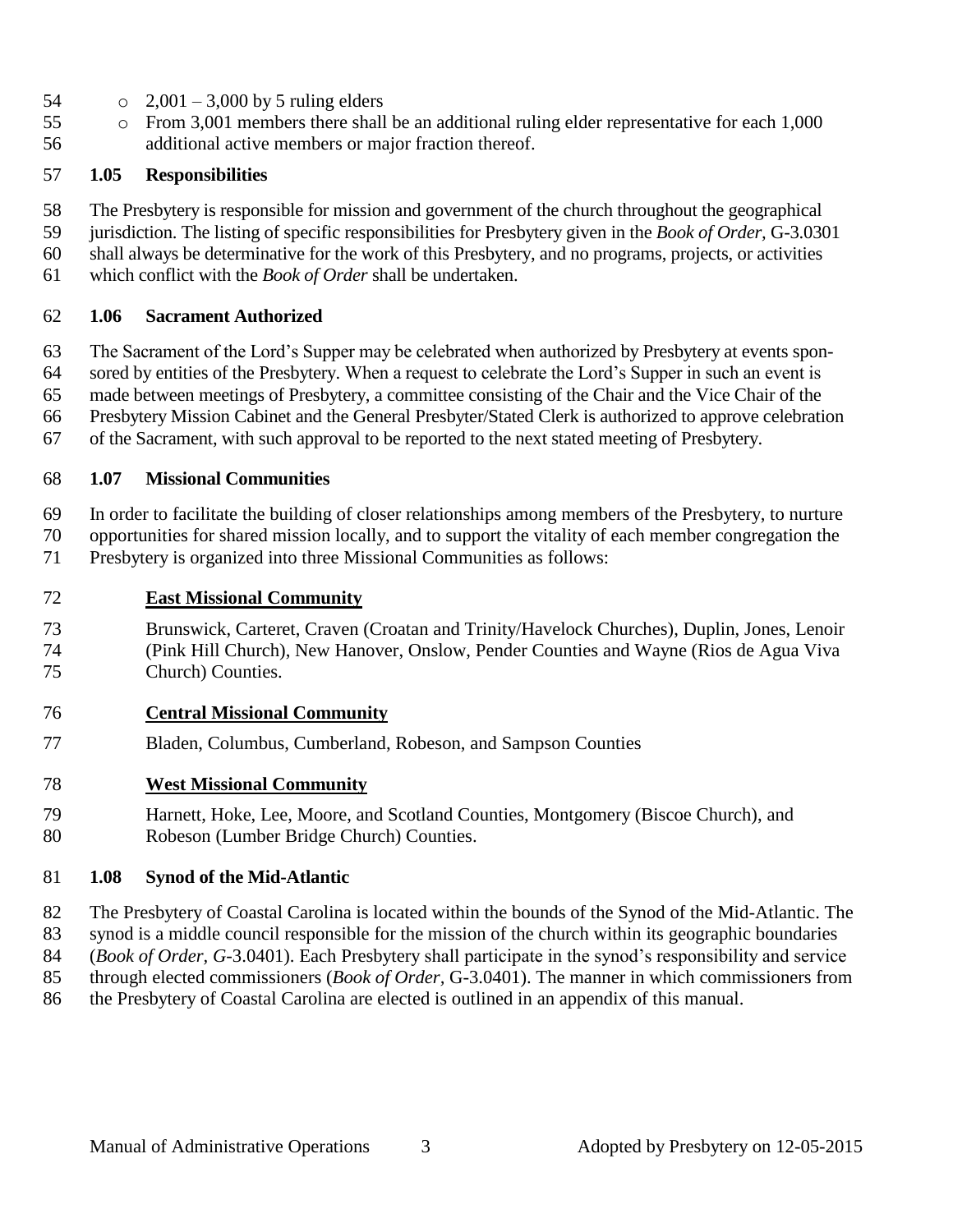- 54  $\degree$  2,001 3,000 by 5 ruling elders
- o From 3,001 members there shall be an additional ruling elder representative for each 1,000 additional active members or major fraction thereof.

#### **1.05 Responsibilities**

The Presbytery is responsible for mission and government of the church throughout the geographical

jurisdiction. The listing of specific responsibilities for Presbytery given in the *Book of Order,* G-3.0301

 shall always be determinative for the work of this Presbytery, and no programs, projects, or activities which conflict with the *Book of Order* shall be undertaken.

#### **1.06 Sacrament Authorized**

The Sacrament of the Lord's Supper may be celebrated when authorized by Presbytery at events spon-

sored by entities of the Presbytery. When a request to celebrate the Lord's Supper in such an event is

made between meetings of Presbytery, a committee consisting of the Chair and the Vice Chair of the

Presbytery Mission Cabinet and the General Presbyter/Stated Clerk is authorized to approve celebration

of the Sacrament, with such approval to be reported to the next stated meeting of Presbytery.

#### **1.07 Missional Communities**

In order to facilitate the building of closer relationships among members of the Presbytery, to nurture

opportunities for shared mission locally, and to support the vitality of each member congregation the

Presbytery is organized into three Missional Communities as follows:

#### **East Missional Community**

 Brunswick, Carteret, Craven (Croatan and Trinity/Havelock Churches), Duplin, Jones, Lenoir (Pink Hill Church), New Hanover, Onslow, Pender Counties and Wayne (Rios de Agua Viva Church) Counties.

#### **Central Missional Community**

Bladen, Columbus, Cumberland, Robeson, and Sampson Counties

#### **West Missional Community**

 Harnett, Hoke, Lee, Moore, and Scotland Counties, Montgomery (Biscoe Church), and Robeson (Lumber Bridge Church) Counties.

#### **1.08 Synod of the Mid-Atlantic**

The Presbytery of Coastal Carolina is located within the bounds of the Synod of the Mid-Atlantic. The

synod is a middle council responsible for the mission of the church within its geographic boundaries

(*Book of Order, G*-3.0401). Each Presbytery shall participate in the synod's responsibility and service

- through elected commissioners (*Book of Order,* G-3.0401). The manner in which commissioners from
- the Presbytery of Coastal Carolina are elected is outlined in an appendix of this manual.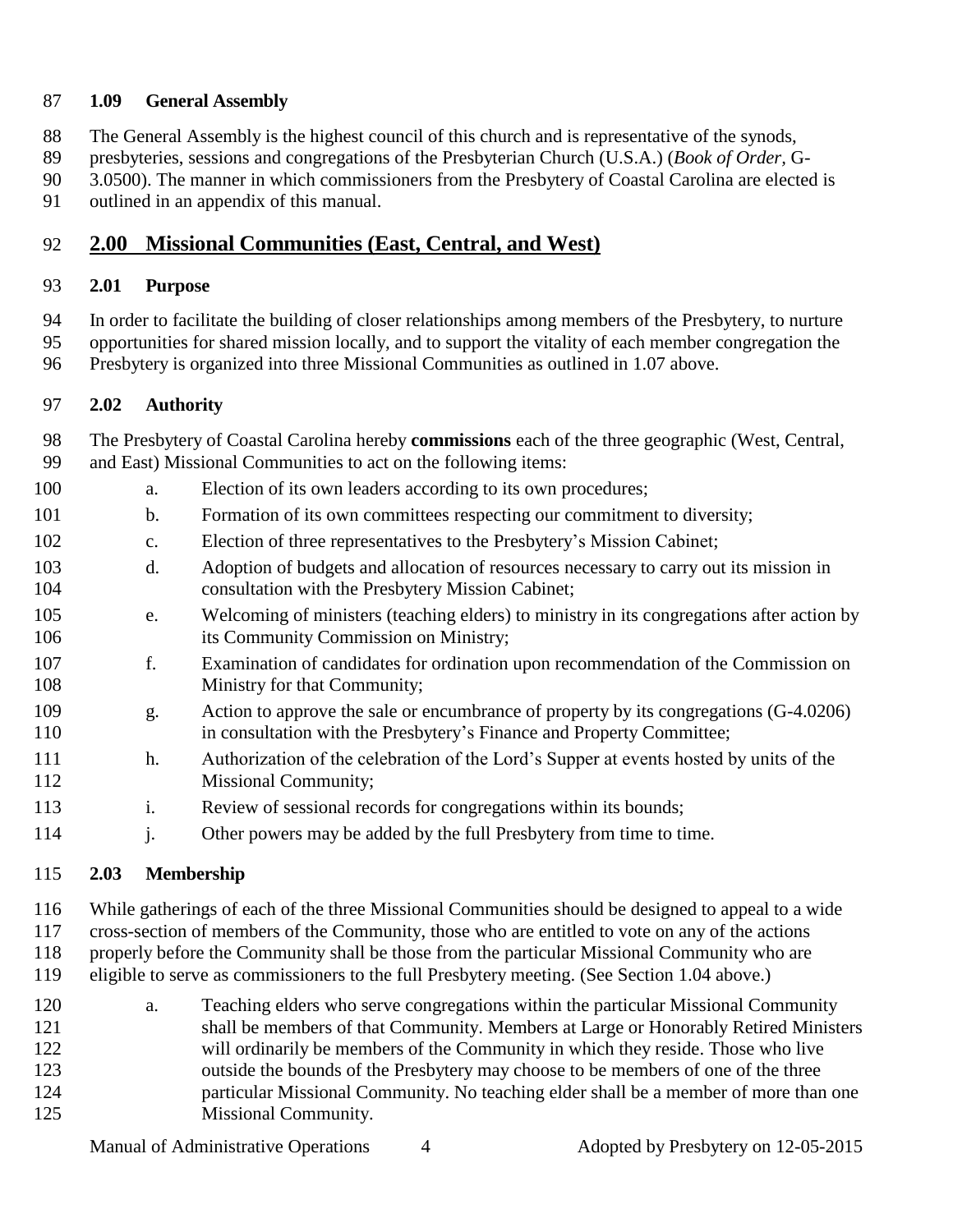#### **1.09 General Assembly**

- The General Assembly is the highest council of this church and is representative of the synods,
- presbyteries, sessions and congregations of the Presbyterian Church (U.S.A.) (*Book of Order,* G-
- 90 3.0500). The manner in which commissioners from the Presbytery of Coastal Carolina are elected is
- outlined in an appendix of this manual.

#### **2.00 Missional Communities (East, Central, and West)**

#### **2.01 Purpose**

- In order to facilitate the building of closer relationships among members of the Presbytery, to nurture
- opportunities for shared mission locally, and to support the vitality of each member congregation the
- Presbytery is organized into three Missional Communities as outlined in 1.07 above.

#### **2.02 Authority**

- The Presbytery of Coastal Carolina hereby **commissions** each of the three geographic (West, Central, and East) Missional Communities to act on the following items:
- a. Election of its own leaders according to its own procedures;
- b. Formation of its own committees respecting our commitment to diversity;
- c. Election of three representatives to the Presbytery's Mission Cabinet;
- d. Adoption of budgets and allocation of resources necessary to carry out its mission in consultation with the Presbytery Mission Cabinet;
- e. Welcoming of ministers (teaching elders) to ministry in its congregations after action by its Community Commission on Ministry;
- f. Examination of candidates for ordination upon recommendation of the Commission on 108 Ministry for that Community;
- g. Action to approve the sale or encumbrance of property by its congregations (G-4.0206) 110 in consultation with the Presbytery's Finance and Property Committee;
- h. Authorization of the celebration of the Lord's Supper at events hosted by units of the 112 Missional Community;
- i. Review of sessional records for congregations within its bounds;
- 114 i. Other powers may be added by the full Presbytery from time to time.

#### **2.03 Membership**

 While gatherings of each of the three Missional Communities should be designed to appeal to a wide cross-section of members of the Community, those who are entitled to vote on any of the actions properly before the Community shall be those from the particular Missional Community who are

- eligible to serve as commissioners to the full Presbytery meeting. (See Section 1.04 above.)
- a. Teaching elders who serve congregations within the particular Missional Community shall be members of that Community. Members at Large or Honorably Retired Ministers will ordinarily be members of the Community in which they reside. Those who live outside the bounds of the Presbytery may choose to be members of one of the three particular Missional Community. No teaching elder shall be a member of more than one Missional Community.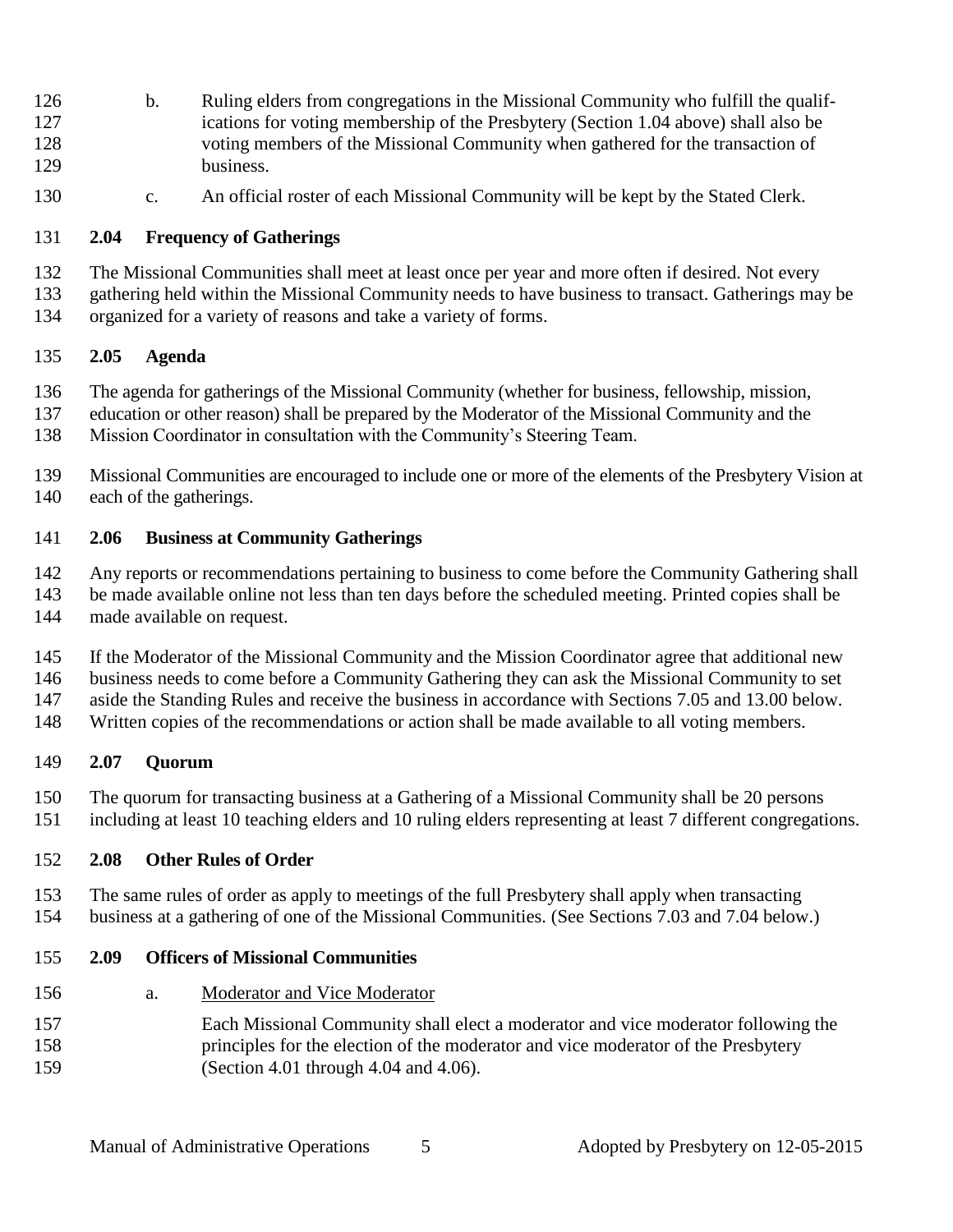- b. Ruling elders from congregations in the Missional Community who fulfill the qualif- ications for voting membership of the Presbytery (Section 1.04 above) shall also be voting members of the Missional Community when gathered for the transaction of business.
- c. An official roster of each Missional Community will be kept by the Stated Clerk.

#### **2.04 Frequency of Gatherings**

- The Missional Communities shall meet at least once per year and more often if desired. Not every
- gathering held within the Missional Community needs to have business to transact. Gatherings may be organized for a variety of reasons and take a variety of forms.

#### **2.05 Agenda**

- The agenda for gatherings of the Missional Community (whether for business, fellowship, mission,
- education or other reason) shall be prepared by the Moderator of the Missional Community and the
- Mission Coordinator in consultation with the Community's Steering Team.
- Missional Communities are encouraged to include one or more of the elements of the Presbytery Vision at each of the gatherings.

#### **2.06 Business at Community Gatherings**

- Any reports or recommendations pertaining to business to come before the Community Gathering shall be made available online not less than ten days before the scheduled meeting. Printed copies shall be made available on request.
- If the Moderator of the Missional Community and the Mission Coordinator agree that additional new business needs to come before a Community Gathering they can ask the Missional Community to set aside the Standing Rules and receive the business in accordance with Sections 7.05 and 13.00 below.
- Written copies of the recommendations or action shall be made available to all voting members.

#### **2.07 Quorum**

 The quorum for transacting business at a Gathering of a Missional Community shall be 20 persons including at least 10 teaching elders and 10 ruling elders representing at least 7 different congregations.

#### **2.08 Other Rules of Order**

 The same rules of order as apply to meetings of the full Presbytery shall apply when transacting business at a gathering of one of the Missional Communities. (See Sections 7.03 and 7.04 below.)

#### **2.09 Officers of Missional Communities**

- a. Moderator and Vice Moderator
- Each Missional Community shall elect a moderator and vice moderator following the principles for the election of the moderator and vice moderator of the Presbytery (Section 4.01 through 4.04 and 4.06).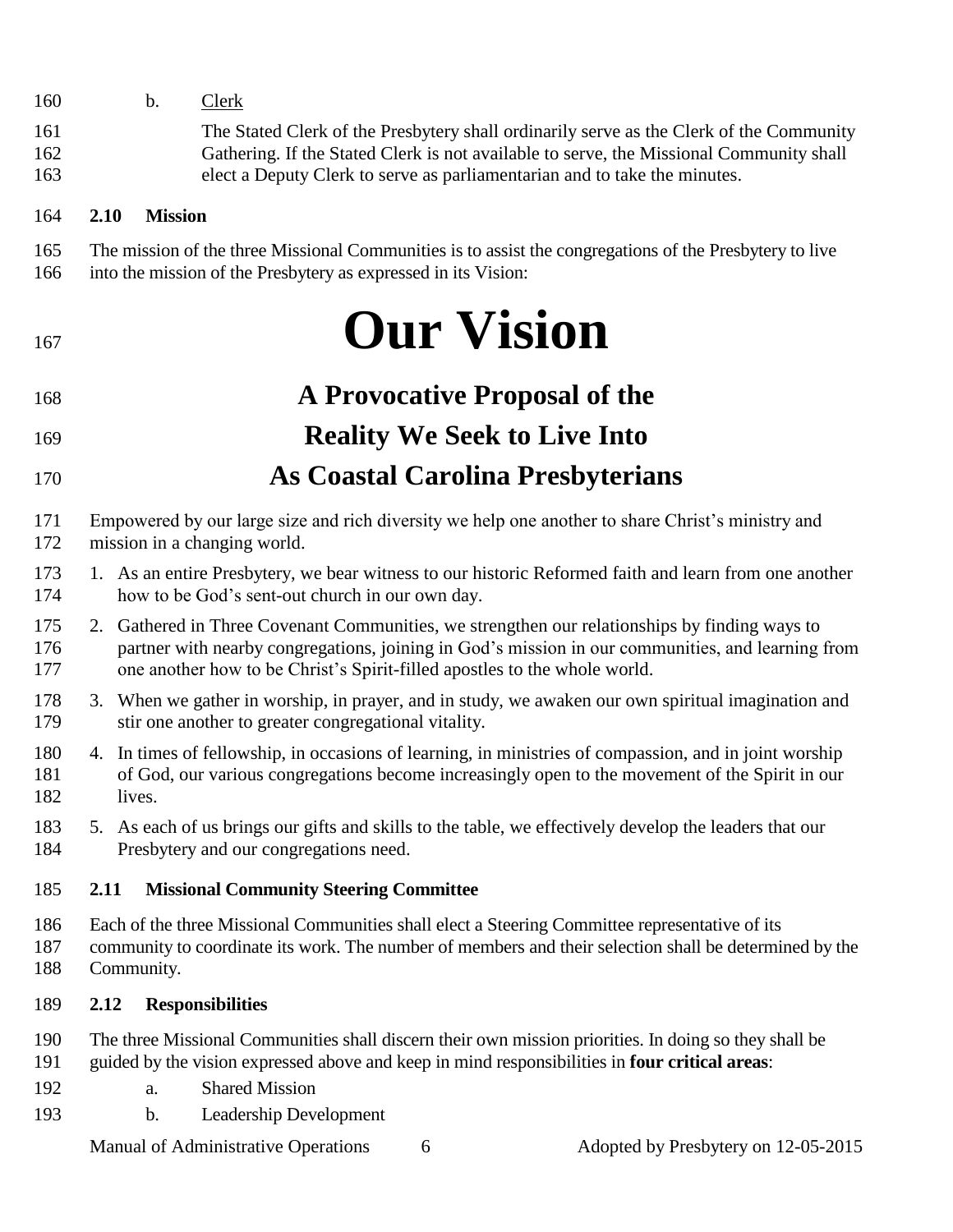- b. Clerk
- The Stated Clerk of the Presbytery shall ordinarily serve as the Clerk of the Community Gathering. If the Stated Clerk is not available to serve, the Missional Community shall elect a Deputy Clerk to serve as parliamentarian and to take the minutes.

#### **2.10 Mission**

- The mission of the three Missional Communities is to assist the congregations of the Presbytery to live
- into the mission of the Presbytery as expressed in its Vision:

# **Our Vision**

- **A Provocative Proposal of the**
- **Reality We Seek to Live Into**
- **As Coastal Carolina Presbyterians**
- Empowered by our large size and rich diversity we help one another to share Christ's ministry and mission in a changing world.
- 1. As an entire Presbytery, we bear witness to our historic Reformed faith and learn from one another how to be God's sent-out church in our own day.
- 2. Gathered in Three Covenant Communities, we strengthen our relationships by finding ways to partner with nearby congregations, joining in God's mission in our communities, and learning from one another how to be Christ's Spirit-filled apostles to the whole world.
- 3. When we gather in worship, in prayer, and in study, we awaken our own spiritual imagination and stir one another to greater congregational vitality.
- 4. In times of fellowship, in occasions of learning, in ministries of compassion, and in joint worship of God, our various congregations become increasingly open to the movement of the Spirit in our lives.
- 5. As each of us brings our gifts and skills to the table, we effectively develop the leaders that our Presbytery and our congregations need.

#### **2.11 Missional Community Steering Committee**

- Each of the three Missional Communities shall elect a Steering Committee representative of its
- community to coordinate its work. The number of members and their selection shall be determined by the Community.

#### **2.12 Responsibilities**

- The three Missional Communities shall discern their own mission priorities. In doing so they shall be guided by the vision expressed above and keep in mind responsibilities in **four critical areas**:
- a. Shared Mission
- b. Leadership Development

Manual of Administrative Operations 6 6 Adopted by Presbytery on 12-05-2015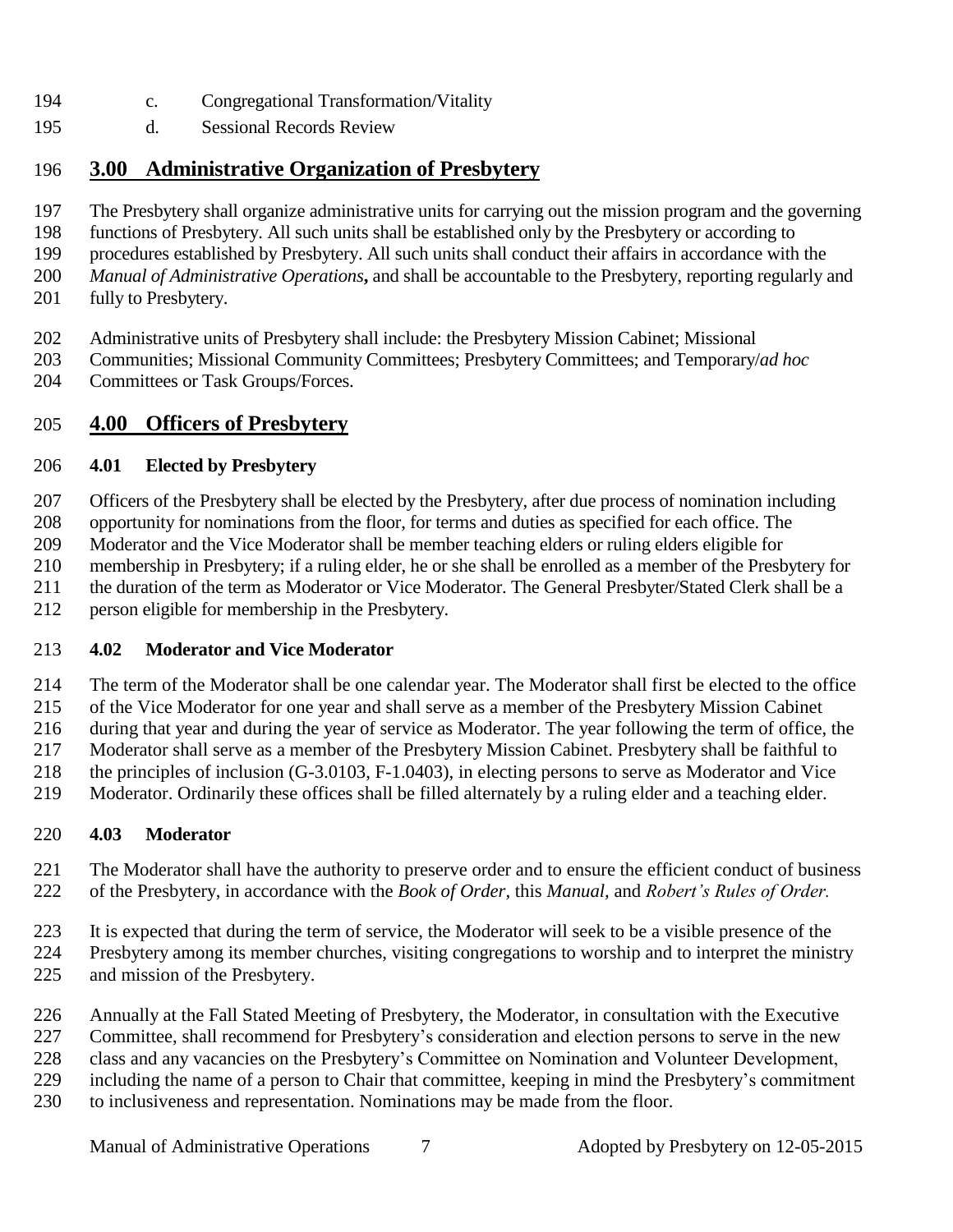- c. Congregational Transformation/Vitality
- d. Sessional Records Review

#### **3.00 Administrative Organization of Presbytery**

- The Presbytery shall organize administrative units for carrying out the mission program and the governing
- functions of Presbytery. All such units shall be established only by the Presbytery or according to
- procedures established by Presbytery. All such units shall conduct their affairs in accordance with the
- *Manual of Administrative Operations***,** and shall be accountable to the Presbytery, reporting regularly and
- fully to Presbytery.
- Administrative units of Presbytery shall include: the Presbytery Mission Cabinet; Missional
- Communities; Missional Community Committees; Presbytery Committees; and Temporary/*ad hoc*
- Committees or Task Groups/Forces.

#### **4.00 Officers of Presbytery**

#### **4.01 Elected by Presbytery**

Officers of the Presbytery shall be elected by the Presbytery, after due process of nomination including

opportunity for nominations from the floor, for terms and duties as specified for each office. The

Moderator and the Vice Moderator shall be member teaching elders or ruling elders eligible for

membership in Presbytery; if a ruling elder, he or she shall be enrolled as a member of the Presbytery for

- 211 the duration of the term as Moderator or Vice Moderator. The General Presbyter/Stated Clerk shall be a
- person eligible for membership in the Presbytery.

#### **4.02 Moderator and Vice Moderator**

The term of the Moderator shall be one calendar year. The Moderator shall first be elected to the office

of the Vice Moderator for one year and shall serve as a member of the Presbytery Mission Cabinet

during that year and during the year of service as Moderator. The year following the term of office, the

- Moderator shall serve as a member of the Presbytery Mission Cabinet. Presbytery shall be faithful to the principles of inclusion (G-3.0103, F-1.0403), in electing persons to serve as Moderator and Vice
- Moderator. Ordinarily these offices shall be filled alternately by a ruling elder and a teaching elder.

#### **4.03 Moderator**

- The Moderator shall have the authority to preserve order and to ensure the efficient conduct of business of the Presbytery, in accordance with the *Book of Order,* this *Manual,* and *Robert's Rules of Order.*
- 
- It is expected that during the term of service, the Moderator will seek to be a visible presence of the
- Presbytery among its member churches, visiting congregations to worship and to interpret the ministry
- and mission of the Presbytery.
- Annually at the Fall Stated Meeting of Presbytery, the Moderator, in consultation with the Executive
- Committee, shall recommend for Presbytery's consideration and election persons to serve in the new
- class and any vacancies on the Presbytery's Committee on Nomination and Volunteer Development,
- including the name of a person to Chair that committee, keeping in mind the Presbytery's commitment
- to inclusiveness and representation. Nominations may be made from the floor.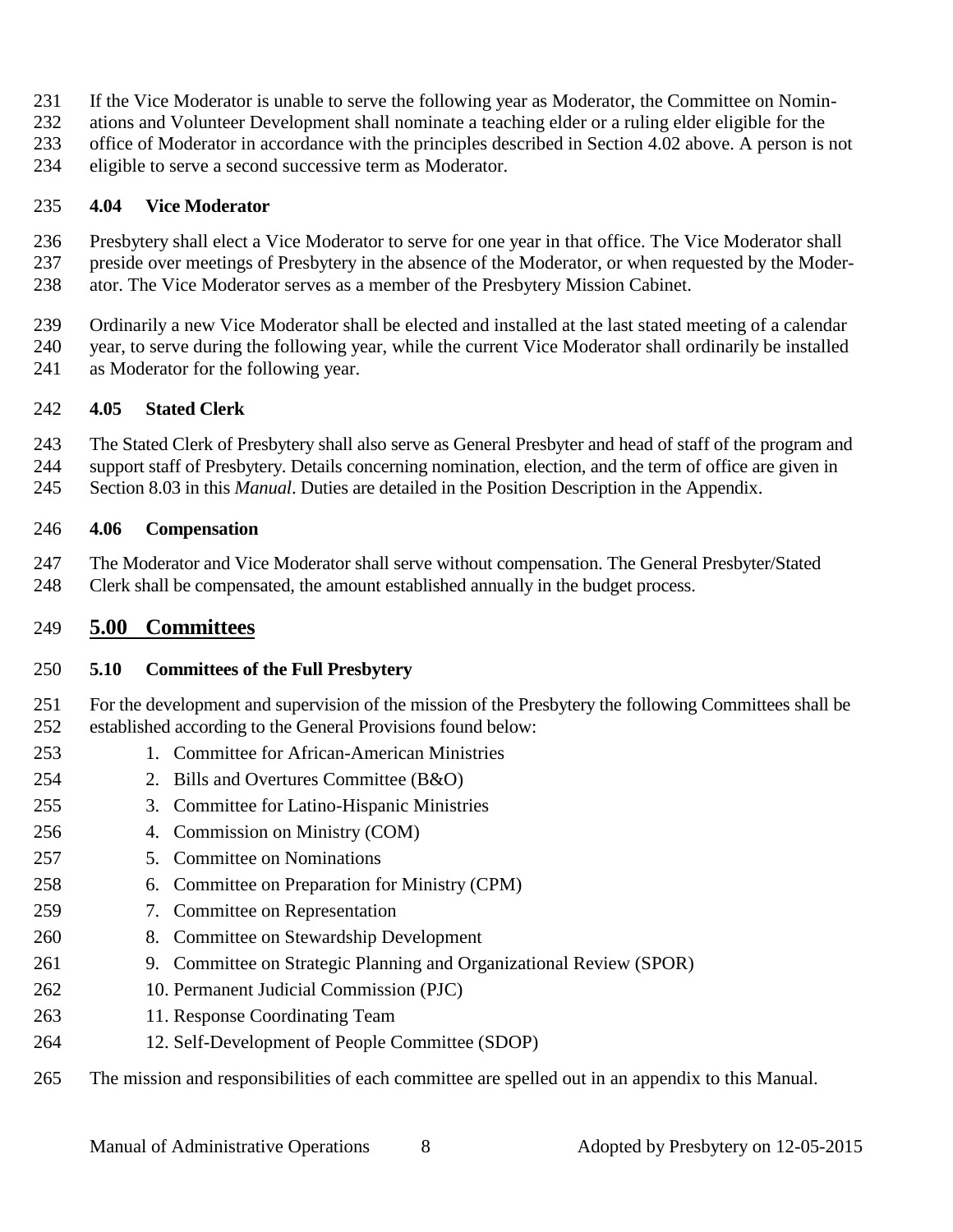- If the Vice Moderator is unable to serve the following year as Moderator, the Committee on Nomin-
- ations and Volunteer Development shall nominate a teaching elder or a ruling elder eligible for the
- office of Moderator in accordance with the principles described in Section 4.02 above. A person is not
- eligible to serve a second successive term as Moderator.

#### **4.04 Vice Moderator**

 Presbytery shall elect a Vice Moderator to serve for one year in that office. The Vice Moderator shall preside over meetings of Presbytery in the absence of the Moderator, or when requested by the Moder-ator. The Vice Moderator serves as a member of the Presbytery Mission Cabinet.

 Ordinarily a new Vice Moderator shall be elected and installed at the last stated meeting of a calendar year, to serve during the following year, while the current Vice Moderator shall ordinarily be installed as Moderator for the following year.

#### **4.05 Stated Clerk**

The Stated Clerk of Presbytery shall also serve as General Presbyter and head of staff of the program and

support staff of Presbytery. Details concerning nomination, election, and the term of office are given in

Section 8.03 in this *Manual*. Duties are detailed in the Position Description in the Appendix.

#### **4.06 Compensation**

 The Moderator and Vice Moderator shall serve without compensation. The General Presbyter/Stated Clerk shall be compensated, the amount established annually in the budget process.

#### **5.00 Committees**

#### **5.10 Committees of the Full Presbytery**

 For the development and supervision of the mission of the Presbytery the following Committees shall be established according to the General Provisions found below:

- 1. Committee for African-American Ministries
- 2. Bills and Overtures Committee (B&O)
- 3. Committee for Latino-Hispanic Ministries
- 4. Commission on Ministry (COM)
- 5. Committee on Nominations
- 6. Committee on Preparation for Ministry (CPM)
- 7. Committee on Representation
- 8. Committee on Stewardship Development
- 9. Committee on Strategic Planning and Organizational Review (SPOR)
- 10. Permanent Judicial Commission (PJC)
- 11. Response Coordinating Team
- 12. Self-Development of People Committee (SDOP)
- The mission and responsibilities of each committee are spelled out in an appendix to this Manual.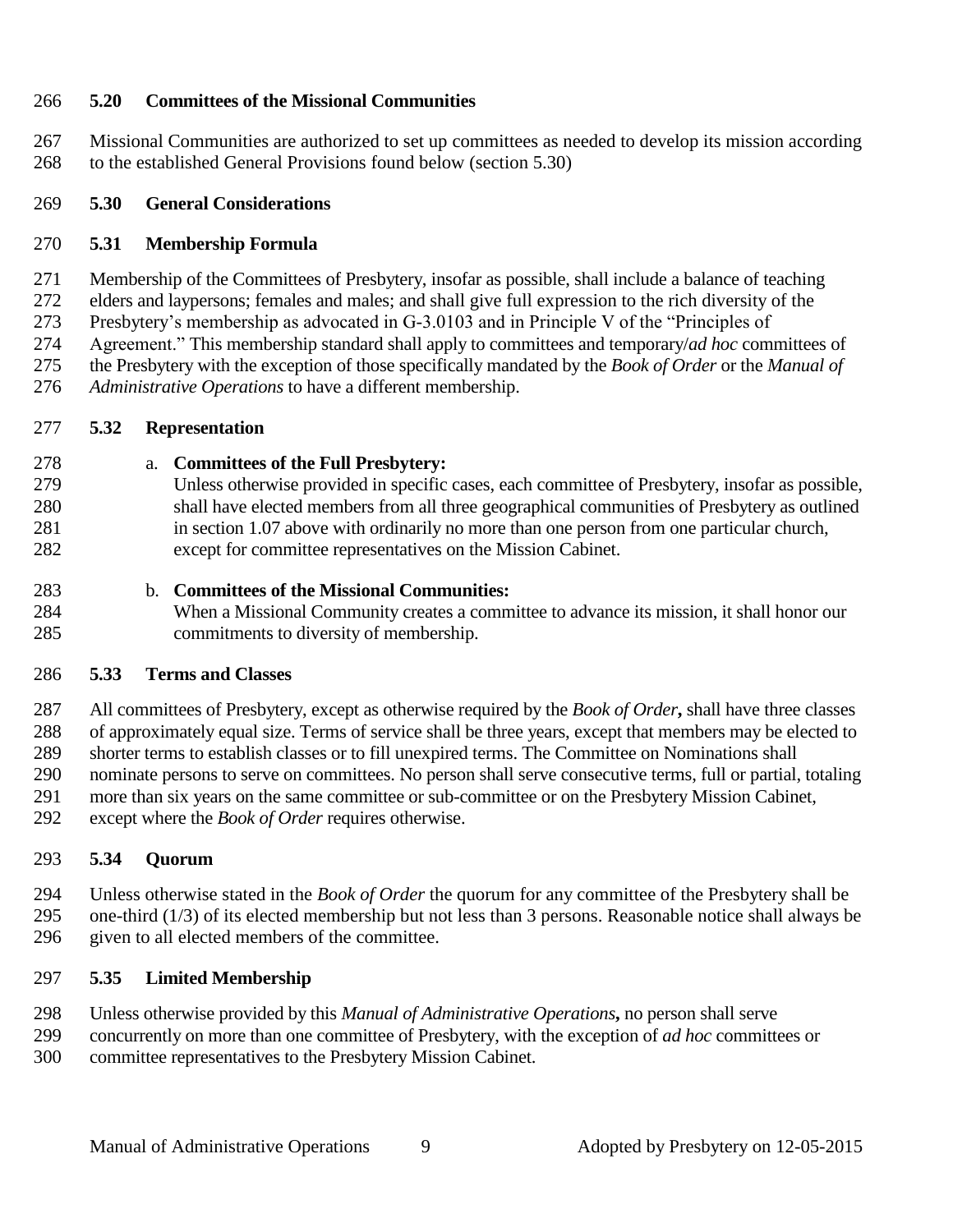#### **5.20 Committees of the Missional Communities**

 Missional Communities are authorized to set up committees as needed to develop its mission according to the established General Provisions found below (section 5.30)

#### **5.30 General Considerations**

#### **5.31 Membership Formula**

Membership of the Committees of Presbytery, insofar as possible, shall include a balance of teaching

elders and laypersons; females and males; and shall give full expression to the rich diversity of the

Presbytery's membership as advocated in G-3.0103 and in Principle V of the "Principles of

 Agreement." This membership standard shall apply to committees and temporary/*ad hoc* committees of the Presbytery with the exception of those specifically mandated by the *Book of Order* or the *Manual of* 

*Administrative Operations* to have a different membership.

#### **5.32 Representation**

- a. **Committees of the Full Presbytery:**
- Unless otherwise provided in specific cases, each committee of Presbytery, insofar as possible, shall have elected members from all three geographical communities of Presbytery as outlined in section 1.07 above with ordinarily no more than one person from one particular church, except for committee representatives on the Mission Cabinet.
- b. **Committees of the Missional Communities:**
- When a Missional Community creates a committee to advance its mission, it shall honor our commitments to diversity of membership.

#### **5.33 Terms and Classes**

 All committees of Presbytery, except as otherwise required by the *Book of Order***,** shall have three classes of approximately equal size. Terms of service shall be three years, except that members may be elected to shorter terms to establish classes or to fill unexpired terms. The Committee on Nominations shall nominate persons to serve on committees. No person shall serve consecutive terms, full or partial, totaling more than six years on the same committee or sub-committee or on the Presbytery Mission Cabinet, except where the *Book of Order* requires otherwise.

#### **5.34 Quorum**

 Unless otherwise stated in the *Book of Order* the quorum for any committee of the Presbytery shall be one-third (1/3) of its elected membership but not less than 3 persons. Reasonable notice shall always be given to all elected members of the committee.

#### **5.35 Limited Membership**

Unless otherwise provided by this *Manual of Administrative Operations***,** no person shall serve

 concurrently on more than one committee of Presbytery, with the exception of *ad hoc* committees or committee representatives to the Presbytery Mission Cabinet.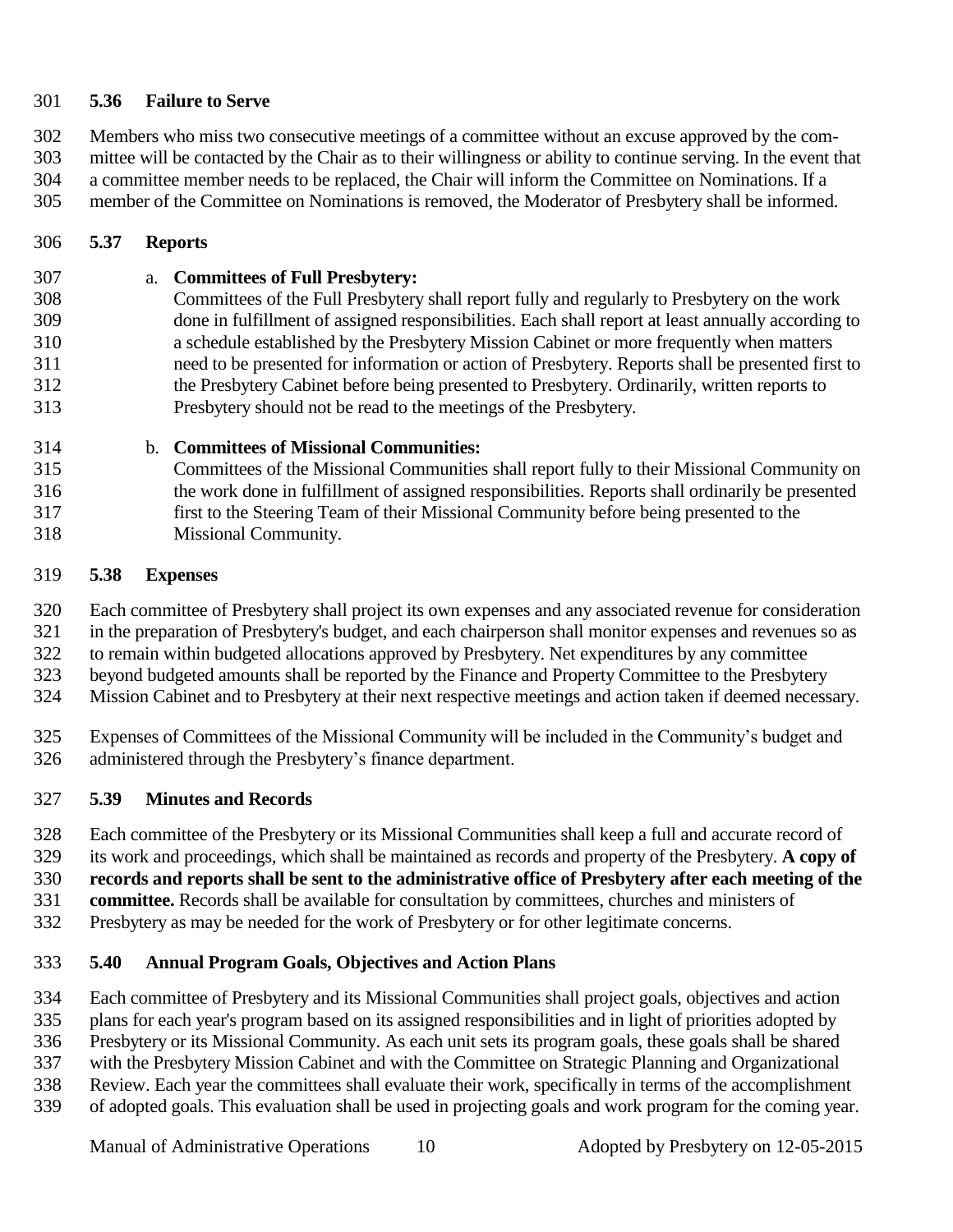#### **5.36 Failure to Serve**

 Members who miss two consecutive meetings of a committee without an excuse approved by the com- mittee will be contacted by the Chair as to their willingness or ability to continue serving. In the event that a committee member needs to be replaced, the Chair will inform the Committee on Nominations. If a member of the Committee on Nominations is removed, the Moderator of Presbytery shall be informed.

#### **5.37 Reports**

 a. **Committees of Full Presbytery:**  Committees of the Full Presbytery shall report fully and regularly to Presbytery on the work done in fulfillment of assigned responsibilities. Each shall report at least annually according to

 a schedule established by the Presbytery Mission Cabinet or more frequently when matters need to be presented for information or action of Presbytery. Reports shall be presented first to the Presbytery Cabinet before being presented to Presbytery. Ordinarily, written reports to Presbytery should not be read to the meetings of the Presbytery.

b. **Committees of Missional Communities:**

 Committees of the Missional Communities shall report fully to their Missional Community on the work done in fulfillment of assigned responsibilities. Reports shall ordinarily be presented first to the Steering Team of their Missional Community before being presented to the Missional Community.

#### **5.38 Expenses**

Each committee of Presbytery shall project its own expenses and any associated revenue for consideration

 in the preparation of Presbytery's budget, and each chairperson shall monitor expenses and revenues so as to remain within budgeted allocations approved by Presbytery. Net expenditures by any committee

- beyond budgeted amounts shall be reported by the Finance and Property Committee to the Presbytery
- Mission Cabinet and to Presbytery at their next respective meetings and action taken if deemed necessary.
- Expenses of Committees of the Missional Community will be included in the Community's budget and administered through the Presbytery's finance department.

#### **5.39 Minutes and Records**

Each committee of the Presbytery or its Missional Communities shall keep a full and accurate record of

its work and proceedings, which shall be maintained as records and property of the Presbytery. **A copy of** 

**records and reports shall be sent to the administrative office of Presbytery after each meeting of the** 

**committee.** Records shall be available for consultation by committees, churches and ministers of

Presbytery as may be needed for the work of Presbytery or for other legitimate concerns.

#### **5.40 Annual Program Goals, Objectives and Action Plans**

Each committee of Presbytery and its Missional Communities shall project goals, objectives and action

plans for each year's program based on its assigned responsibilities and in light of priorities adopted by

Presbytery or its Missional Community. As each unit sets its program goals, these goals shall be shared

with the Presbytery Mission Cabinet and with the Committee on Strategic Planning and Organizational

- Review. Each year the committees shall evaluate their work, specifically in terms of the accomplishment
- of adopted goals. This evaluation shall be used in projecting goals and work program for the coming year.

Manual of Administrative Operations 10 Adopted by Presbytery on 12-05-2015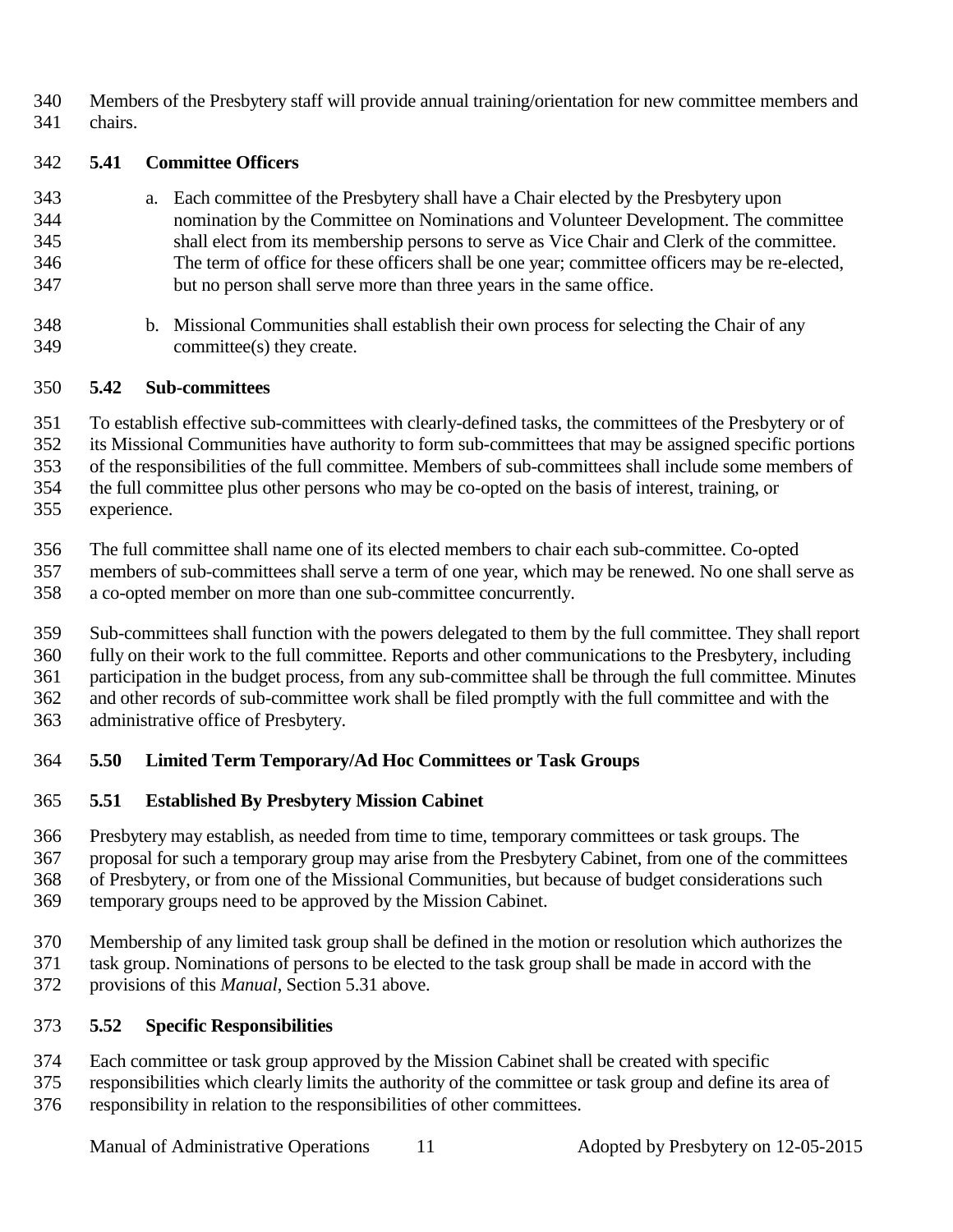Members of the Presbytery staff will provide annual training/orientation for new committee members and chairs.

#### **5.41 Committee Officers**

- a. Each committee of the Presbytery shall have a Chair elected by the Presbytery upon nomination by the Committee on Nominations and Volunteer Development. The committee shall elect from its membership persons to serve as Vice Chair and Clerk of the committee. The term of office for these officers shall be one year; committee officers may be re-elected, but no person shall serve more than three years in the same office.
- b. Missional Communities shall establish their own process for selecting the Chair of any committee(s) they create.

#### **5.42 Sub-committees**

To establish effective sub-committees with clearly-defined tasks, the committees of the Presbytery or of

its Missional Communities have authority to form sub-committees that may be assigned specific portions

of the responsibilities of the full committee. Members of sub-committees shall include some members of

 the full committee plus other persons who may be co-opted on the basis of interest, training, or experience.

The full committee shall name one of its elected members to chair each sub-committee. Co-opted

 members of sub-committees shall serve a term of one year, which may be renewed. No one shall serve as a co-opted member on more than one sub-committee concurrently.

Sub-committees shall function with the powers delegated to them by the full committee. They shall report

 fully on their work to the full committee. Reports and other communications to the Presbytery, including participation in the budget process, from any sub-committee shall be through the full committee. Minutes

and other records of sub-committee work shall be filed promptly with the full committee and with the

administrative office of Presbytery.

#### **5.50 Limited Term Temporary/Ad Hoc Committees or Task Groups**

#### **5.51 Established By Presbytery Mission Cabinet**

 Presbytery may establish, as needed from time to time, temporary committees or task groups. The proposal for such a temporary group may arise from the Presbytery Cabinet, from one of the committees of Presbytery, or from one of the Missional Communities, but because of budget considerations such temporary groups need to be approved by the Mission Cabinet.

- Membership of any limited task group shall be defined in the motion or resolution which authorizes the task group. Nominations of persons to be elected to the task group shall be made in accord with the provisions of this *Manual*, Section 5.31 above.
- 

#### **5.52 Specific Responsibilities**

Each committee or task group approved by the Mission Cabinet shall be created with specific

responsibilities which clearly limits the authority of the committee or task group and define its area of

responsibility in relation to the responsibilities of other committees.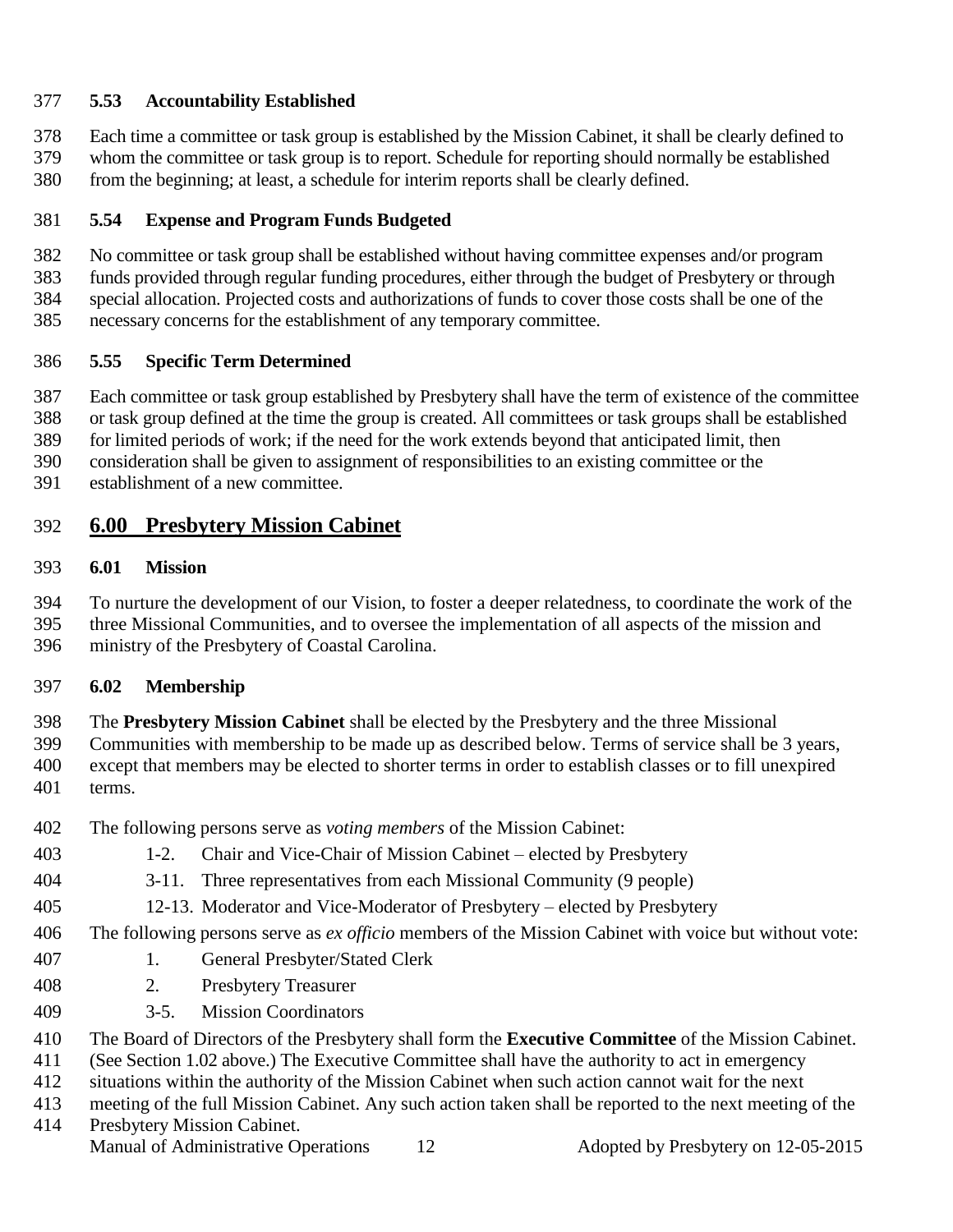#### **5.53 Accountability Established**

 Each time a committee or task group is established by the Mission Cabinet, it shall be clearly defined to whom the committee or task group is to report. Schedule for reporting should normally be established from the beginning; at least, a schedule for interim reports shall be clearly defined.

#### **5.54 Expense and Program Funds Budgeted**

No committee or task group shall be established without having committee expenses and/or program

funds provided through regular funding procedures, either through the budget of Presbytery or through

special allocation. Projected costs and authorizations of funds to cover those costs shall be one of the

necessary concerns for the establishment of any temporary committee.

#### **5.55 Specific Term Determined**

Each committee or task group established by Presbytery shall have the term of existence of the committee

or task group defined at the time the group is created. All committees or task groups shall be established

for limited periods of work; if the need for the work extends beyond that anticipated limit, then

- consideration shall be given to assignment of responsibilities to an existing committee or the
- establishment of a new committee.

## **6.00 Presbytery Mission Cabinet**

#### **6.01 Mission**

 To nurture the development of our Vision, to foster a deeper relatedness, to coordinate the work of the three Missional Communities, and to oversee the implementation of all aspects of the mission and ministry of the Presbytery of Coastal Carolina.

#### **6.02 Membership**

 The **Presbytery Mission Cabinet** shall be elected by the Presbytery and the three Missional Communities with membership to be made up as described below. Terms of service shall be 3 years, except that members may be elected to shorter terms in order to establish classes or to fill unexpired terms.

- The following persons serve as *voting members* of the Mission Cabinet:
- 1-2. Chair and Vice-Chair of Mission Cabinet elected by Presbytery
- 3-11. Three representatives from each Missional Community (9 people)
- 12-13. Moderator and Vice-Moderator of Presbytery elected by Presbytery

#### The following persons serve as *ex officio* members of the Mission Cabinet with voice but without vote:

- 1. General Presbyter/Stated Clerk
- 2. Presbytery Treasurer
- 3-5. Mission Coordinators

The Board of Directors of the Presbytery shall form the **Executive Committee** of the Mission Cabinet.

(See Section 1.02 above.) The Executive Committee shall have the authority to act in emergency

situations within the authority of the Mission Cabinet when such action cannot wait for the next

 meeting of the full Mission Cabinet. Any such action taken shall be reported to the next meeting of the Presbytery Mission Cabinet.

Manual of Administrative Operations 12 Adopted by Presbytery on 12-05-2015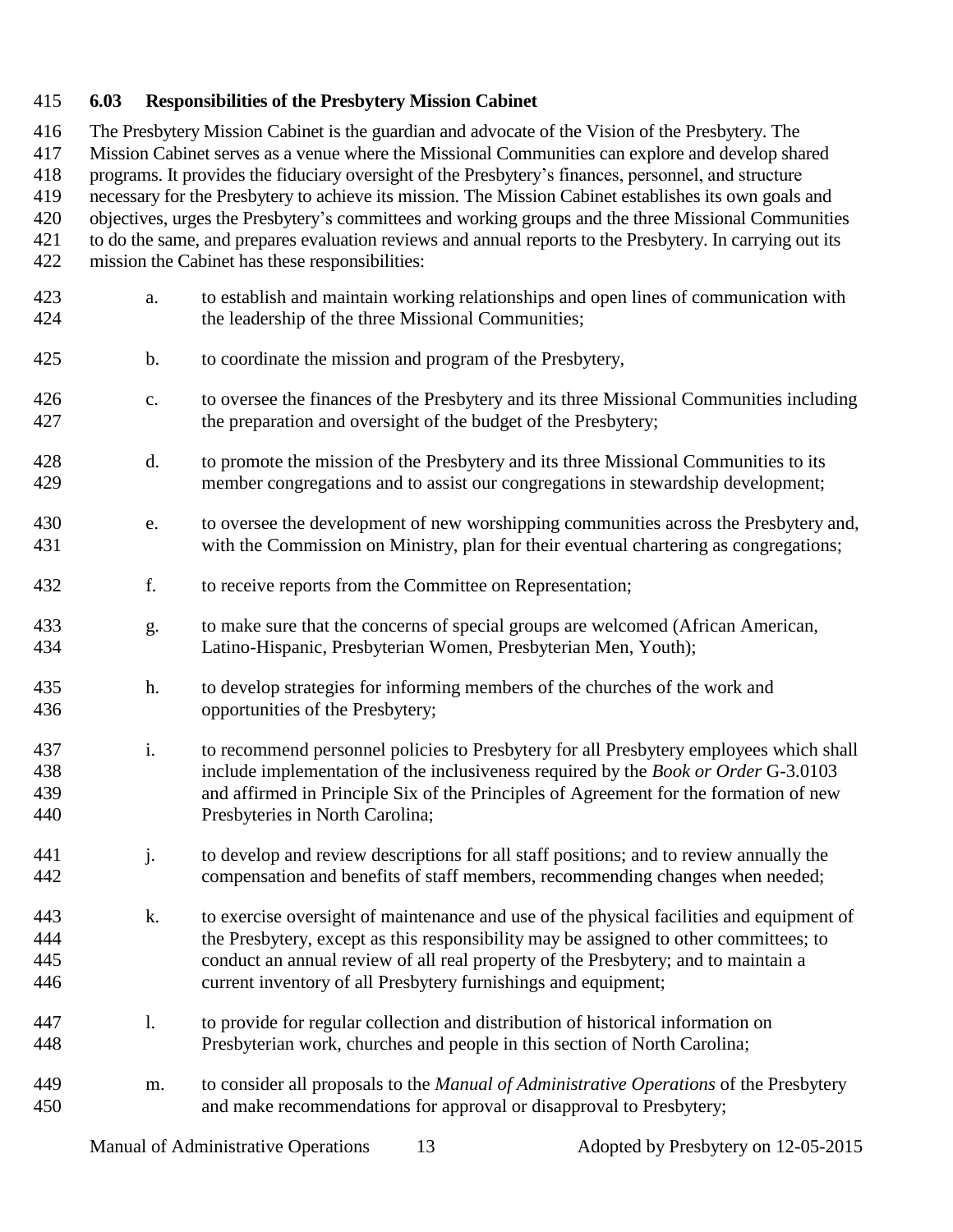#### **6.03 Responsibilities of the Presbytery Mission Cabinet**

 The Presbytery Mission Cabinet is the guardian and advocate of the Vision of the Presbytery. The Mission Cabinet serves as a venue where the Missional Communities can explore and develop shared programs. It provides the fiduciary oversight of the Presbytery's finances, personnel, and structure necessary for the Presbytery to achieve its mission. The Mission Cabinet establishes its own goals and objectives, urges the Presbytery's committees and working groups and the three Missional Communities to do the same, and prepares evaluation reviews and annual reports to the Presbytery. In carrying out its mission the Cabinet has these responsibilities: a. to establish and maintain working relationships and open lines of communication with the leadership of the three Missional Communities; b. to coordinate the mission and program of the Presbytery, c. to oversee the finances of the Presbytery and its three Missional Communities including the preparation and oversight of the budget of the Presbytery; d. to promote the mission of the Presbytery and its three Missional Communities to its member congregations and to assist our congregations in stewardship development; e. to oversee the development of new worshipping communities across the Presbytery and, with the Commission on Ministry, plan for their eventual chartering as congregations; f. to receive reports from the Committee on Representation; g. to make sure that the concerns of special groups are welcomed (African American, Latino-Hispanic, Presbyterian Women, Presbyterian Men, Youth); h. to develop strategies for informing members of the churches of the work and opportunities of the Presbytery; i. to recommend personnel policies to Presbytery for all Presbytery employees which shall include implementation of the inclusiveness required by the *Book or Order* G-3.0103 and affirmed in Principle Six of the Principles of Agreement for the formation of new Presbyteries in North Carolina; j. to develop and review descriptions for all staff positions; and to review annually the compensation and benefits of staff members, recommending changes when needed; k. to exercise oversight of maintenance and use of the physical facilities and equipment of the Presbytery, except as this responsibility may be assigned to other committees; to conduct an annual review of all real property of the Presbytery; and to maintain a current inventory of all Presbytery furnishings and equipment; l. to provide for regular collection and distribution of historical information on Presbyterian work, churches and people in this section of North Carolina; m. to consider all proposals to the *Manual of Administrative Operations* of the Presbytery and make recommendations for approval or disapproval to Presbytery;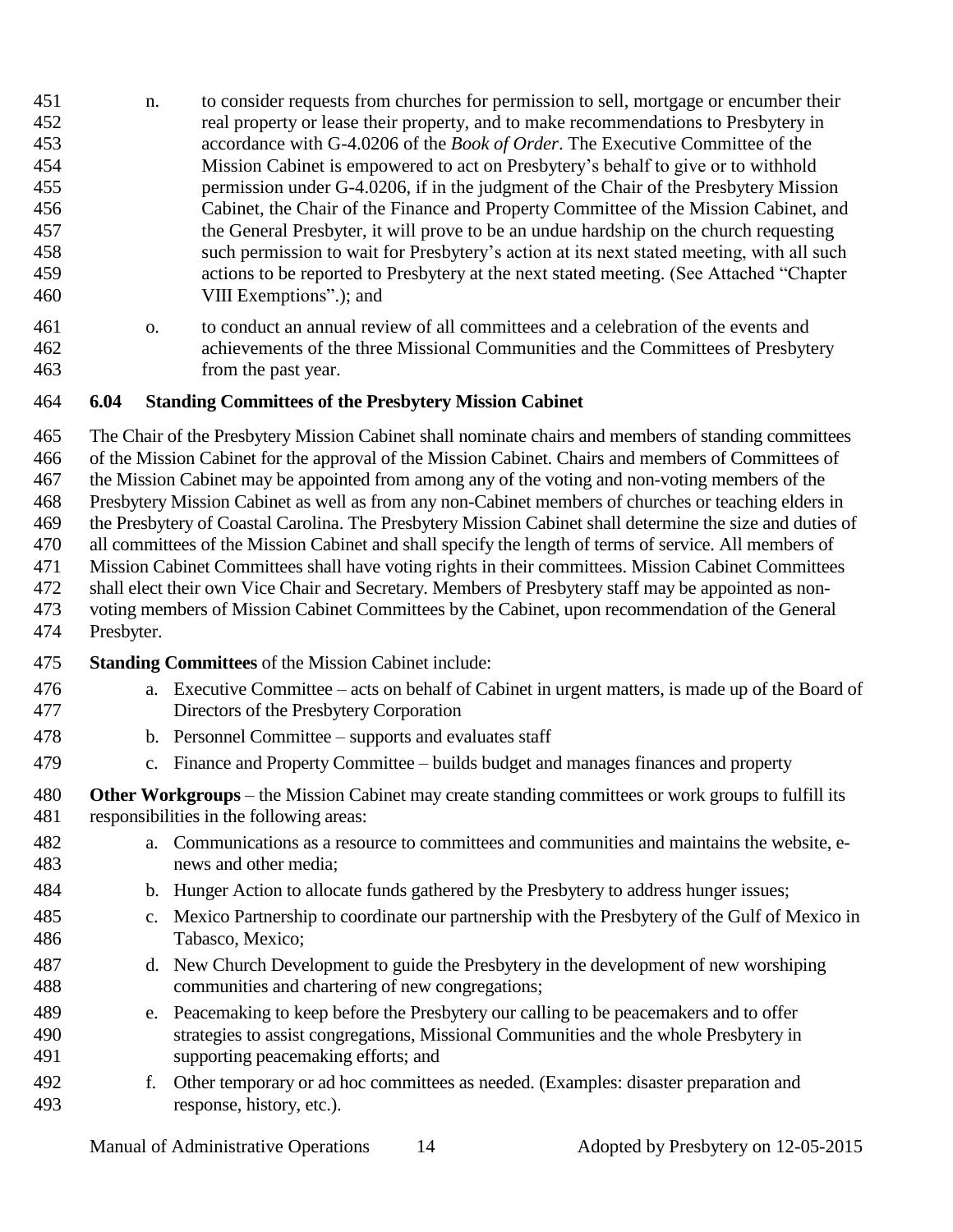- n. to consider requests from churches for permission to sell, mortgage or encumber their real property or lease their property, and to make recommendations to Presbytery in accordance with G-4.0206 of the *Book of Order*. The Executive Committee of the Mission Cabinet is empowered to act on Presbytery's behalf to give or to withhold permission under G-4.0206, if in the judgment of the Chair of the Presbytery Mission Cabinet, the Chair of the Finance and Property Committee of the Mission Cabinet, and the General Presbyter, it will prove to be an undue hardship on the church requesting such permission to wait for Presbytery's action at its next stated meeting, with all such actions to be reported to Presbytery at the next stated meeting. (See Attached "Chapter VIII Exemptions".); and
- o. to conduct an annual review of all committees and a celebration of the events and achievements of the three Missional Communities and the Committees of Presbytery from the past year.

#### **6.04 Standing Committees of the Presbytery Mission Cabinet**

The Chair of the Presbytery Mission Cabinet shall nominate chairs and members of standing committees

of the Mission Cabinet for the approval of the Mission Cabinet. Chairs and members of Committees of

the Mission Cabinet may be appointed from among any of the voting and non-voting members of the

Presbytery Mission Cabinet as well as from any non-Cabinet members of churches or teaching elders in

the Presbytery of Coastal Carolina. The Presbytery Mission Cabinet shall determine the size and duties of

 all committees of the Mission Cabinet and shall specify the length of terms of service. All members of Mission Cabinet Committees shall have voting rights in their committees. Mission Cabinet Committees

shall elect their own Vice Chair and Secretary. Members of Presbytery staff may be appointed as non-

 voting members of Mission Cabinet Committees by the Cabinet, upon recommendation of the General Presbyter.

- **Standing Committees** of the Mission Cabinet include:
- a. Executive Committee acts on behalf of Cabinet in urgent matters, is made up of the Board of Directors of the Presbytery Corporation
- b. Personnel Committee supports and evaluates staff
- c. Finance and Property Committee builds budget and manages finances and property
- **Other Workgroups**  the Mission Cabinet may create standing committees or work groups to fulfill its responsibilities in the following areas:
- a. Communications as a resource to committees and communities and maintains the website, e-news and other media;
- b. Hunger Action to allocate funds gathered by the Presbytery to address hunger issues;
- c. Mexico Partnership to coordinate our partnership with the Presbytery of the Gulf of Mexico in Tabasco, Mexico;
- d. New Church Development to guide the Presbytery in the development of new worshiping communities and chartering of new congregations;
- e. Peacemaking to keep before the Presbytery our calling to be peacemakers and to offer strategies to assist congregations, Missional Communities and the whole Presbytery in supporting peacemaking efforts; and
- f. Other temporary or ad hoc committees as needed. (Examples: disaster preparation and response, history, etc.).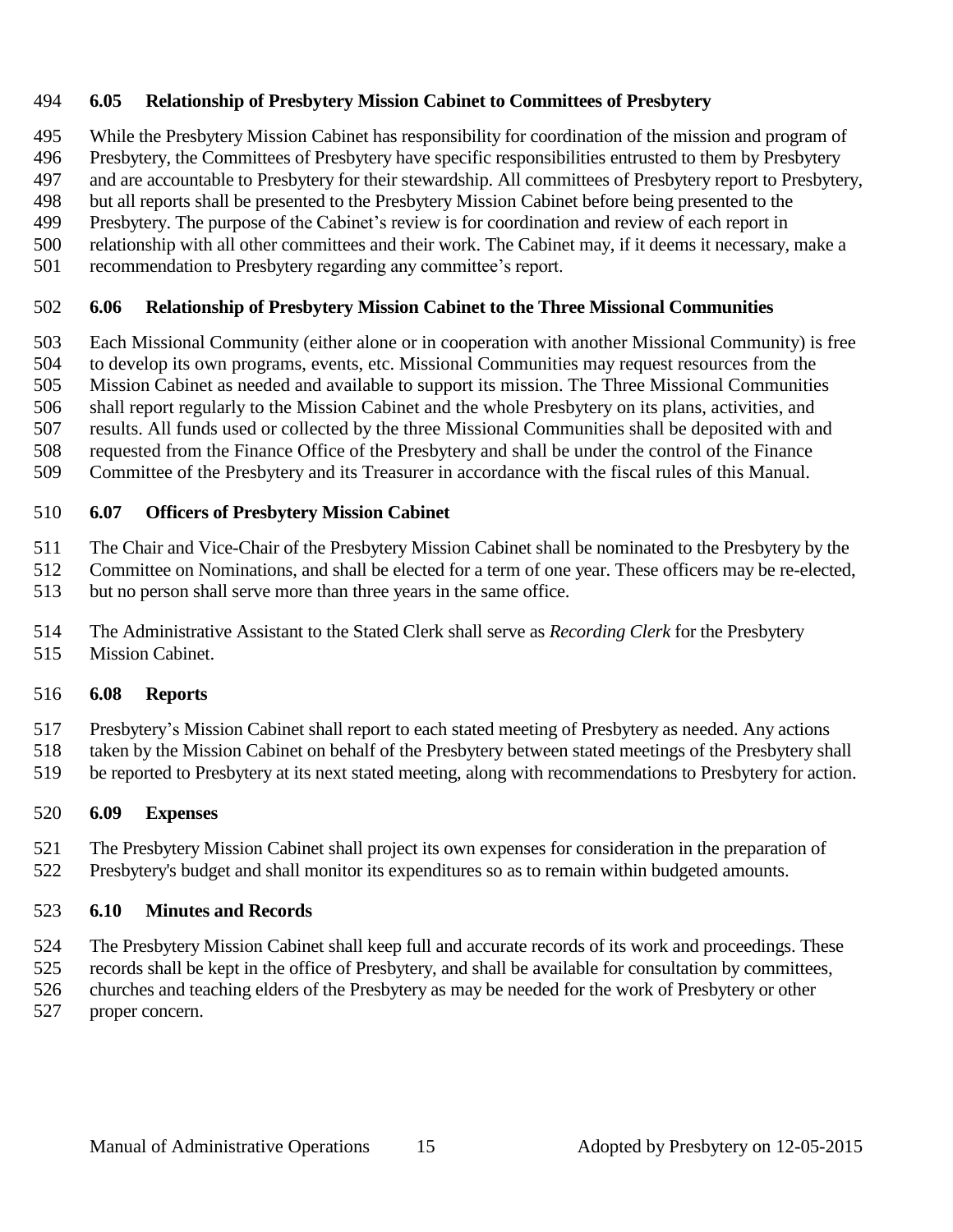#### **6.05 Relationship of Presbytery Mission Cabinet to Committees of Presbytery**

While the Presbytery Mission Cabinet has responsibility for coordination of the mission and program of

Presbytery, the Committees of Presbytery have specific responsibilities entrusted to them by Presbytery

and are accountable to Presbytery for their stewardship. All committees of Presbytery report to Presbytery,

but all reports shall be presented to the Presbytery Mission Cabinet before being presented to the

Presbytery. The purpose of the Cabinet's review is for coordination and review of each report in

relationship with all other committees and their work. The Cabinet may, if it deems it necessary, make a

recommendation to Presbytery regarding any committee's report.

#### **6.06 Relationship of Presbytery Mission Cabinet to the Three Missional Communities**

Each Missional Community (either alone or in cooperation with another Missional Community) is free

to develop its own programs, events, etc. Missional Communities may request resources from the

Mission Cabinet as needed and available to support its mission. The Three Missional Communities

 shall report regularly to the Mission Cabinet and the whole Presbytery on its plans, activities, and results. All funds used or collected by the three Missional Communities shall be deposited with and

requested from the Finance Office of the Presbytery and shall be under the control of the Finance

Committee of the Presbytery and its Treasurer in accordance with the fiscal rules of this Manual.

#### **6.07 Officers of Presbytery Mission Cabinet**

The Chair and Vice-Chair of the Presbytery Mission Cabinet shall be nominated to the Presbytery by the

Committee on Nominations, and shall be elected for a term of one year. These officers may be re-elected,

but no person shall serve more than three years in the same office.

- The Administrative Assistant to the Stated Clerk shall serve as *Recording Clerk* for the Presbytery
- Mission Cabinet.

#### **6.08 Reports**

Presbytery's Mission Cabinet shall report to each stated meeting of Presbytery as needed. Any actions

taken by the Mission Cabinet on behalf of the Presbytery between stated meetings of the Presbytery shall

be reported to Presbytery at its next stated meeting, along with recommendations to Presbytery for action.

#### **6.09 Expenses**

 The Presbytery Mission Cabinet shall project its own expenses for consideration in the preparation of Presbytery's budget and shall monitor its expenditures so as to remain within budgeted amounts.

#### **6.10 Minutes and Records**

The Presbytery Mission Cabinet shall keep full and accurate records of its work and proceedings. These

records shall be kept in the office of Presbytery, and shall be available for consultation by committees,

churches and teaching elders of the Presbytery as may be needed for the work of Presbytery or other

proper concern.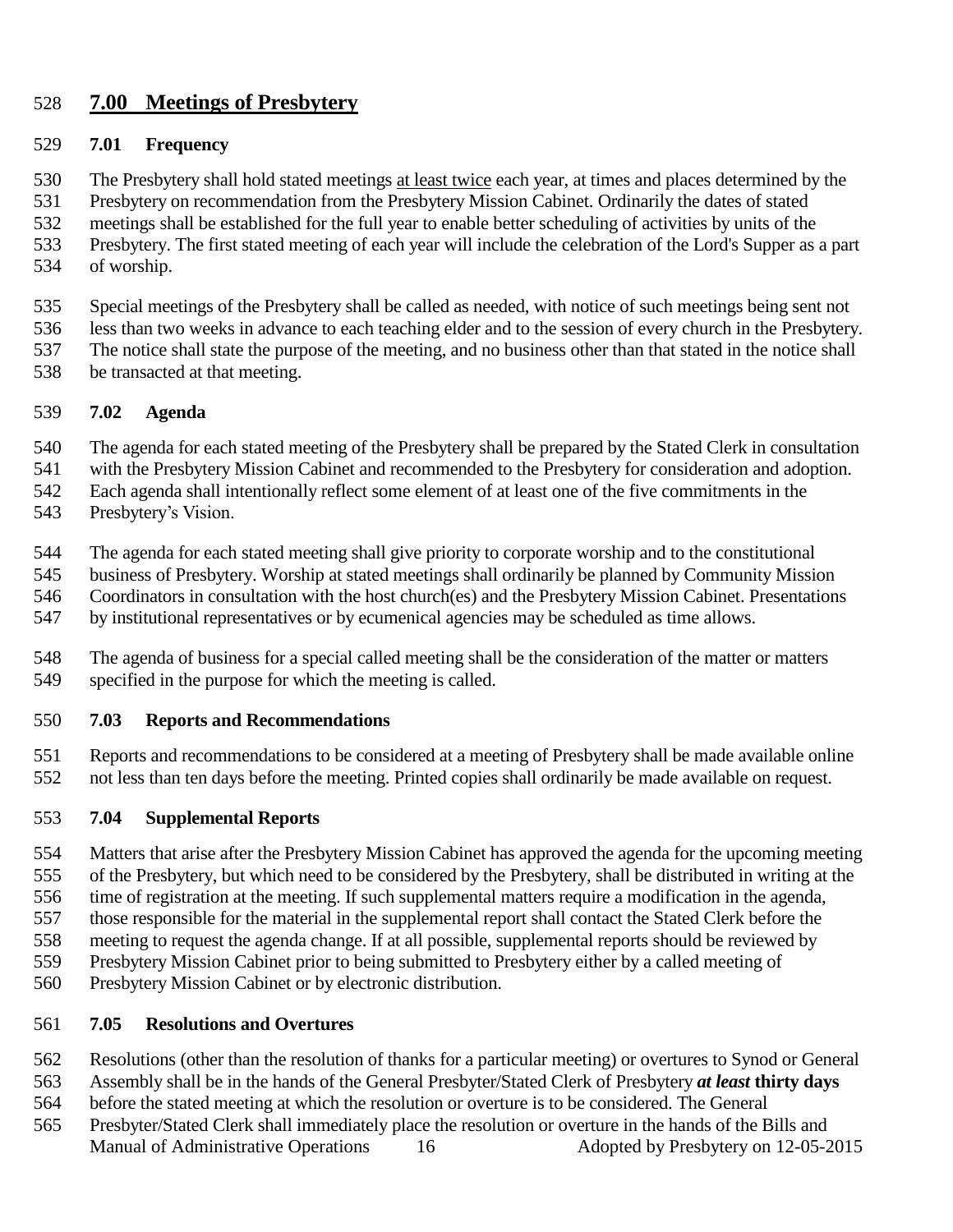#### **7.00 Meetings of Presbytery**

#### **7.01 Frequency**

- The Presbytery shall hold stated meetings at least twice each year, at times and places determined by the
- Presbytery on recommendation from the Presbytery Mission Cabinet. Ordinarily the dates of stated
- meetings shall be established for the full year to enable better scheduling of activities by units of the
- Presbytery. The first stated meeting of each year will include the celebration of the Lord's Supper as a part
- of worship.
- Special meetings of the Presbytery shall be called as needed, with notice of such meetings being sent not
- less than two weeks in advance to each teaching elder and to the session of every church in the Presbytery.
- The notice shall state the purpose of the meeting, and no business other than that stated in the notice shall
- be transacted at that meeting.

#### **7.02 Agenda**

- The agenda for each stated meeting of the Presbytery shall be prepared by the Stated Clerk in consultation
- with the Presbytery Mission Cabinet and recommended to the Presbytery for consideration and adoption.
- Each agenda shall intentionally reflect some element of at least one of the five commitments in the
- Presbytery's Vision.
- The agenda for each stated meeting shall give priority to corporate worship and to the constitutional
- business of Presbytery. Worship at stated meetings shall ordinarily be planned by Community Mission
- Coordinators in consultation with the host church(es) and the Presbytery Mission Cabinet. Presentations
- by institutional representatives or by ecumenical agencies may be scheduled as time allows.
- The agenda of business for a special called meeting shall be the consideration of the matter or matters specified in the purpose for which the meeting is called.

#### **7.03 Reports and Recommendations**

 Reports and recommendations to be considered at a meeting of Presbytery shall be made available online not less than ten days before the meeting. Printed copies shall ordinarily be made available on request.

#### **7.04 Supplemental Reports**

- Matters that arise after the Presbytery Mission Cabinet has approved the agenda for the upcoming meeting of the Presbytery, but which need to be considered by the Presbytery, shall be distributed in writing at the time of registration at the meeting. If such supplemental matters require a modification in the agenda, those responsible for the material in the supplemental report shall contact the Stated Clerk before the meeting to request the agenda change. If at all possible, supplemental reports should be reviewed by
- Presbytery Mission Cabinet prior to being submitted to Presbytery either by a called meeting of
- Presbytery Mission Cabinet or by electronic distribution.

#### **7.05 Resolutions and Overtures**

- Resolutions (other than the resolution of thanks for a particular meeting) or overtures to Synod or General
- Assembly shall be in the hands of the General Presbyter/Stated Clerk of Presbytery *at least* **thirty days**
- before the stated meeting at which the resolution or overture is to be considered. The General
- Manual of Administrative Operations 16 Adopted by Presbytery on 12-05-2015 Presbyter/Stated Clerk shall immediately place the resolution or overture in the hands of the Bills and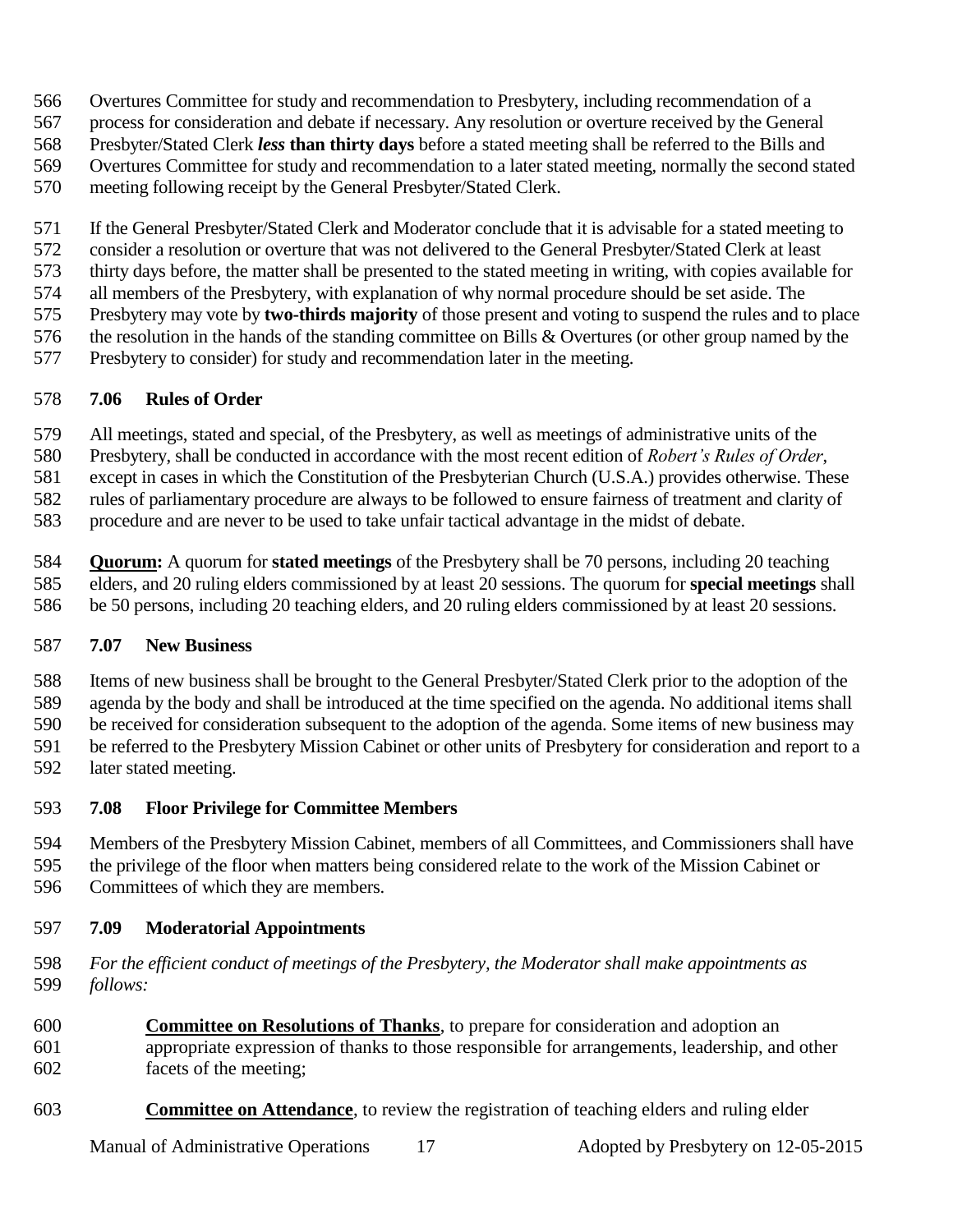- Overtures Committee for study and recommendation to Presbytery, including recommendation of a
- process for consideration and debate if necessary. Any resolution or overture received by the General
- Presbyter/Stated Clerk *less* **than thirty days** before a stated meeting shall be referred to the Bills and
- Overtures Committee for study and recommendation to a later stated meeting, normally the second stated
- meeting following receipt by the General Presbyter/Stated Clerk.
- If the General Presbyter/Stated Clerk and Moderator conclude that it is advisable for a stated meeting to
- consider a resolution or overture that was not delivered to the General Presbyter/Stated Clerk at least
- thirty days before, the matter shall be presented to the stated meeting in writing, with copies available for
- all members of the Presbytery, with explanation of why normal procedure should be set aside. The
- Presbytery may vote by **two-thirds majority** of those present and voting to suspend the rules and to place the resolution in the hands of the standing committee on Bills & Overtures (or other group named by the
- Presbytery to consider) for study and recommendation later in the meeting.

## **7.06 Rules of Order**

- All meetings, stated and special, of the Presbytery, as well as meetings of administrative units of the
- Presbytery, shall be conducted in accordance with the most recent edition of *Robert's Rules of Order*,
- except in cases in which the Constitution of the Presbyterian Church (U.S.A.) provides otherwise. These
- rules of parliamentary procedure are always to be followed to ensure fairness of treatment and clarity of
- procedure and are never to be used to take unfair tactical advantage in the midst of debate.
- **Quorum:** A quorum for **stated meetings** of the Presbytery shall be 70 persons, including 20 teaching elders, and 20 ruling elders commissioned by at least 20 sessions. The quorum for **special meetings** shall be 50 persons, including 20 teaching elders, and 20 ruling elders commissioned by at least 20 sessions.

#### **7.07 New Business**

- Items of new business shall be brought to the General Presbyter/Stated Clerk prior to the adoption of the
- agenda by the body and shall be introduced at the time specified on the agenda. No additional items shall be received for consideration subsequent to the adoption of the agenda. Some items of new business may
- be referred to the Presbytery Mission Cabinet or other units of Presbytery for consideration and report to a
- later stated meeting.
- **7.08 Floor Privilege for Committee Members**
- Members of the Presbytery Mission Cabinet, members of all Committees, and Commissioners shall have
- the privilege of the floor when matters being considered relate to the work of the Mission Cabinet or
- Committees of which they are members.

## **7.09 Moderatorial Appointments**

- *For the efficient conduct of meetings of the Presbytery, the Moderator shall make appointments as follows:*
- **Committee on Resolutions of Thanks**, to prepare for consideration and adoption an appropriate expression of thanks to those responsible for arrangements, leadership, and other facets of the meeting;
- **Committee on Attendance**, to review the registration of teaching elders and ruling elder

Manual of Administrative Operations 17 Adopted by Presbytery on 12-05-2015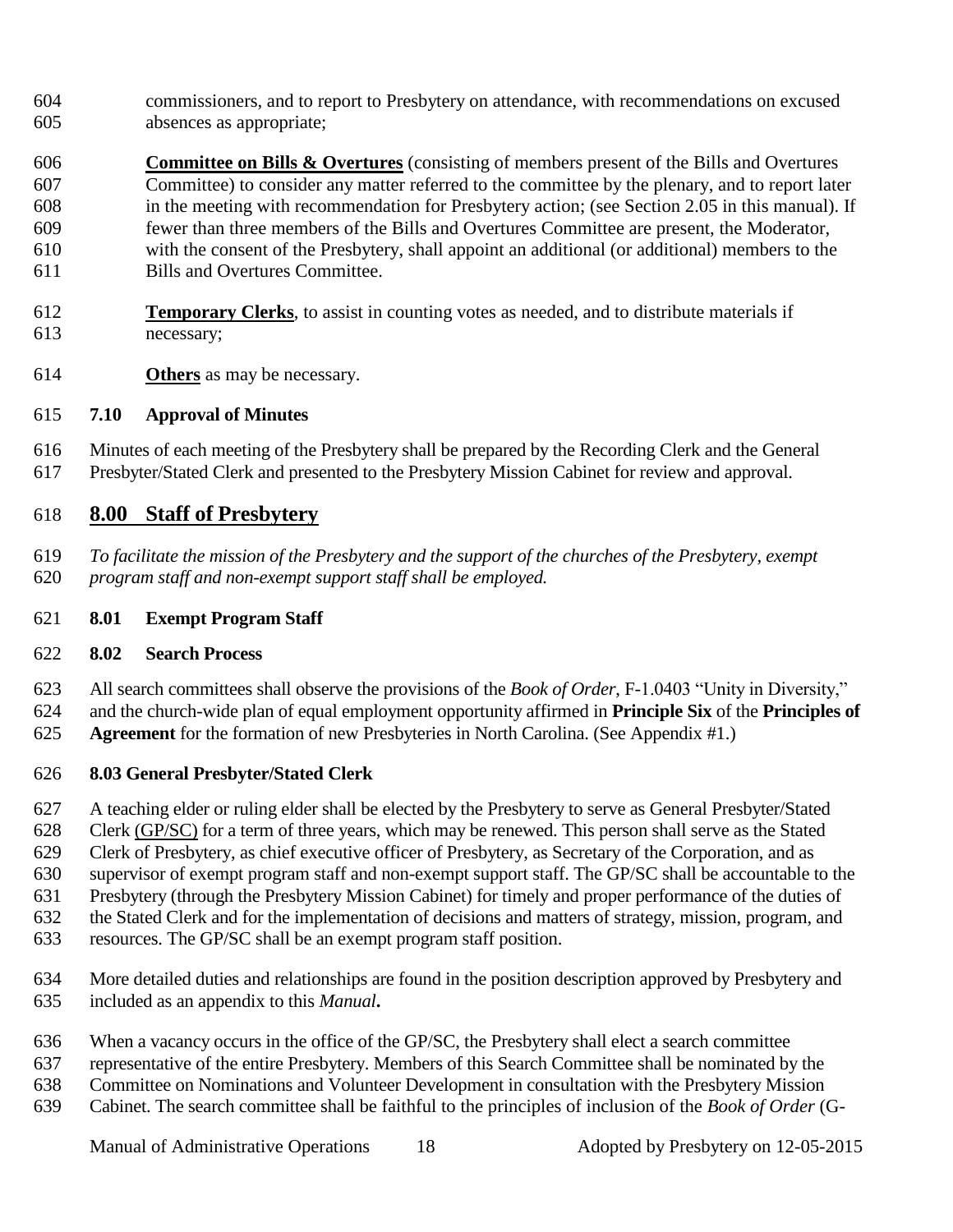- commissioners, and to report to Presbytery on attendance, with recommendations on excused absences as appropriate;
- **Committee on Bills & Overtures** (consisting of members present of the Bills and Overtures Committee) to consider any matter referred to the committee by the plenary, and to report later in the meeting with recommendation for Presbytery action; (see Section 2.05 in this manual). If fewer than three members of the Bills and Overtures Committee are present, the Moderator, with the consent of the Presbytery, shall appoint an additional (or additional) members to the Bills and Overtures Committee.
- **Temporary Clerks**, to assist in counting votes as needed, and to distribute materials if necessary;
- **Others** as may be necessary.

#### **7.10 Approval of Minutes**

 Minutes of each meeting of the Presbytery shall be prepared by the Recording Clerk and the General Presbyter/Stated Clerk and presented to the Presbytery Mission Cabinet for review and approval.

#### **8.00 Staff of Presbytery**

- *To facilitate the mission of the Presbytery and the support of the churches of the Presbytery, exempt program staff and non-exempt support staff shall be employed.*
- **8.01 Exempt Program Staff**

#### **8.02 Search Process**

All search committees shall observe the provisions of the *Book of Order*, F-1.0403 "Unity in Diversity,"

- and the church-wide plan of equal employment opportunity affirmed in **Principle Six** of the **Principles of**
- **Agreement** for the formation of new Presbyteries in North Carolina. (See Appendix #1.)

#### **8.03 General Presbyter/Stated Clerk**

- A teaching elder or ruling elder shall be elected by the Presbytery to serve as General Presbyter/Stated
- Clerk (GP/SC) for a term of three years, which may be renewed. This person shall serve as the Stated
- Clerk of Presbytery, as chief executive officer of Presbytery, as Secretary of the Corporation, and as
- supervisor of exempt program staff and non-exempt support staff. The GP/SC shall be accountable to the
- Presbytery (through the Presbytery Mission Cabinet) for timely and proper performance of the duties of
- the Stated Clerk and for the implementation of decisions and matters of strategy, mission, program, and
- resources. The GP/SC shall be an exempt program staff position.
- More detailed duties and relationships are found in the position description approved by Presbytery and included as an appendix to this *Manual***.**
- When a vacancy occurs in the office of the GP/SC, the Presbytery shall elect a search committee
- representative of the entire Presbytery. Members of this Search Committee shall be nominated by the
- Committee on Nominations and Volunteer Development in consultation with the Presbytery Mission
- Cabinet. The search committee shall be faithful to the principles of inclusion of the *Book of Order* (G-

Manual of Administrative Operations 18 Adopted by Presbytery on 12-05-2015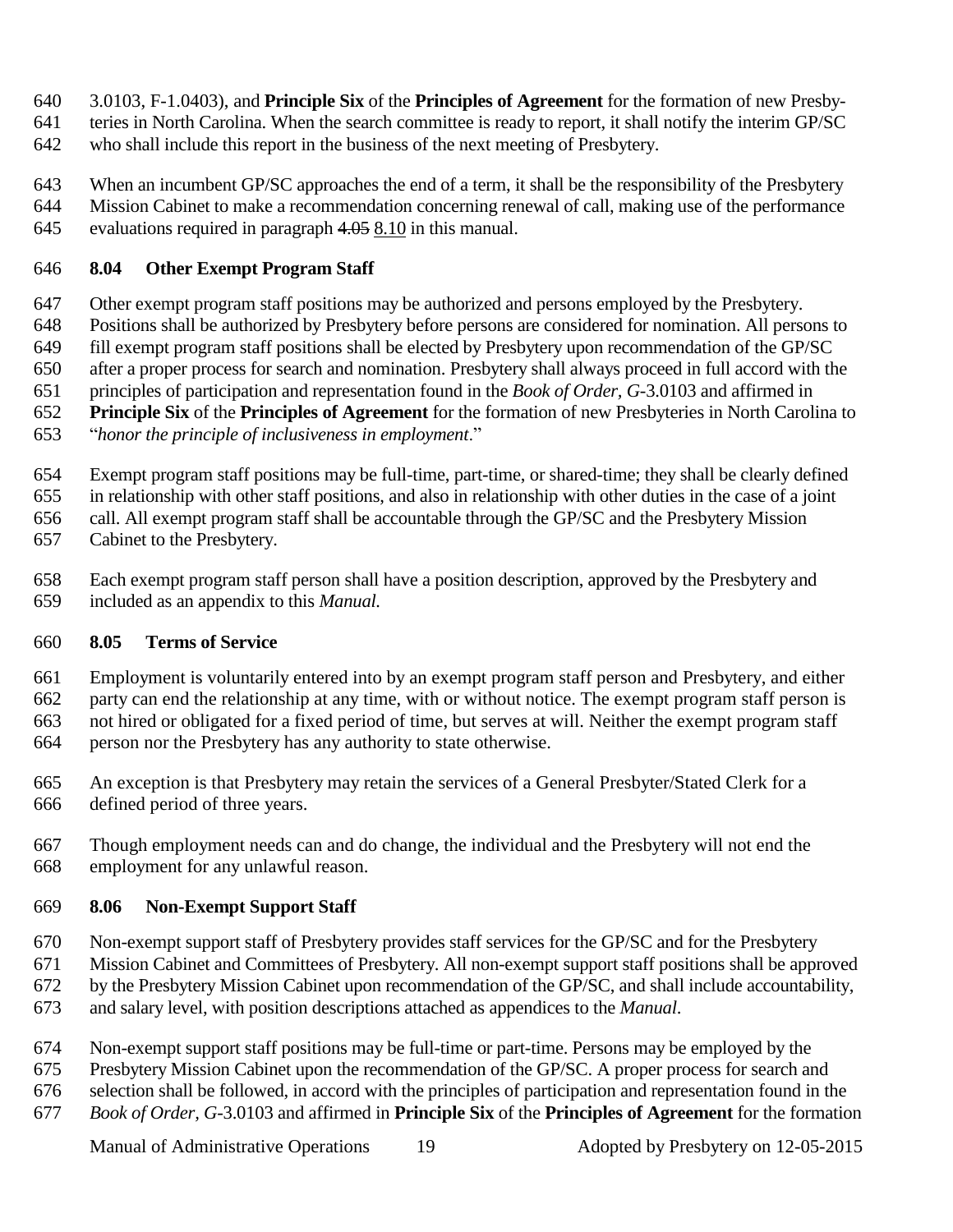- 3.0103, F-1.0403), and **Principle Six** of the **Principles of Agreement** for the formation of new Presby-
- teries in North Carolina. When the search committee is ready to report, it shall notify the interim GP/SC
- who shall include this report in the business of the next meeting of Presbytery.
- When an incumbent GP/SC approaches the end of a term, it shall be the responsibility of the Presbytery Mission Cabinet to make a recommendation concerning renewal of call, making use of the performance
- evaluations required in paragraph 4.05 8.10 in this manual.

#### **8.04 Other Exempt Program Staff**

- Other exempt program staff positions may be authorized and persons employed by the Presbytery.
- Positions shall be authorized by Presbytery before persons are considered for nomination. All persons to
- fill exempt program staff positions shall be elected by Presbytery upon recommendation of the GP/SC after a proper process for search and nomination. Presbytery shall always proceed in full accord with the
- principles of participation and representation found in the *Book of Order, G*-3.0103 and affirmed in
- **Principle Six** of the **Principles of Agreement** for the formation of new Presbyteries in North Carolina to
- "*honor the principle of inclusiveness in employment*."
- Exempt program staff positions may be full-time, part-time, or shared-time; they shall be clearly defined
- in relationship with other staff positions, and also in relationship with other duties in the case of a joint
- call. All exempt program staff shall be accountable through the GP/SC and the Presbytery Mission
- Cabinet to the Presbytery.
- Each exempt program staff person shall have a position description, approved by the Presbytery and included as an appendix to this *Manual.*

#### **8.05 Terms of Service**

- Employment is voluntarily entered into by an exempt program staff person and Presbytery, and either party can end the relationship at any time, with or without notice. The exempt program staff person is not hired or obligated for a fixed period of time, but serves at will. Neither the exempt program staff person nor the Presbytery has any authority to state otherwise.
- An exception is that Presbytery may retain the services of a General Presbyter/Stated Clerk for a defined period of three years.
- Though employment needs can and do change, the individual and the Presbytery will not end the employment for any unlawful reason.

#### **8.06 Non-Exempt Support Staff**

- Non-exempt support staff of Presbytery provides staff services for the GP/SC and for the Presbytery
- Mission Cabinet and Committees of Presbytery. All non-exempt support staff positions shall be approved
- by the Presbytery Mission Cabinet upon recommendation of the GP/SC, and shall include accountability,
- and salary level, with position descriptions attached as appendices to the *Manual*.
- Non-exempt support staff positions may be full-time or part-time. Persons may be employed by the
- Presbytery Mission Cabinet upon the recommendation of the GP/SC. A proper process for search and
- selection shall be followed, in accord with the principles of participation and representation found in the
- *Book of Order, G*-3.0103 and affirmed in **Principle Six** of the **Principles of Agreement** for the formation

Manual of Administrative Operations 19 Adopted by Presbytery on 12-05-2015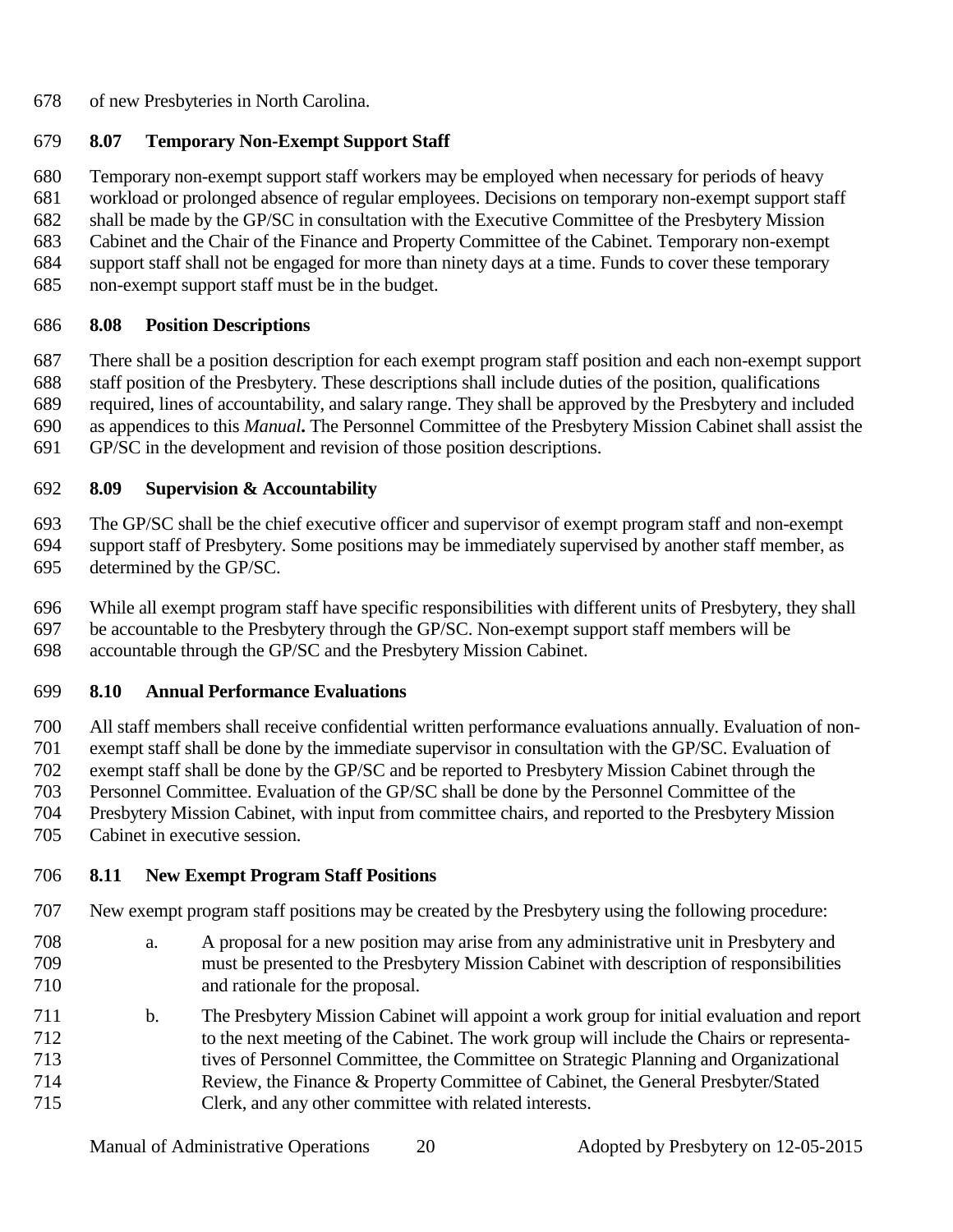of new Presbyteries in North Carolina.

## **8.07 Temporary Non-Exempt Support Staff**

 Temporary non-exempt support staff workers may be employed when necessary for periods of heavy workload or prolonged absence of regular employees. Decisions on temporary non-exempt support staff shall be made by the GP/SC in consultation with the Executive Committee of the Presbytery Mission Cabinet and the Chair of the Finance and Property Committee of the Cabinet. Temporary non-exempt support staff shall not be engaged for more than ninety days at a time. Funds to cover these temporary

non-exempt support staff must be in the budget.

#### **8.08 Position Descriptions**

 There shall be a position description for each exempt program staff position and each non-exempt support staff position of the Presbytery. These descriptions shall include duties of the position, qualifications required, lines of accountability, and salary range. They shall be approved by the Presbytery and included as appendices to this *Manual***.** The Personnel Committee of the Presbytery Mission Cabinet shall assist the GP/SC in the development and revision of those position descriptions.

## **8.09 Supervision & Accountability**

 The GP/SC shall be the chief executive officer and supervisor of exempt program staff and non-exempt support staff of Presbytery. Some positions may be immediately supervised by another staff member, as determined by the GP/SC.

 While all exempt program staff have specific responsibilities with different units of Presbytery, they shall be accountable to the Presbytery through the GP/SC. Non-exempt support staff members will be accountable through the GP/SC and the Presbytery Mission Cabinet.

#### **8.10 Annual Performance Evaluations**

 All staff members shall receive confidential written performance evaluations annually. Evaluation of non- exempt staff shall be done by the immediate supervisor in consultation with the GP/SC. Evaluation of exempt staff shall be done by the GP/SC and be reported to Presbytery Mission Cabinet through the

Personnel Committee. Evaluation of the GP/SC shall be done by the Personnel Committee of the

Presbytery Mission Cabinet, with input from committee chairs, and reported to the Presbytery Mission

Cabinet in executive session.

## **8.11 New Exempt Program Staff Positions**

- New exempt program staff positions may be created by the Presbytery using the following procedure:
- a. A proposal for a new position may arise from any administrative unit in Presbytery and must be presented to the Presbytery Mission Cabinet with description of responsibilities and rationale for the proposal.
- b. The Presbytery Mission Cabinet will appoint a work group for initial evaluation and report to the next meeting of the Cabinet. The work group will include the Chairs or representa- tives of Personnel Committee, the Committee on Strategic Planning and Organizational Review, the Finance & Property Committee of Cabinet, the General Presbyter/Stated Clerk, and any other committee with related interests.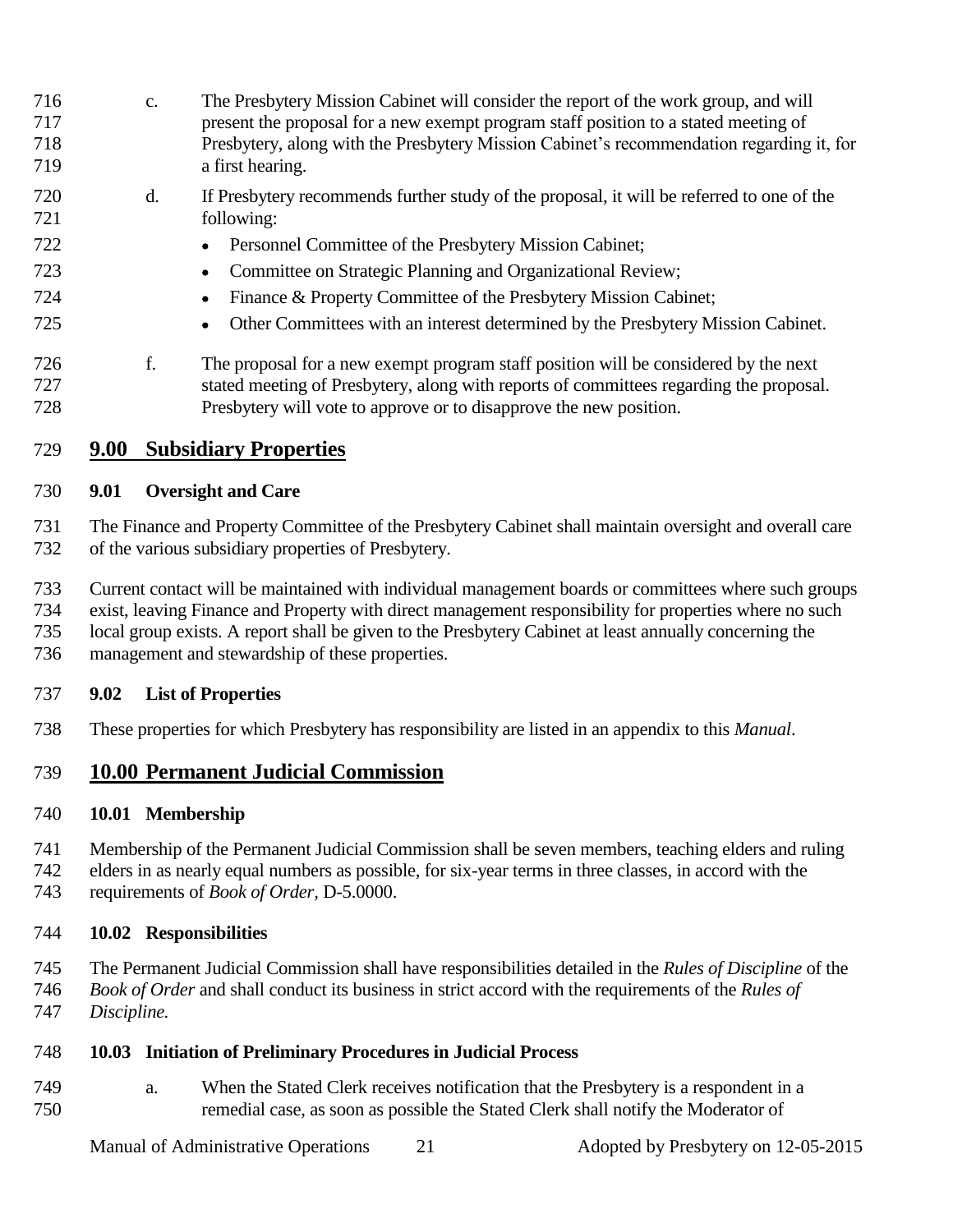c. The Presbytery Mission Cabinet will consider the report of the work group, and will present the proposal for a new exempt program staff position to a stated meeting of Presbytery, along with the Presbytery Mission Cabinet's recommendation regarding it, for a first hearing. d. If Presbytery recommends further study of the proposal, it will be referred to one of the following: 722 Personnel Committee of the Presbytery Mission Cabinet; Committee on Strategic Planning and Organizational Review; Finance & Property Committee of the Presbytery Mission Cabinet; Other Committees with an interest determined by the Presbytery Mission Cabinet. f. The proposal for a new exempt program staff position will be considered by the next stated meeting of Presbytery, along with reports of committees regarding the proposal. Presbytery will vote to approve or to disapprove the new position.

#### **9.00 Subsidiary Properties**

#### **9.01 Oversight and Care**

 The Finance and Property Committee of the Presbytery Cabinet shall maintain oversight and overall care of the various subsidiary properties of Presbytery.

- Current contact will be maintained with individual management boards or committees where such groups
- exist, leaving Finance and Property with direct management responsibility for properties where no such
- local group exists. A report shall be given to the Presbytery Cabinet at least annually concerning the
- management and stewardship of these properties.

#### **9.02 List of Properties**

These properties for which Presbytery has responsibility are listed in an appendix to this *Manual*.

#### **10.00 Permanent Judicial Commission**

#### **10.01 Membership**

- Membership of the Permanent Judicial Commission shall be seven members, teaching elders and ruling
- elders in as nearly equal numbers as possible, for six-year terms in three classes, in accord with the
- requirements of *Book of Order,* D-5.0000.

#### **10.02 Responsibilities**

- The Permanent Judicial Commission shall have responsibilities detailed in the *Rules of Discipline* of the
- *Book of Order* and shall conduct its business in strict accord with the requirements of the *Rules of*
- *Discipline.*

#### **10.03 Initiation of Preliminary Procedures in Judicial Process**

 a. When the Stated Clerk receives notification that the Presbytery is a respondent in a remedial case, as soon as possible the Stated Clerk shall notify the Moderator of

Manual of Administrative Operations 21 Adopted by Presbytery on 12-05-2015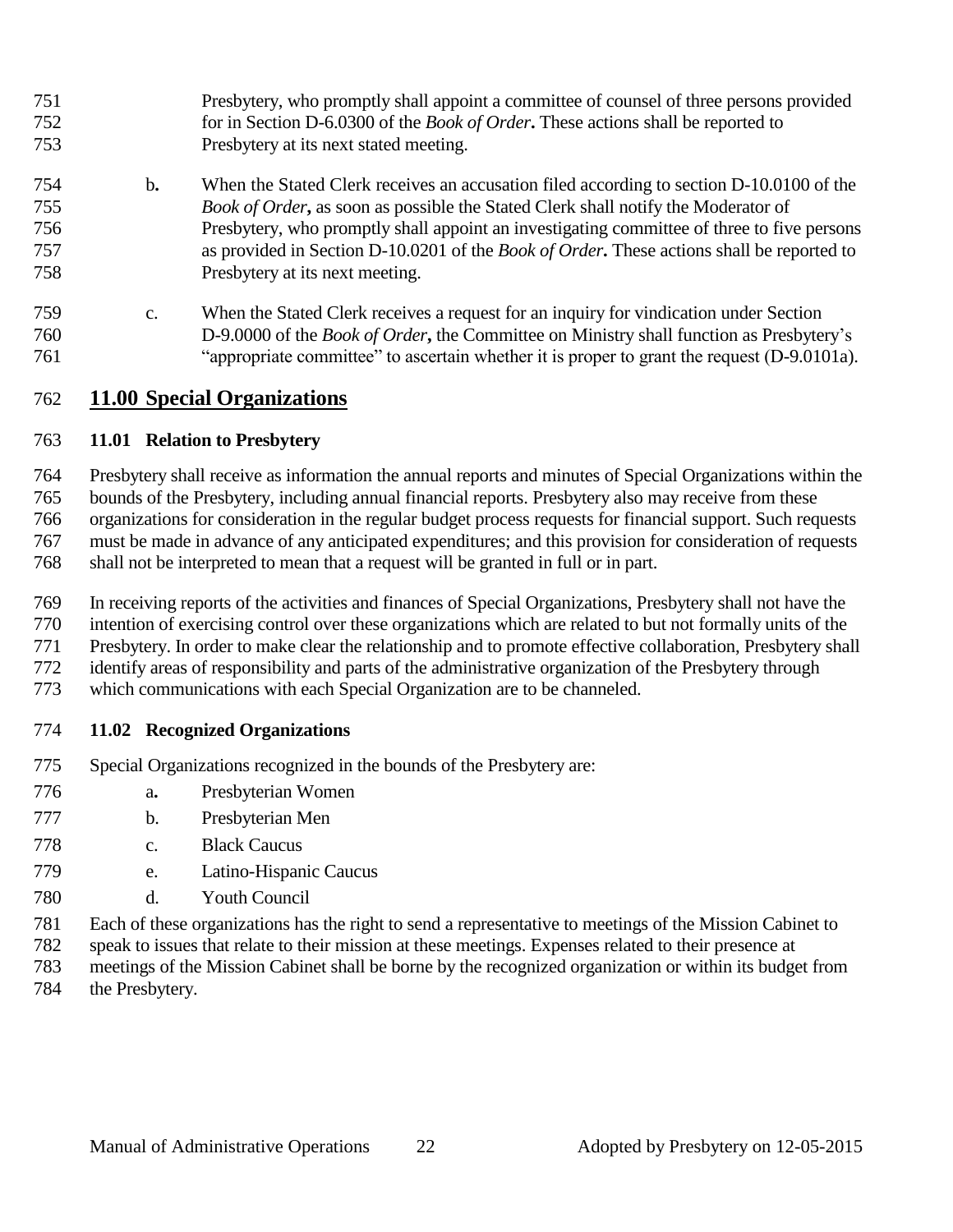- Presbytery, who promptly shall appoint a committee of counsel of three persons provided for in Section D-6.0300 of the *Book of Order***.** These actions shall be reported to Presbytery at its next stated meeting.
- b**.** When the Stated Clerk receives an accusation filed according to section D-10.0100 of the *Book of Order***,** as soon as possible the Stated Clerk shall notify the Moderator of Presbytery, who promptly shall appoint an investigating committee of three to five persons as provided in Section D-10.0201 of the *Book of Order***.** These actions shall be reported to Presbytery at its next meeting.
- c. When the Stated Clerk receives a request for an inquiry for vindication under Section D-9.0000 of the *Book of Order***,** the Committee on Ministry shall function as Presbytery's "appropriate committee" to ascertain whether it is proper to grant the request (D-9.0101a).

#### **11.00 Special Organizations**

#### **11.01 Relation to Presbytery**

Presbytery shall receive as information the annual reports and minutes of Special Organizations within the

bounds of the Presbytery, including annual financial reports. Presbytery also may receive from these

 organizations for consideration in the regular budget process requests for financial support. Such requests must be made in advance of any anticipated expenditures; and this provision for consideration of requests

shall not be interpreted to mean that a request will be granted in full or in part.

In receiving reports of the activities and finances of Special Organizations, Presbytery shall not have the

intention of exercising control over these organizations which are related to but not formally units of the

Presbytery. In order to make clear the relationship and to promote effective collaboration, Presbytery shall

- identify areas of responsibility and parts of the administrative organization of the Presbytery through
- which communications with each Special Organization are to be channeled.

#### **11.02 Recognized Organizations**

- Special Organizations recognized in the bounds of the Presbytery are:
- a**.** Presbyterian Women
- b. Presbyterian Men
- c. Black Caucus
- e. Latino-Hispanic Caucus
- d. Youth Council
- Each of these organizations has the right to send a representative to meetings of the Mission Cabinet to
- speak to issues that relate to their mission at these meetings. Expenses related to their presence at
- meetings of the Mission Cabinet shall be borne by the recognized organization or within its budget from
- the Presbytery.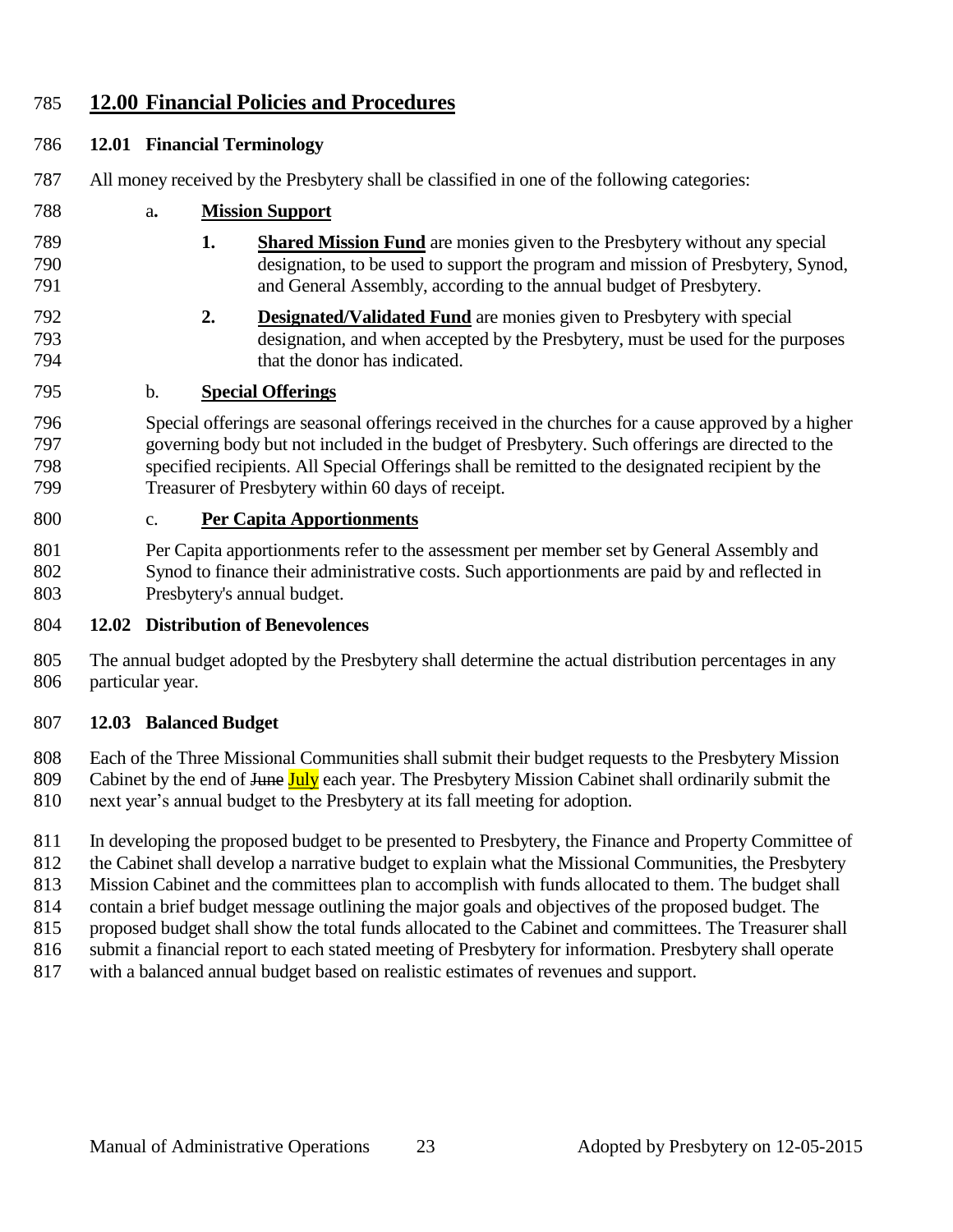#### **12.00 Financial Policies and Procedures**

#### **12.01 Financial Terminology**

- All money received by the Presbytery shall be classified in one of the following categories:
- a**. Mission Support**
- **1. Shared Mission Fund** are monies given to the Presbytery without any special designation, to be used to support the program and mission of Presbytery, Synod, and General Assembly, according to the annual budget of Presbytery.
- **2. Designated/Validated Fund** are monies given to Presbytery with special designation, and when accepted by the Presbytery, must be used for the purposes that the donor has indicated.

#### b. **Special Offerings**

 Special offerings are seasonal offerings received in the churches for a cause approved by a higher governing body but not included in the budget of Presbytery. Such offerings are directed to the specified recipients. All Special Offerings shall be remitted to the designated recipient by the Treasurer of Presbytery within 60 days of receipt.

#### c. **Per Capita Apportionments**

 Per Capita apportionments refer to the assessment per member set by General Assembly and Synod to finance their administrative costs. Such apportionments are paid by and reflected in Presbytery's annual budget.

#### **12.02 Distribution of Benevolences**

 The annual budget adopted by the Presbytery shall determine the actual distribution percentages in any particular year.

#### **12.03 Balanced Budget**

 Each of the Three Missional Communities shall submit their budget requests to the Presbytery Mission 809 Cabinet by the end of <del>June July</del> each year. The Presbytery Mission Cabinet shall ordinarily submit the next year's annual budget to the Presbytery at its fall meeting for adoption.

In developing the proposed budget to be presented to Presbytery, the Finance and Property Committee of

812 the Cabinet shall develop a narrative budget to explain what the Missional Communities, the Presbytery

Mission Cabinet and the committees plan to accomplish with funds allocated to them. The budget shall

contain a brief budget message outlining the major goals and objectives of the proposed budget. The

- proposed budget shall show the total funds allocated to the Cabinet and committees. The Treasurer shall
- 816 submit a financial report to each stated meeting of Presbytery for information. Presbytery shall operate
- with a balanced annual budget based on realistic estimates of revenues and support.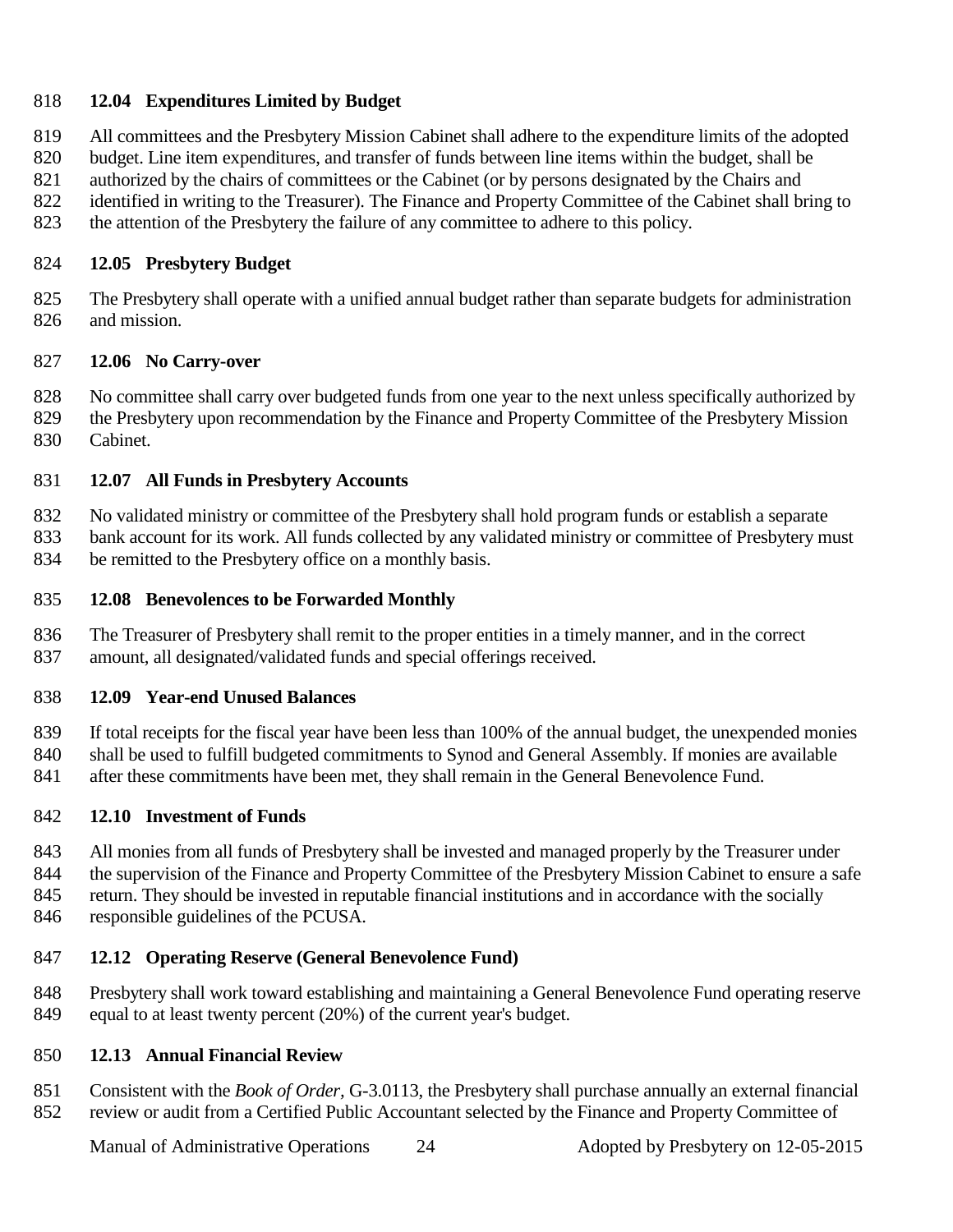#### **12.04 Expenditures Limited by Budget**

- All committees and the Presbytery Mission Cabinet shall adhere to the expenditure limits of the adopted
- budget. Line item expenditures, and transfer of funds between line items within the budget, shall be
- 821 authorized by the chairs of committees or the Cabinet (or by persons designated by the Chairs and
- identified in writing to the Treasurer). The Finance and Property Committee of the Cabinet shall bring to
- the attention of the Presbytery the failure of any committee to adhere to this policy.

#### **12.05 Presbytery Budget**

 The Presbytery shall operate with a unified annual budget rather than separate budgets for administration and mission.

#### **12.06 No Carry-over**

- No committee shall carry over budgeted funds from one year to the next unless specifically authorized by
- the Presbytery upon recommendation by the Finance and Property Committee of the Presbytery Mission Cabinet.

#### **12.07 All Funds in Presbytery Accounts**

No validated ministry or committee of the Presbytery shall hold program funds or establish a separate

 bank account for its work. All funds collected by any validated ministry or committee of Presbytery must be remitted to the Presbytery office on a monthly basis.

- **12.08 Benevolences to be Forwarded Monthly**
- The Treasurer of Presbytery shall remit to the proper entities in a timely manner, and in the correct amount, all designated/validated funds and special offerings received.

#### **12.09 Year-end Unused Balances**

 If total receipts for the fiscal year have been less than 100% of the annual budget, the unexpended monies shall be used to fulfill budgeted commitments to Synod and General Assembly. If monies are available 841 after these commitments have been met, they shall remain in the General Benevolence Fund.

#### **12.10 Investment of Funds**

 All monies from all funds of Presbytery shall be invested and managed properly by the Treasurer under 844 the supervision of the Finance and Property Committee of the Presbytery Mission Cabinet to ensure a safe 845 return. They should be invested in reputable financial institutions and in accordance with the socially responsible guidelines of the PCUSA.

#### **12.12 Operating Reserve (General Benevolence Fund)**

 Presbytery shall work toward establishing and maintaining a General Benevolence Fund operating reserve equal to at least twenty percent (20%) of the current year's budget.

#### **12.13 Annual Financial Review**

 Consistent with the *Book of Order,* G-3.0113, the Presbytery shall purchase annually an external financial review or audit from a Certified Public Accountant selected by the Finance and Property Committee of

Manual of Administrative Operations 24 Adopted by Presbytery on 12-05-2015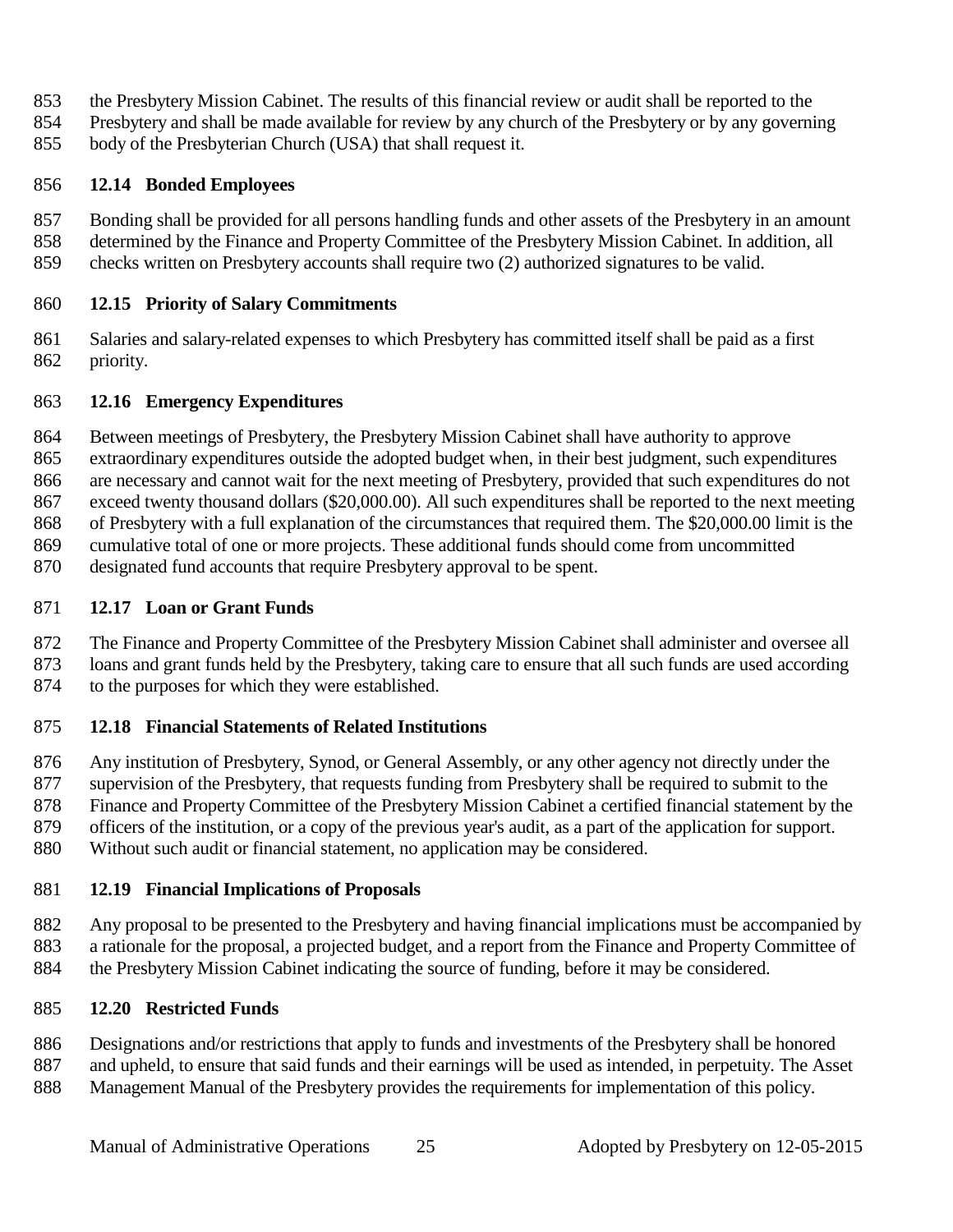- the Presbytery Mission Cabinet. The results of this financial review or audit shall be reported to the
- Presbytery and shall be made available for review by any church of the Presbytery or by any governing
- body of the Presbyterian Church (USA) that shall request it.

#### **12.14 Bonded Employees**

- Bonding shall be provided for all persons handling funds and other assets of the Presbytery in an amount
- determined by the Finance and Property Committee of the Presbytery Mission Cabinet. In addition, all
- checks written on Presbytery accounts shall require two (2) authorized signatures to be valid.

#### **12.15 Priority of Salary Commitments**

 Salaries and salary-related expenses to which Presbytery has committed itself shall be paid as a first priority.

#### **12.16 Emergency Expenditures**

Between meetings of Presbytery, the Presbytery Mission Cabinet shall have authority to approve

- extraordinary expenditures outside the adopted budget when, in their best judgment, such expenditures
- are necessary and cannot wait for the next meeting of Presbytery, provided that such expenditures do not
- exceed twenty thousand dollars (\$20,000.00). All such expenditures shall be reported to the next meeting
- of Presbytery with a full explanation of the circumstances that required them. The \$20,000.00 limit is the
- cumulative total of one or more projects. These additional funds should come from uncommitted
- designated fund accounts that require Presbytery approval to be spent.

#### **12.17 Loan or Grant Funds**

- The Finance and Property Committee of the Presbytery Mission Cabinet shall administer and oversee all
- loans and grant funds held by the Presbytery, taking care to ensure that all such funds are used according
- to the purposes for which they were established.

#### **12.18 Financial Statements of Related Institutions**

 Any institution of Presbytery, Synod, or General Assembly, or any other agency not directly under the supervision of the Presbytery, that requests funding from Presbytery shall be required to submit to the Finance and Property Committee of the Presbytery Mission Cabinet a certified financial statement by the officers of the institution, or a copy of the previous year's audit, as a part of the application for support. Without such audit or financial statement, no application may be considered.

#### **12.19 Financial Implications of Proposals**

 Any proposal to be presented to the Presbytery and having financial implications must be accompanied by a rationale for the proposal, a projected budget, and a report from the Finance and Property Committee of the Presbytery Mission Cabinet indicating the source of funding, before it may be considered.

#### **12.20 Restricted Funds**

- Designations and/or restrictions that apply to funds and investments of the Presbytery shall be honored and upheld, to ensure that said funds and their earnings will be used as intended, in perpetuity. The Asset
- Management Manual of the Presbytery provides the requirements for implementation of this policy.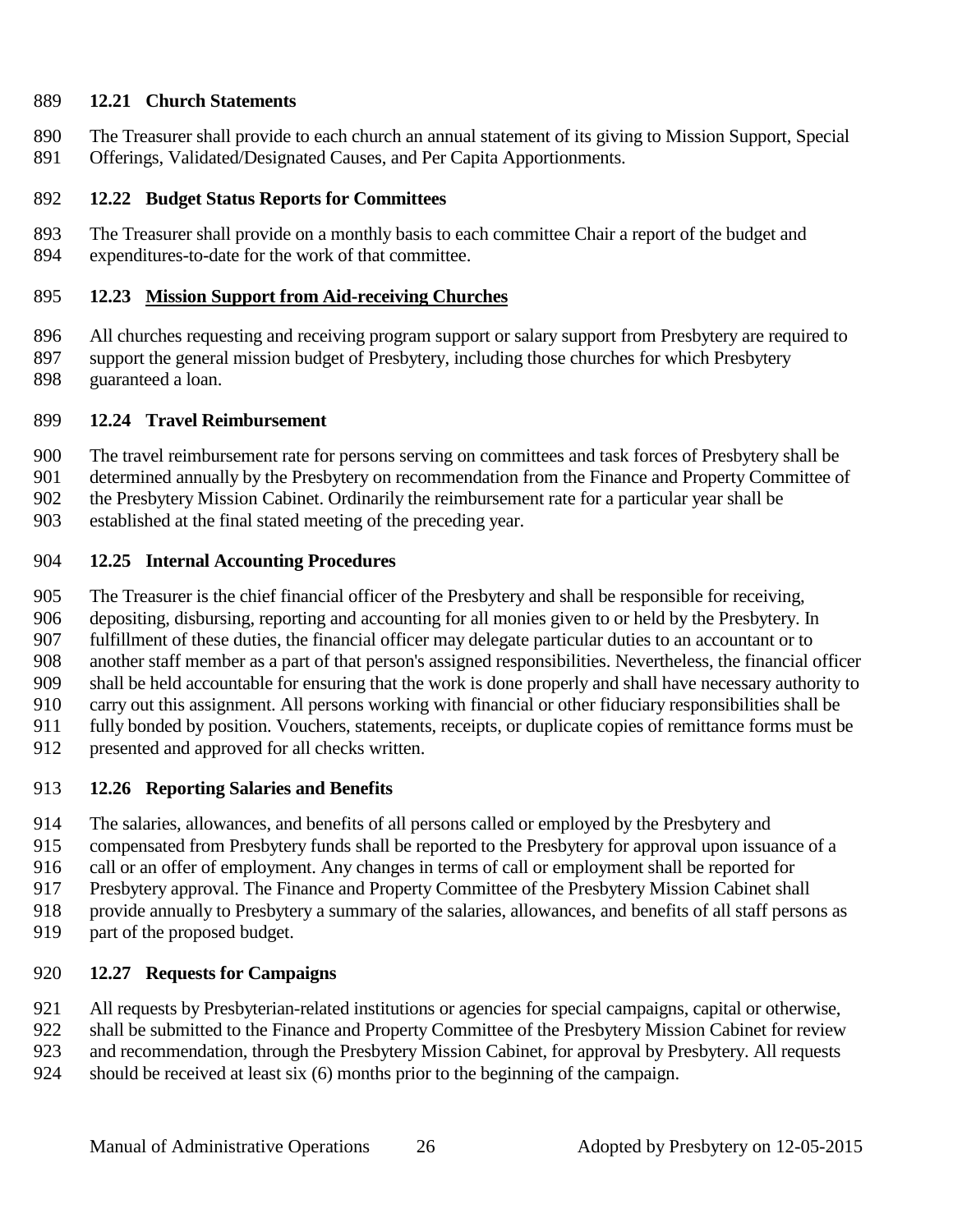#### **12.21 Church Statements**

- The Treasurer shall provide to each church an annual statement of its giving to Mission Support, Special
- Offerings, Validated/Designated Causes, and Per Capita Apportionments.

#### **12.22 Budget Status Reports for Committees**

 The Treasurer shall provide on a monthly basis to each committee Chair a report of the budget and expenditures-to-date for the work of that committee.

#### **12.23 Mission Support from Aid-receiving Churches**

 All churches requesting and receiving program support or salary support from Presbytery are required to support the general mission budget of Presbytery, including those churches for which Presbytery guaranteed a loan.

#### **12.24 Travel Reimbursement**

- The travel reimbursement rate for persons serving on committees and task forces of Presbytery shall be
- determined annually by the Presbytery on recommendation from the Finance and Property Committee of
- the Presbytery Mission Cabinet. Ordinarily the reimbursement rate for a particular year shall be
- established at the final stated meeting of the preceding year.

#### **12.25 Internal Accounting Procedures**

- The Treasurer is the chief financial officer of the Presbytery and shall be responsible for receiving,
- depositing, disbursing, reporting and accounting for all monies given to or held by the Presbytery. In
- fulfillment of these duties, the financial officer may delegate particular duties to an accountant or to
- another staff member as a part of that person's assigned responsibilities. Nevertheless, the financial officer
- shall be held accountable for ensuring that the work is done properly and shall have necessary authority to
- carry out this assignment. All persons working with financial or other fiduciary responsibilities shall be
- fully bonded by position. Vouchers, statements, receipts, or duplicate copies of remittance forms must be
- presented and approved for all checks written.

#### **12.26 Reporting Salaries and Benefits**

- The salaries, allowances, and benefits of all persons called or employed by the Presbytery and
- compensated from Presbytery funds shall be reported to the Presbytery for approval upon issuance of a
- call or an offer of employment. Any changes in terms of call or employment shall be reported for
- Presbytery approval. The Finance and Property Committee of the Presbytery Mission Cabinet shall
- provide annually to Presbytery a summary of the salaries, allowances, and benefits of all staff persons as
- part of the proposed budget.

#### **12.27 Requests for Campaigns**

- All requests by Presbyterian-related institutions or agencies for special campaigns, capital or otherwise,
- shall be submitted to the Finance and Property Committee of the Presbytery Mission Cabinet for review
- and recommendation, through the Presbytery Mission Cabinet, for approval by Presbytery. All requests
- should be received at least six (6) months prior to the beginning of the campaign.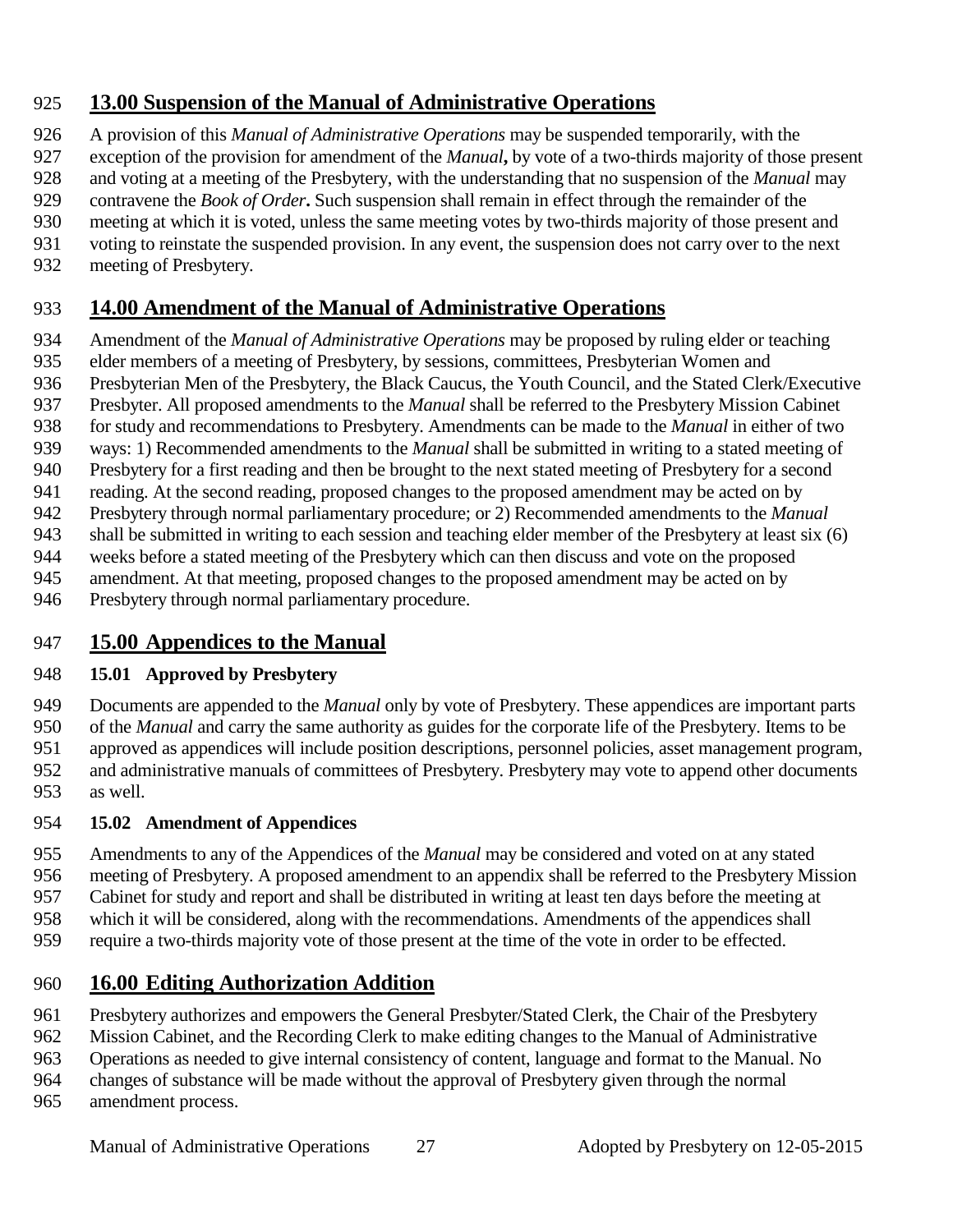#### **13.00 Suspension of the Manual of Administrative Operations**

- A provision of this *Manual of Administrative Operations* may be suspended temporarily, with the
- exception of the provision for amendment of the *Manual***,** by vote of a two-thirds majority of those present
- and voting at a meeting of the Presbytery, with the understanding that no suspension of the *Manual* may
- contravene the *Book of Order***.** Such suspension shall remain in effect through the remainder of the
- meeting at which it is voted, unless the same meeting votes by two-thirds majority of those present and
- voting to reinstate the suspended provision. In any event, the suspension does not carry over to the next
- meeting of Presbytery.

## **14.00 Amendment of the Manual of Administrative Operations**

- Amendment of the *Manual of Administrative Operations* may be proposed by ruling elder or teaching
- elder members of a meeting of Presbytery, by sessions, committees, Presbyterian Women and
- Presbyterian Men of the Presbytery, the Black Caucus, the Youth Council, and the Stated Clerk/Executive
- Presbyter. All proposed amendments to the *Manual* shall be referred to the Presbytery Mission Cabinet
- for study and recommendations to Presbytery. Amendments can be made to the *Manual* in either of two
- ways: 1) Recommended amendments to the *Manual* shall be submitted in writing to a stated meeting of
- Presbytery for a first reading and then be brought to the next stated meeting of Presbytery for a second
- reading. At the second reading, proposed changes to the proposed amendment may be acted on by
- Presbytery through normal parliamentary procedure; or 2) Recommended amendments to the *Manual*
- shall be submitted in writing to each session and teaching elder member of the Presbytery at least six (6) weeks before a stated meeting of the Presbytery which can then discuss and vote on the proposed
- amendment. At that meeting, proposed changes to the proposed amendment may be acted on by
- Presbytery through normal parliamentary procedure.

#### **15.00 Appendices to the Manual**

#### **15.01 Approved by Presbytery**

 Documents are appended to the *Manual* only by vote of Presbytery. These appendices are important parts of the *Manual* and carry the same authority as guides for the corporate life of the Presbytery. Items to be approved as appendices will include position descriptions, personnel policies, asset management program, and administrative manuals of committees of Presbytery. Presbytery may vote to append other documents as well.

#### **15.02 Amendment of Appendices**

- Amendments to any of the Appendices of the *Manual* may be considered and voted on at any stated meeting of Presbytery. A proposed amendment to an appendix shall be referred to the Presbytery Mission
- Cabinet for study and report and shall be distributed in writing at least ten days before the meeting at
- which it will be considered, along with the recommendations. Amendments of the appendices shall
- require a two-thirds majority vote of those present at the time of the vote in order to be effected.

## **16.00 Editing Authorization Addition**

- Presbytery authorizes and empowers the General Presbyter/Stated Clerk, the Chair of the Presbytery
- Mission Cabinet, and the Recording Clerk to make editing changes to the Manual of Administrative
- Operations as needed to give internal consistency of content, language and format to the Manual. No
- changes of substance will be made without the approval of Presbytery given through the normal
- amendment process.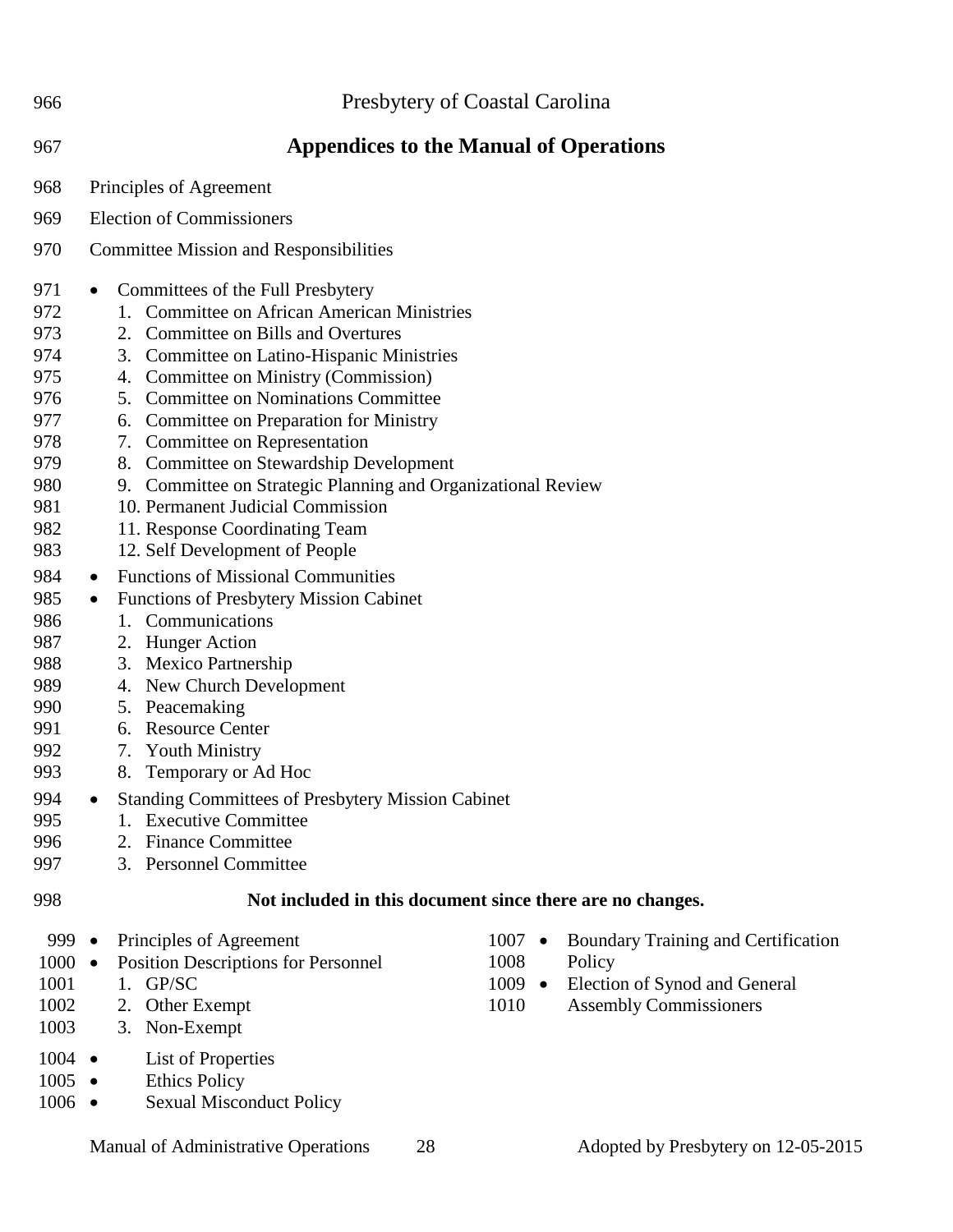| 966                                                                                                                                                                                       | Presbytery of Coastal Carolina                                                                                                                                                                                                                                                                                                                                                                                                                                                                                                                                                                                                                                                                                                                                                                                                                                                                                                                                                                                                                                                                                     |  |  |  |  |
|-------------------------------------------------------------------------------------------------------------------------------------------------------------------------------------------|--------------------------------------------------------------------------------------------------------------------------------------------------------------------------------------------------------------------------------------------------------------------------------------------------------------------------------------------------------------------------------------------------------------------------------------------------------------------------------------------------------------------------------------------------------------------------------------------------------------------------------------------------------------------------------------------------------------------------------------------------------------------------------------------------------------------------------------------------------------------------------------------------------------------------------------------------------------------------------------------------------------------------------------------------------------------------------------------------------------------|--|--|--|--|
| 967                                                                                                                                                                                       | <b>Appendices to the Manual of Operations</b>                                                                                                                                                                                                                                                                                                                                                                                                                                                                                                                                                                                                                                                                                                                                                                                                                                                                                                                                                                                                                                                                      |  |  |  |  |
| 968                                                                                                                                                                                       | Principles of Agreement                                                                                                                                                                                                                                                                                                                                                                                                                                                                                                                                                                                                                                                                                                                                                                                                                                                                                                                                                                                                                                                                                            |  |  |  |  |
| 969                                                                                                                                                                                       | <b>Election of Commissioners</b>                                                                                                                                                                                                                                                                                                                                                                                                                                                                                                                                                                                                                                                                                                                                                                                                                                                                                                                                                                                                                                                                                   |  |  |  |  |
| 970                                                                                                                                                                                       | <b>Committee Mission and Responsibilities</b>                                                                                                                                                                                                                                                                                                                                                                                                                                                                                                                                                                                                                                                                                                                                                                                                                                                                                                                                                                                                                                                                      |  |  |  |  |
| 971<br>972<br>973<br>974<br>975<br>976<br>977<br>978<br>979<br>980<br>981<br>982<br>983<br>984<br>985<br>986<br>987<br>988<br>989<br>990<br>991<br>992<br>993<br>994<br>995<br>996<br>997 | Committees of the Full Presbytery<br>$\bullet$<br><b>Committee on African American Ministries</b><br>1.<br>Committee on Bills and Overtures<br>2.<br>Committee on Latino-Hispanic Ministries<br>3.<br>Committee on Ministry (Commission)<br>4.<br>5. Committee on Nominations Committee<br><b>Committee on Preparation for Ministry</b><br>6.<br>7. Committee on Representation<br>8. Committee on Stewardship Development<br>Committee on Strategic Planning and Organizational Review<br>9.<br>10. Permanent Judicial Commission<br>11. Response Coordinating Team<br>12. Self Development of People<br><b>Functions of Missional Communities</b><br>$\bullet$<br><b>Functions of Presbytery Mission Cabinet</b><br>$\bullet$<br>1. Communications<br>2. Hunger Action<br><b>Mexico Partnership</b><br>3.<br>New Church Development<br>4.<br>Peacemaking<br>5.<br><b>Resource Center</b><br>6.<br><b>Youth Ministry</b><br>7.<br>Temporary or Ad Hoc<br>8.<br><b>Standing Committees of Presbytery Mission Cabinet</b><br><b>Executive Committee</b><br><b>Finance Committee</b><br>2.<br>3. Personnel Committee |  |  |  |  |
| 998                                                                                                                                                                                       | Not included in this document since there are no changes.                                                                                                                                                                                                                                                                                                                                                                                                                                                                                                                                                                                                                                                                                                                                                                                                                                                                                                                                                                                                                                                          |  |  |  |  |
| 999 ●<br>$1000 \bullet$<br>1001<br>1002<br>1003<br>$1004$ $\bullet$<br>$1005$ $\bullet$<br>$1006$ $\bullet$                                                                               | $1007 \bullet$<br><b>Boundary Training and Certification</b><br>Principles of Agreement<br>Position Descriptions for Personnel<br>1008<br>Policy<br>GP/SC<br>$1009$ $\bullet$<br>Election of Synod and General<br>1.<br>2. Other Exempt<br>1010<br><b>Assembly Commissioners</b><br>Non-Exempt<br>3.<br><b>List of Properties</b><br><b>Ethics Policy</b><br><b>Sexual Misconduct Policy</b>                                                                                                                                                                                                                                                                                                                                                                                                                                                                                                                                                                                                                                                                                                                       |  |  |  |  |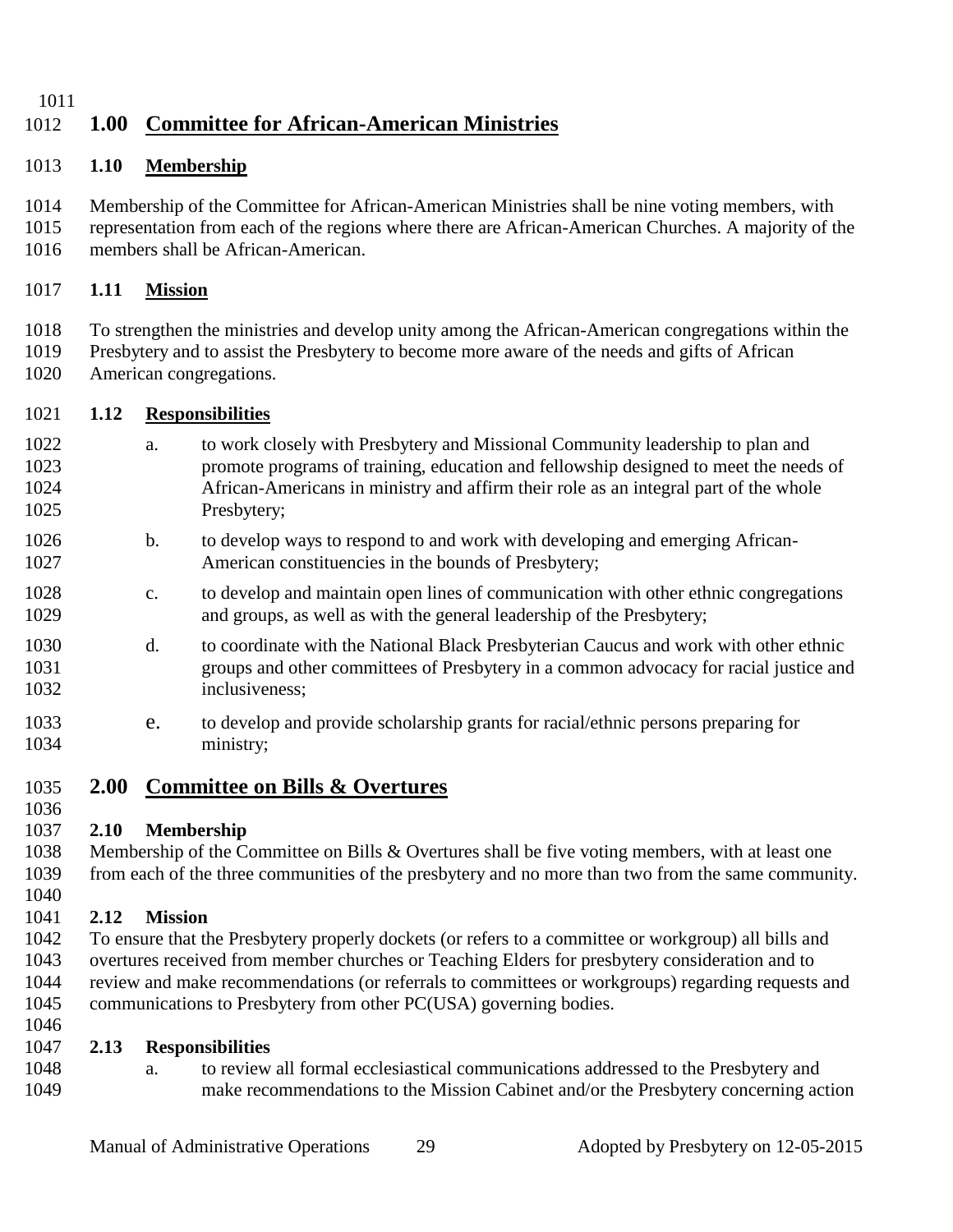## **1.00 Committee for African-American Ministries**

#### **1.10 Membership**

- Membership of the Committee for African-American Ministries shall be nine voting members, with
- representation from each of the regions where there are African-American Churches. A majority of the members shall be African-American.

#### **1.11 Mission**

- To strengthen the ministries and develop unity among the African-American congregations within the
- Presbytery and to assist the Presbytery to become more aware of the needs and gifts of African
- American congregations.

#### **1.12 Responsibilities**

- a. to work closely with Presbytery and Missional Community leadership to plan and promote programs of training, education and fellowship designed to meet the needs of African-Americans in ministry and affirm their role as an integral part of the whole Presbytery;
- b. to develop ways to respond to and work with developing and emerging African-American constituencies in the bounds of Presbytery;
- c. to develop and maintain open lines of communication with other ethnic congregations and groups, as well as with the general leadership of the Presbytery;
- d. to coordinate with the National Black Presbyterian Caucus and work with other ethnic groups and other committees of Presbytery in a common advocacy for racial justice and inclusiveness;
- e. to develop and provide scholarship grants for racial/ethnic persons preparing for ministry;

#### **2.00 Committee on Bills & Overtures**

#### **2.10 Membership**

 Membership of the Committee on Bills & Overtures shall be five voting members, with at least one from each of the three communities of the presbytery and no more than two from the same community.

#### **2.12 Mission**

 To ensure that the Presbytery properly dockets (or refers to a committee or workgroup) all bills and overtures received from member churches or Teaching Elders for presbytery consideration and to review and make recommendations (or referrals to committees or workgroups) regarding requests and communications to Presbytery from other PC(USA) governing bodies.

#### **2.13 Responsibilities**

 a. to review all formal ecclesiastical communications addressed to the Presbytery and make recommendations to the Mission Cabinet and/or the Presbytery concerning action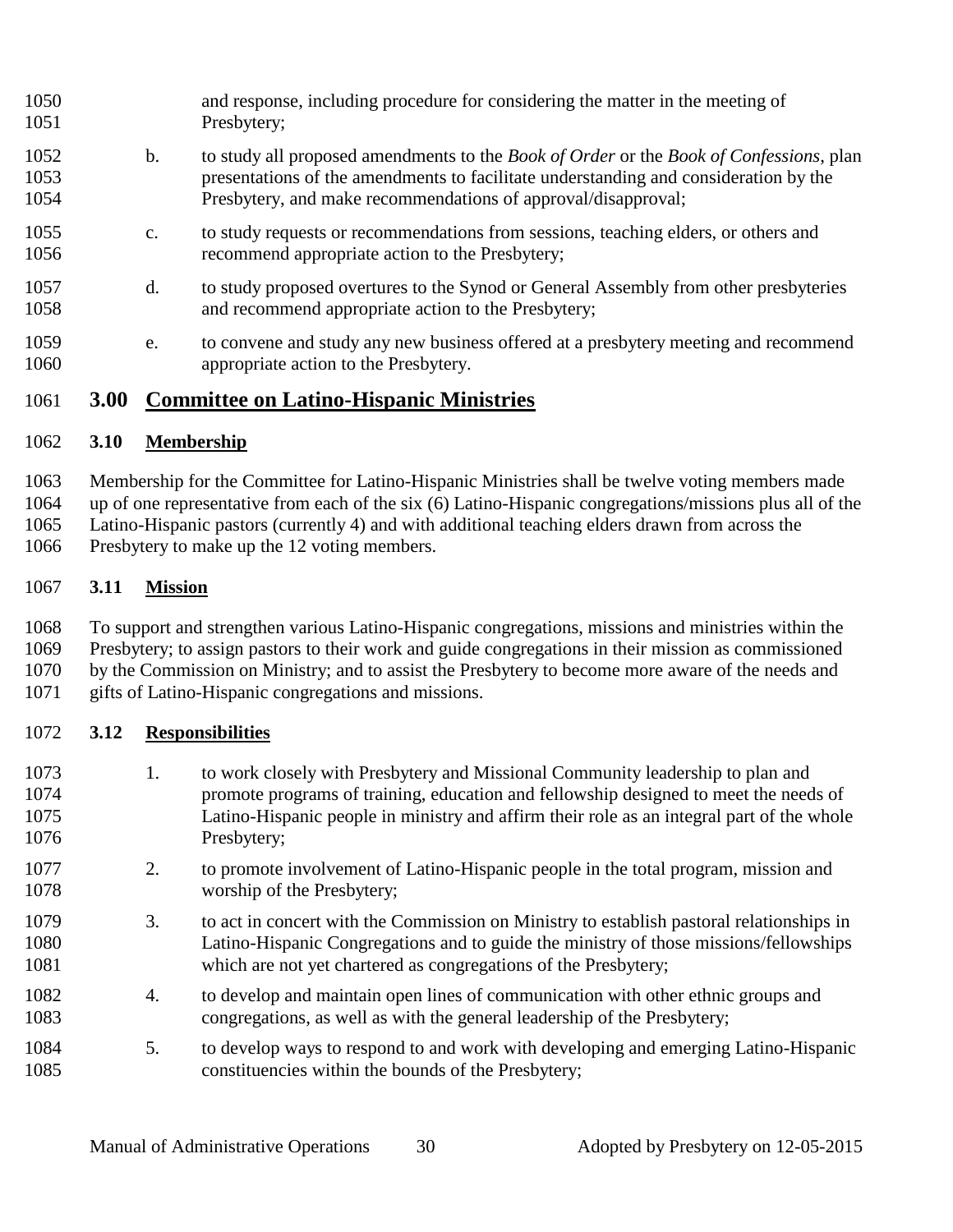| 1050 |               | and response, including procedure for considering the matter in the meeting of                        |
|------|---------------|-------------------------------------------------------------------------------------------------------|
| 1051 |               | Presbytery;                                                                                           |
| 1052 | b.            | to study all proposed amendments to the <i>Book of Order</i> or the <i>Book of Confessions</i> , plan |
| 1053 |               | presentations of the amendments to facilitate understanding and consideration by the                  |
| 1054 |               | Presbytery, and make recommendations of approval/disapproval;                                         |
| 1055 | $C_{\bullet}$ | to study requests or recommendations from sessions, teaching elders, or others and                    |
| 1056 |               | recommend appropriate action to the Presbytery;                                                       |
| 1057 | d.            | to study proposed overtures to the Synod or General Assembly from other presbyteries                  |
| 1058 |               | and recommend appropriate action to the Presbytery;                                                   |
| 1059 | e.            | to convene and study any new business offered at a presbytery meeting and recommend                   |
| 1060 |               | appropriate action to the Presbytery.                                                                 |

#### **3.00 Committee on Latino-Hispanic Ministries**

#### **3.10 Membership**

Membership for the Committee for Latino-Hispanic Ministries shall be twelve voting members made

 up of one representative from each of the six (6) Latino-Hispanic congregations/missions plus all of the Latino-Hispanic pastors (currently 4) and with additional teaching elders drawn from across the

Presbytery to make up the 12 voting members.

#### **3.11 Mission**

 To support and strengthen various Latino-Hispanic congregations, missions and ministries within the Presbytery; to assign pastors to their work and guide congregations in their mission as commissioned by the Commission on Ministry; and to assist the Presbytery to become more aware of the needs and gifts of Latino-Hispanic congregations and missions.

#### **3.12 Responsibilities**

- 1. to work closely with Presbytery and Missional Community leadership to plan and promote programs of training, education and fellowship designed to meet the needs of Latino-Hispanic people in ministry and affirm their role as an integral part of the whole Presbytery;
- 2. to promote involvement of Latino-Hispanic people in the total program, mission and worship of the Presbytery;
- 3. to act in concert with the Commission on Ministry to establish pastoral relationships in Latino-Hispanic Congregations and to guide the ministry of those missions/fellowships which are not yet chartered as congregations of the Presbytery;
- 4. to develop and maintain open lines of communication with other ethnic groups and congregations, as well as with the general leadership of the Presbytery;
- 5. to develop ways to respond to and work with developing and emerging Latino-Hispanic constituencies within the bounds of the Presbytery;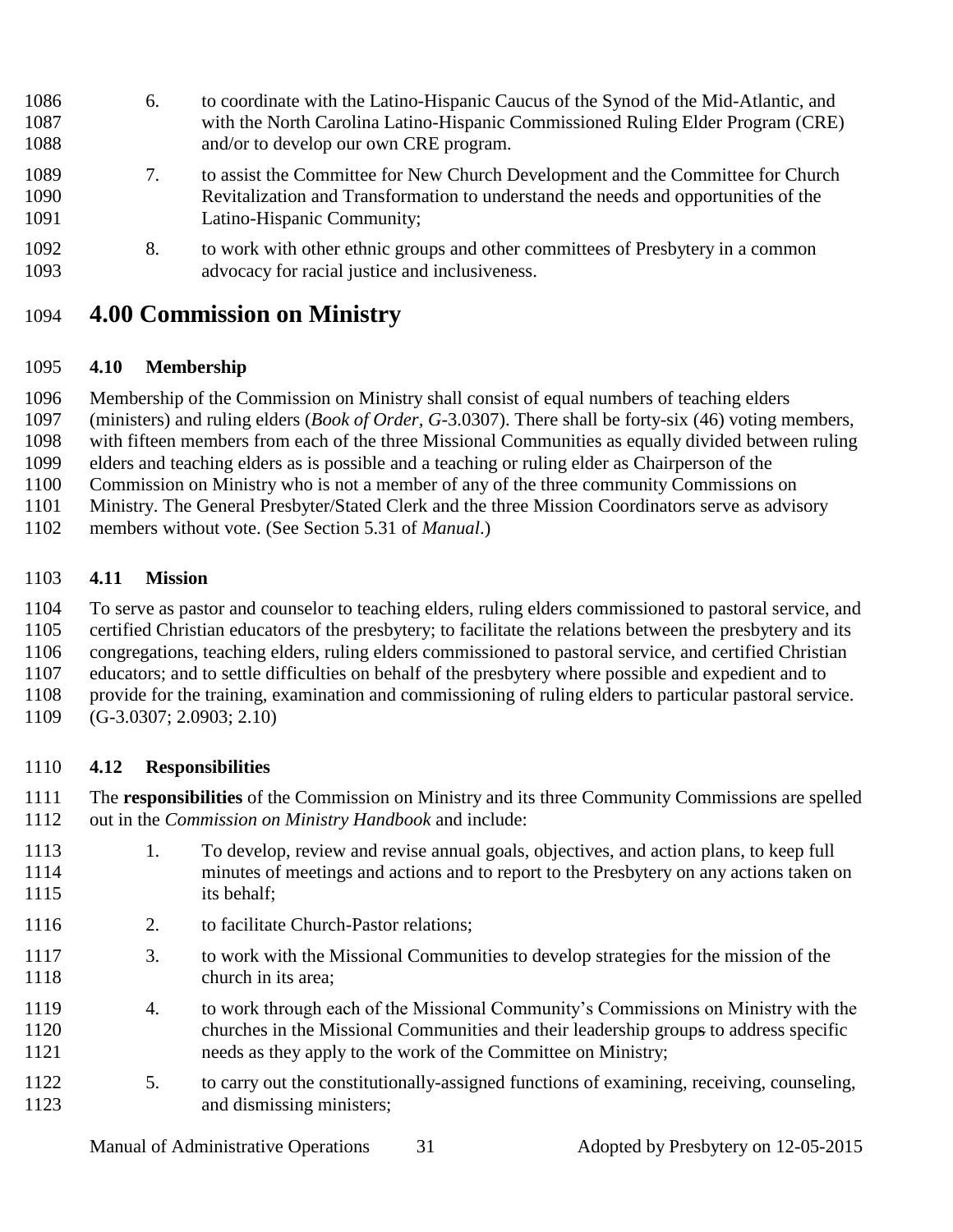- 6. to coordinate with the Latino-Hispanic Caucus of the Synod of the Mid-Atlantic, and with the North Carolina Latino-Hispanic Commissioned Ruling Elder Program (CRE) and/or to develop our own CRE program. 7. to assist the Committee for New Church Development and the Committee for Church Revitalization and Transformation to understand the needs and opportunities of the Latino-Hispanic Community;
- 8. to work with other ethnic groups and other committees of Presbytery in a common advocacy for racial justice and inclusiveness.

## **4.00 Commission on Ministry**

#### **4.10 Membership**

Membership of the Commission on Ministry shall consist of equal numbers of teaching elders

(ministers) and ruling elders (*Book of Order, G*-3.0307). There shall be forty-six (46) voting members,

with fifteen members from each of the three Missional Communities as equally divided between ruling

elders and teaching elders as is possible and a teaching or ruling elder as Chairperson of the

- Commission on Ministry who is not a member of any of the three community Commissions on
- Ministry. The General Presbyter/Stated Clerk and the three Mission Coordinators serve as advisory
- members without vote. (See Section 5.31 of *Manual*.)

#### **4.11 Mission**

To serve as pastor and counselor to teaching elders, ruling elders commissioned to pastoral service, and

- certified Christian educators of the presbytery; to facilitate the relations between the presbytery and its
- congregations, teaching elders, ruling elders commissioned to pastoral service, and certified Christian
- educators; and to settle difficulties on behalf of the presbytery where possible and expedient and to
- provide for the training, examination and commissioning of ruling elders to particular pastoral service.
- (G-3.0307; 2.0903; 2.10)

#### **4.12 Responsibilities**

 The **responsibilities** of the Commission on Ministry and its three Community Commissions are spelled out in the *Commission on Ministry Handbook* and include:

- 1. To develop, review and revise annual goals, objectives, and action plans, to keep full minutes of meetings and actions and to report to the Presbytery on any actions taken on its behalf;
- 2. to facilitate Church-Pastor relations;
- 3. to work with the Missional Communities to develop strategies for the mission of the 1118 church in its area;
- 4. to work through each of the Missional Community's Commissions on Ministry with the churches in the Missional Communities and their leadership groups to address specific needs as they apply to the work of the Committee on Ministry;
- 5. to carry out the constitutionally-assigned functions of examining, receiving, counseling, and dismissing ministers;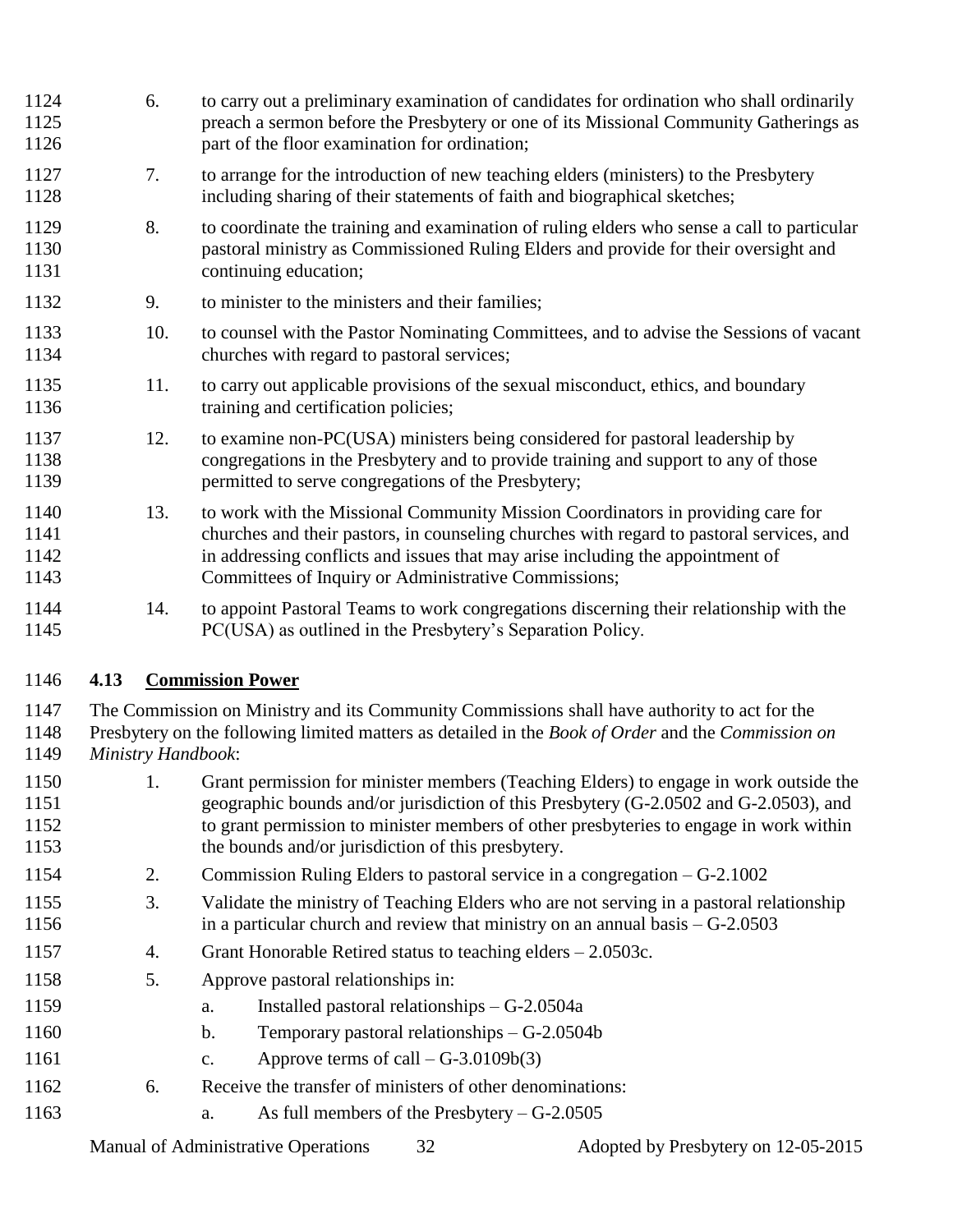| 1124<br>1125<br>1126         | 6.  | to carry out a preliminary examination of candidates for ordination who shall ordinarily<br>preach a sermon before the Presbytery or one of its Missional Community Gatherings as<br>part of the floor examination for ordination;                                                                                    |
|------------------------------|-----|-----------------------------------------------------------------------------------------------------------------------------------------------------------------------------------------------------------------------------------------------------------------------------------------------------------------------|
| 1127<br>1128                 | 7.  | to arrange for the introduction of new teaching elders (ministers) to the Presbytery<br>including sharing of their statements of faith and biographical sketches;                                                                                                                                                     |
| 1129<br>1130<br>1131         | 8.  | to coordinate the training and examination of ruling elders who sense a call to particular<br>pastoral ministry as Commissioned Ruling Elders and provide for their oversight and<br>continuing education;                                                                                                            |
| 1132                         | 9.  | to minister to the ministers and their families;                                                                                                                                                                                                                                                                      |
| 1133<br>1134                 | 10. | to counsel with the Pastor Nominating Committees, and to advise the Sessions of vacant<br>churches with regard to pastoral services;                                                                                                                                                                                  |
| 1135<br>1136                 | 11. | to carry out applicable provisions of the sexual misconduct, ethics, and boundary<br>training and certification policies;                                                                                                                                                                                             |
| 1137<br>1138<br>1139         | 12. | to examine non-PC(USA) ministers being considered for pastoral leadership by<br>congregations in the Presbytery and to provide training and support to any of those<br>permitted to serve congregations of the Presbytery;                                                                                            |
| 1140<br>1141<br>1142<br>1143 | 13. | to work with the Missional Community Mission Coordinators in providing care for<br>churches and their pastors, in counseling churches with regard to pastoral services, and<br>in addressing conflicts and issues that may arise including the appointment of<br>Committees of Inquiry or Administrative Commissions; |
| 1144<br>1145                 | 14. | to appoint Pastoral Teams to work congregations discerning their relationship with the<br>PC(USA) as outlined in the Presbytery's Separation Policy.                                                                                                                                                                  |

#### **4.13 Commission Power**

 The Commission on Ministry and its Community Commissions shall have authority to act for the Presbytery on the following limited matters as detailed in the *Book of Order* and the *Commission on Ministry Handbook*:

- 1. Grant permission for minister members (Teaching Elders) to engage in work outside the geographic bounds and/or jurisdiction of this Presbytery (G-2.0502 and G-2.0503), and to grant permission to minister members of other presbyteries to engage in work within 1153 the bounds and/or jurisdiction of this presbytery.
- 2. Commission Ruling Elders to pastoral service in a congregation G-2.1002
- 3. Validate the ministry of Teaching Elders who are not serving in a pastoral relationship in a particular church and review that ministry on an annual basis – G-2.0503
- 4. Grant Honorable Retired status to teaching elders 2.0503c.
- 5. Approve pastoral relationships in:
- a. Installed pastoral relationships G-2.0504a
- b. Temporary pastoral relationships G-2.0504b
- 1161 c. Approve terms of call  $-G-3.0109b(3)$
- 6. Receive the transfer of ministers of other denominations:
- a. As full members of the Presbytery G-2.0505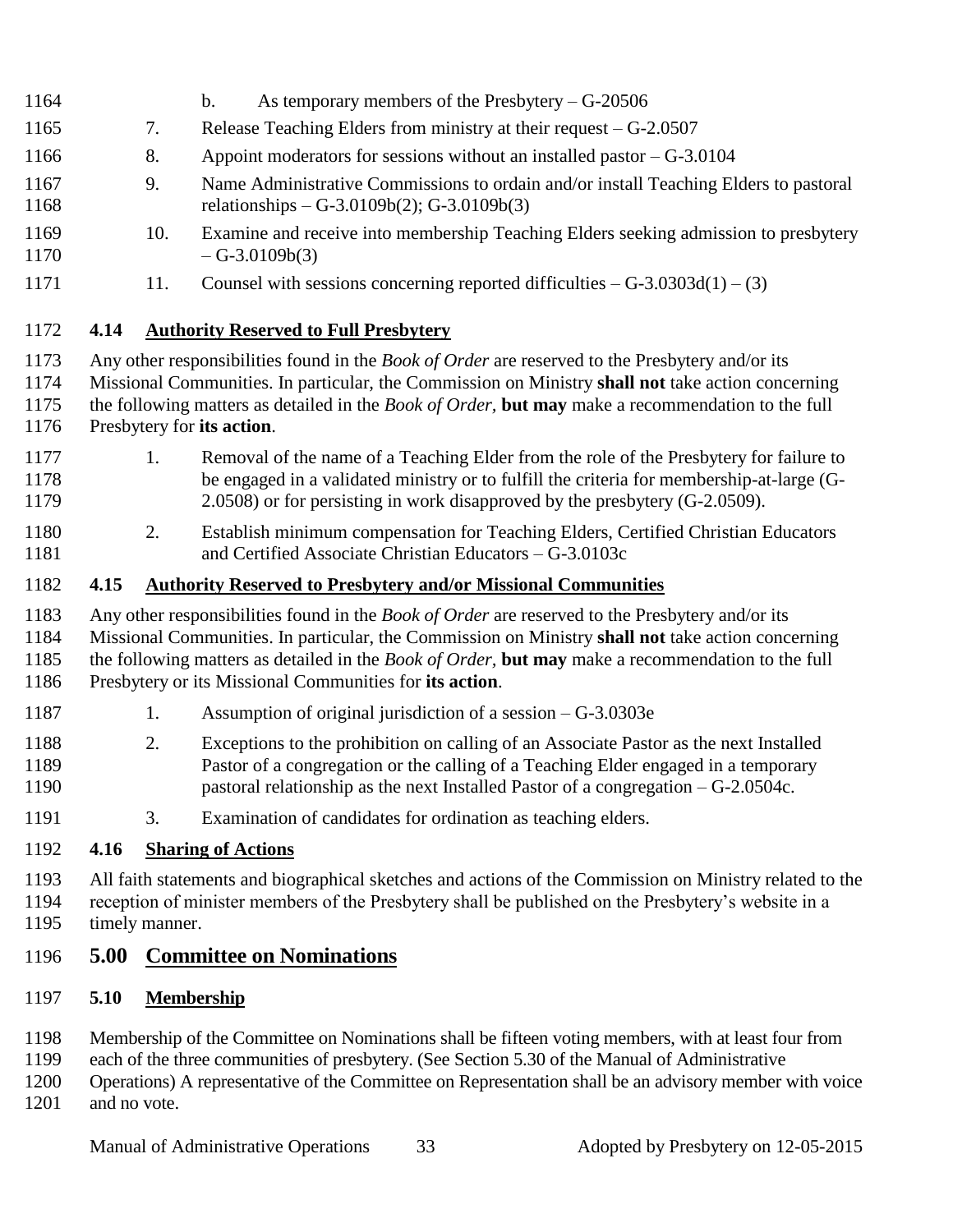- b. As temporary members of the Presbytery G-20506
- 7. Release Teaching Elders from ministry at their request G-2.0507
- 8. Appoint moderators for sessions without an installed pastor G-3.0104
- 9. Name Administrative Commissions to ordain and/or install Teaching Elders to pastoral relationships – G-3.0109b(2); G-3.0109b(3)
- 10. Examine and receive into membership Teaching Elders seeking admission to presbytery  $- G - 3.0109b(3)$
- 1171 11. Counsel with sessions concerning reported difficulties  $G$ -3.0303d(1) (3)

#### **4.14 Authority Reserved to Full Presbytery**

- Any other responsibilities found in the *Book of Order* are reserved to the Presbytery and/or its
- Missional Communities. In particular, the Commission on Ministry **shall not** take action concerning
- the following matters as detailed in the *Book of Order,* **but may** make a recommendation to the full
- Presbytery for **its action**.
- 1177 1. Removal of the name of a Teaching Elder from the role of the Presbytery for failure to be engaged in a validated ministry or to fulfill the criteria for membership-at-large (G-2.0508) or for persisting in work disapproved by the presbytery (G-2.0509).
- 2. Establish minimum compensation for Teaching Elders, Certified Christian Educators and Certified Associate Christian Educators – G-3.0103c

#### **4.15 Authority Reserved to Presbytery and/or Missional Communities**

- Any other responsibilities found in the *Book of Order* are reserved to the Presbytery and/or its
- Missional Communities. In particular, the Commission on Ministry **shall not** take action concerning
- the following matters as detailed in the *Book of Order,* **but may** make a recommendation to the full

#### Presbytery or its Missional Communities for **its action**.

- 1187 1. Assumption of original jurisdiction of a session G-3.0303e
- 2. Exceptions to the prohibition on calling of an Associate Pastor as the next Installed Pastor of a congregation or the calling of a Teaching Elder engaged in a temporary pastoral relationship as the next Installed Pastor of a congregation – G-2.0504c.
- 3. Examination of candidates for ordination as teaching elders.

#### **4.16 Sharing of Actions**

 All faith statements and biographical sketches and actions of the Commission on Ministry related to the reception of minister members of the Presbytery shall be published on the Presbytery's website in a timely manner.

#### **5.00 Committee on Nominations**

- **5.10 Membership**
- Membership of the Committee on Nominations shall be fifteen voting members, with at least four from
- each of the three communities of presbytery. (See Section 5.30 of the Manual of Administrative
- Operations) A representative of the Committee on Representation shall be an advisory member with voice 1201 and no vote.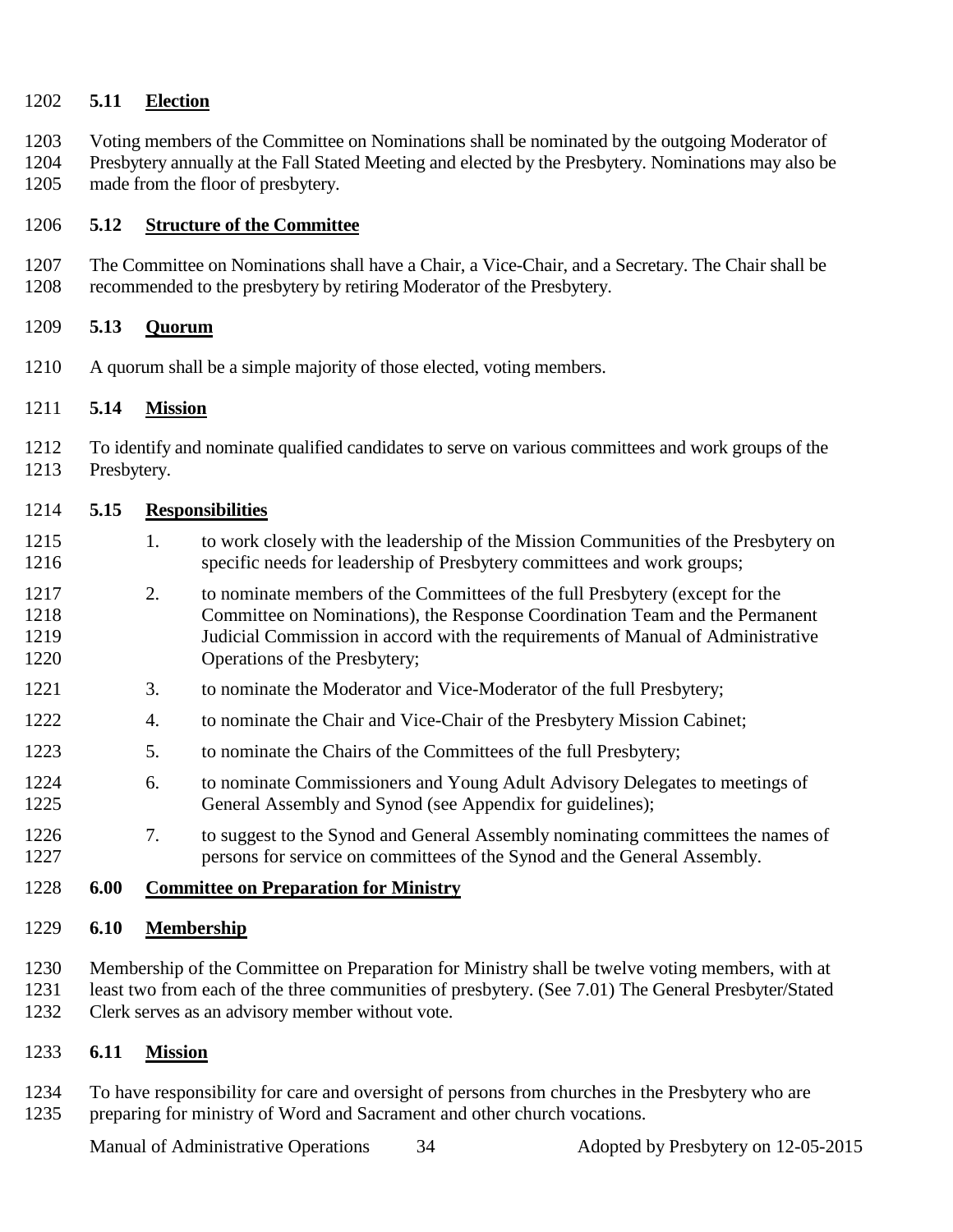#### **5.11 Election**

 Voting members of the Committee on Nominations shall be nominated by the outgoing Moderator of Presbytery annually at the Fall Stated Meeting and elected by the Presbytery. Nominations may also be made from the floor of presbytery.

#### **5.12 Structure of the Committee**

 The Committee on Nominations shall have a Chair, a Vice-Chair, and a Secretary. The Chair shall be recommended to the presbytery by retiring Moderator of the Presbytery.

#### **5.13 Quorum**

A quorum shall be a simple majority of those elected, voting members.

#### **5.14 Mission**

 To identify and nominate qualified candidates to serve on various committees and work groups of the Presbytery.

#### **5.15 Responsibilities**

- 1215 1. to work closely with the leadership of the Mission Communities of the Presbytery on specific needs for leadership of Presbytery committees and work groups;
- 2. to nominate members of the Committees of the full Presbytery (except for the Committee on Nominations), the Response Coordination Team and the Permanent Judicial Commission in accord with the requirements of Manual of Administrative Operations of the Presbytery;
- 3. to nominate the Moderator and Vice-Moderator of the full Presbytery;
- 4. to nominate the Chair and Vice-Chair of the Presbytery Mission Cabinet;
- 5. to nominate the Chairs of the Committees of the full Presbytery;
- 6. to nominate Commissioners and Young Adult Advisory Delegates to meetings of General Assembly and Synod (see Appendix for guidelines);
- 1226 7. to suggest to the Synod and General Assembly nominating committees the names of persons for service on committees of the Synod and the General Assembly.
- **6.00 Committee on Preparation for Ministry**

#### **6.10 Membership**

- Membership of the Committee on Preparation for Ministry shall be twelve voting members, with at least two from each of the three communities of presbytery. (See 7.01) The General Presbyter/Stated
- Clerk serves as an advisory member without vote.

#### **6.11 Mission**

 To have responsibility for care and oversight of persons from churches in the Presbytery who are preparing for ministry of Word and Sacrament and other church vocations.

Manual of Administrative Operations 34 Adopted by Presbytery on 12-05-2015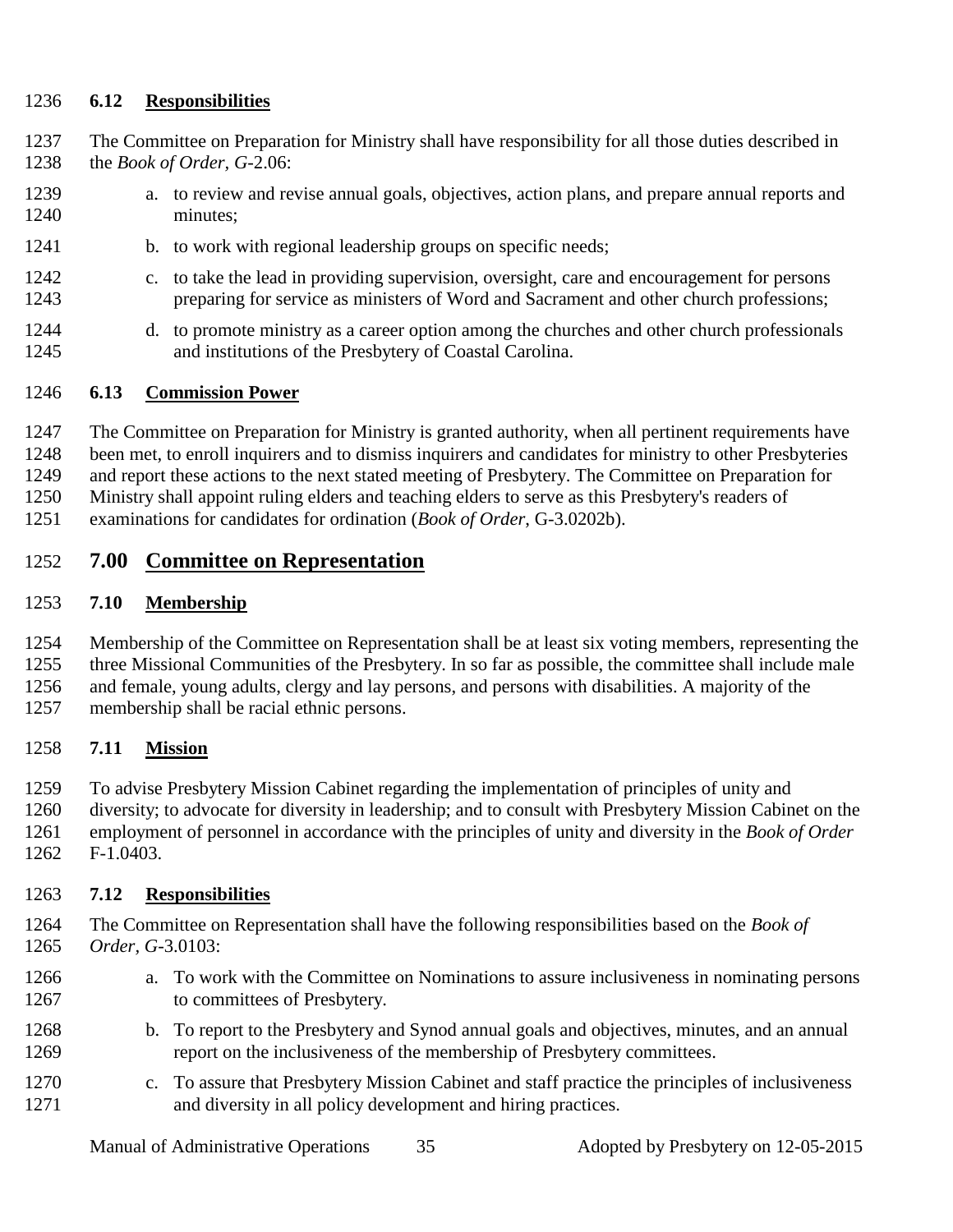#### **6.12 Responsibilities**

- The Committee on Preparation for Ministry shall have responsibility for all those duties described in the *Book of Order, G*-2.06:
- a. to review and revise annual goals, objectives, action plans, and prepare annual reports and minutes;
- 1241 b. to work with regional leadership groups on specific needs;
- c. to take the lead in providing supervision, oversight, care and encouragement for persons preparing for service as ministers of Word and Sacrament and other church professions;
- d. to promote ministry as a career option among the churches and other church professionals and institutions of the Presbytery of Coastal Carolina.

#### **6.13 Commission Power**

The Committee on Preparation for Ministry is granted authority, when all pertinent requirements have

been met, to enroll inquirers and to dismiss inquirers and candidates for ministry to other Presbyteries

and report these actions to the next stated meeting of Presbytery. The Committee on Preparation for

Ministry shall appoint ruling elders and teaching elders to serve as this Presbytery's readers of

examinations for candidates for ordination (*Book of Order*, G-3.0202b).

#### **7.00 Committee on Representation**

#### **7.10 Membership**

 Membership of the Committee on Representation shall be at least six voting members, representing the three Missional Communities of the Presbytery. In so far as possible, the committee shall include male and female, young adults, clergy and lay persons, and persons with disabilities. A majority of the

membership shall be racial ethnic persons.

#### **7.11 Mission**

 To advise Presbytery Mission Cabinet regarding the implementation of principles of unity and diversity; to advocate for diversity in leadership; and to consult with Presbytery Mission Cabinet on the employment of personnel in accordance with the principles of unity and diversity in the *Book of Order*

F-1.0403.

#### **7.12 Responsibilities**

- The Committee on Representation shall have the following responsibilities based on the *Book of Order, G*-3.0103:
- a. To work with the Committee on Nominations to assure inclusiveness in nominating persons 1267 to committees of Presbytery.
- b. To report to the Presbytery and Synod annual goals and objectives, minutes, and an annual report on the inclusiveness of the membership of Presbytery committees.
- c. To assure that Presbytery Mission Cabinet and staff practice the principles of inclusiveness and diversity in all policy development and hiring practices.

Manual of Administrative Operations 35 Adopted by Presbytery on 12-05-2015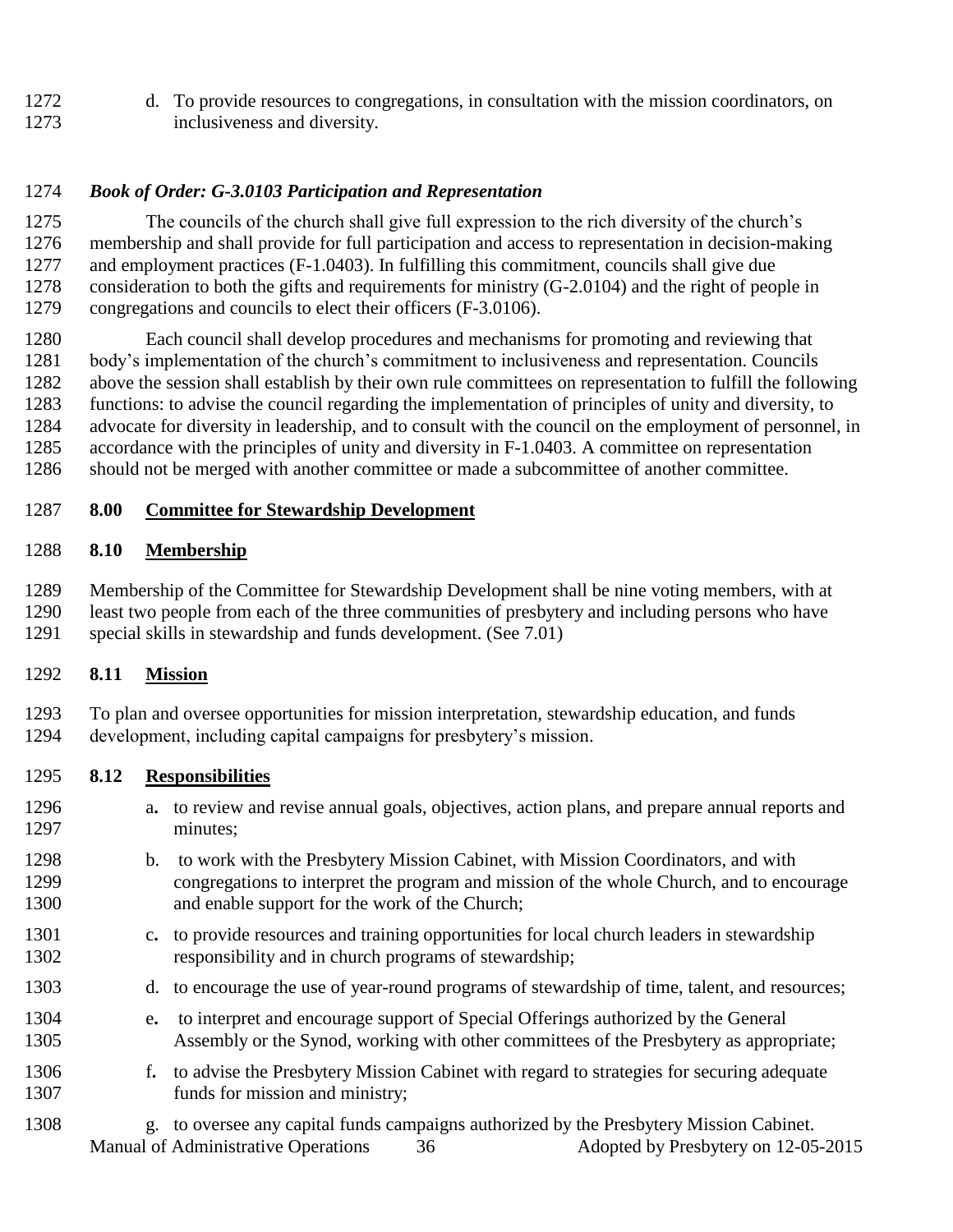d. To provide resources to congregations, in consultation with the mission coordinators, on inclusiveness and diversity.

#### *Book of Order: G-3.0103 Participation and Representation*

 The councils of the church shall give full expression to the rich diversity of the church's membership and shall provide for full participation and access to representation in decision-making and employment practices (F-1.0403). In fulfilling this commitment, councils shall give due consideration to both the gifts and requirements for ministry (G-2.0104) and the right of people in congregations and councils to elect their officers (F-3.0106).

 Each council shall develop procedures and mechanisms for promoting and reviewing that body's implementation of the church's commitment to inclusiveness and representation. Councils above the session shall establish by their own rule committees on representation to fulfill the following functions: to advise the council regarding the implementation of principles of unity and diversity, to advocate for diversity in leadership, and to consult with the council on the employment of personnel, in accordance with the principles of unity and diversity in F-1.0403. A committee on representation should not be merged with another committee or made a subcommittee of another committee.

#### **8.00 Committee for Stewardship Development**

#### **8.10 Membership**

 Membership of the Committee for Stewardship Development shall be nine voting members, with at least two people from each of the three communities of presbytery and including persons who have special skills in stewardship and funds development. (See 7.01)

#### **8.11 Mission**

 To plan and oversee opportunities for mission interpretation, stewardship education, and funds development, including capital campaigns for presbytery's mission.

#### **8.12 Responsibilities**

- a**.** to review and revise annual goals, objectives, action plans, and prepare annual reports and minutes;
- b. to work with the Presbytery Mission Cabinet, with Mission Coordinators, and with congregations to interpret the program and mission of the whole Church, and to encourage and enable support for the work of the Church;
- c**.** to provide resources and training opportunities for local church leaders in stewardship responsibility and in church programs of stewardship;
- d. to encourage the use of year-round programs of stewardship of time, talent, and resources;
- e**.** to interpret and encourage support of Special Offerings authorized by the General Assembly or the Synod, working with other committees of the Presbytery as appropriate;
- f**.** to advise the Presbytery Mission Cabinet with regard to strategies for securing adequate 1307 funds for mission and ministry;
- Manual of Administrative Operations 36 Adopted by Presbytery on 12-05-2015 g. to oversee any capital funds campaigns authorized by the Presbytery Mission Cabinet.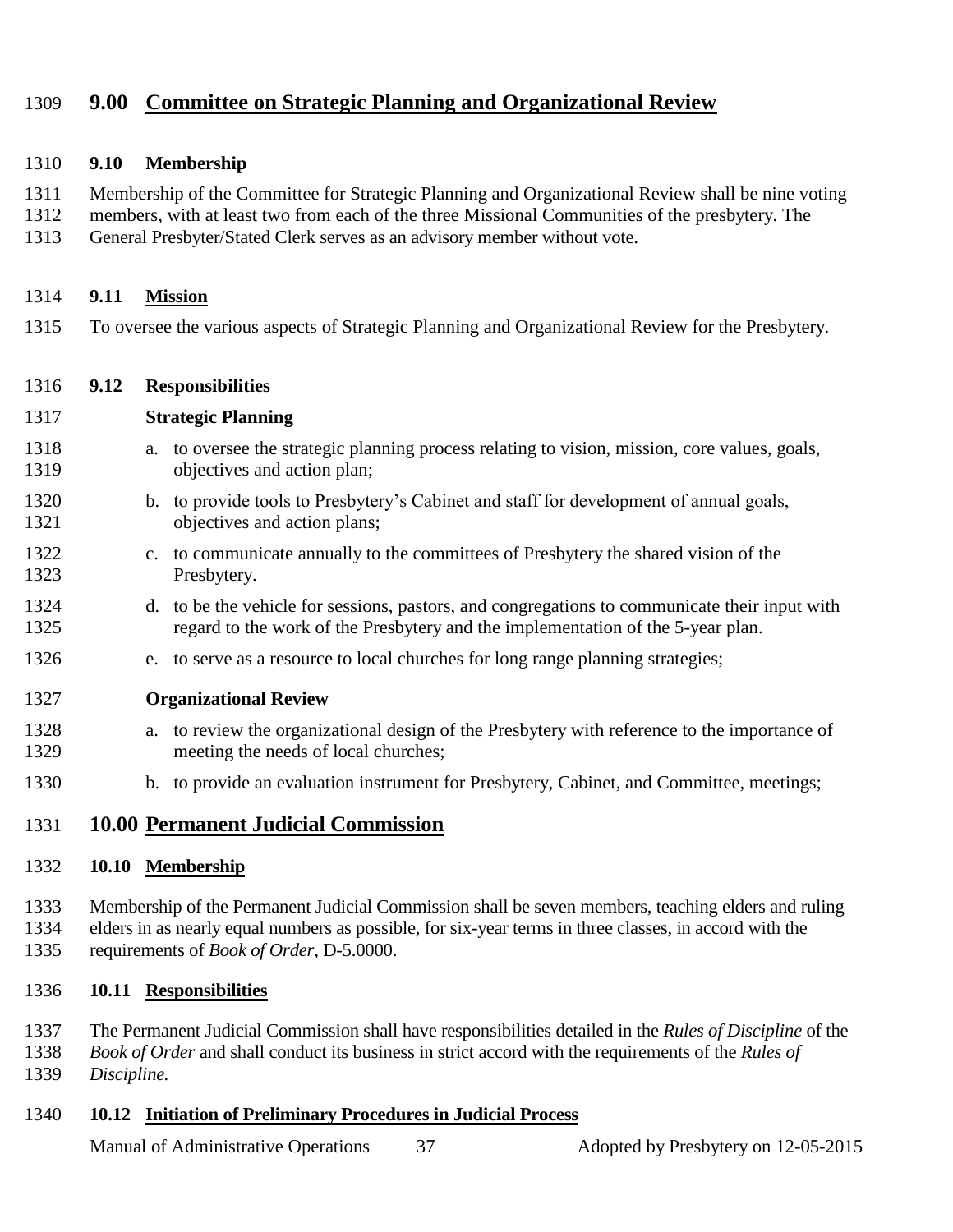#### **9.00 Committee on Strategic Planning and Organizational Review**

#### **9.10 Membership**

Membership of the Committee for Strategic Planning and Organizational Review shall be nine voting

members, with at least two from each of the three Missional Communities of the presbytery. The

General Presbyter/Stated Clerk serves as an advisory member without vote.

#### **9.11 Mission**

To oversee the various aspects of Strategic Planning and Organizational Review for the Presbytery.

#### **9.12 Responsibilities**

#### **Strategic Planning**

- a. to oversee the strategic planning process relating to vision, mission, core values, goals, objectives and action plan;
- b. to provide tools to Presbytery's Cabinet and staff for development of annual goals, objectives and action plans;
- c. to communicate annually to the committees of Presbytery the shared vision of the Presbytery.
- d. to be the vehicle for sessions, pastors, and congregations to communicate their input with regard to the work of the Presbytery and the implementation of the 5-year plan.
- e. to serve as a resource to local churches for long range planning strategies;

#### **Organizational Review**

- a. to review the organizational design of the Presbytery with reference to the importance of meeting the needs of local churches;
- b. to provide an evaluation instrument for Presbytery, Cabinet, and Committee, meetings;

#### **10.00 Permanent Judicial Commission**

#### **10.10 Membership**

 Membership of the Permanent Judicial Commission shall be seven members, teaching elders and ruling elders in as nearly equal numbers as possible, for six-year terms in three classes, in accord with the requirements of *Book of Order,* D-5.0000.

- **10.11 Responsibilities**
- The Permanent Judicial Commission shall have responsibilities detailed in the *Rules of Discipline* of the
- *Book of Order* and shall conduct its business in strict accord with the requirements of the *Rules of Discipline.*

#### **10.12 Initiation of Preliminary Procedures in Judicial Process**

Manual of Administrative Operations 37 Adopted by Presbytery on 12-05-2015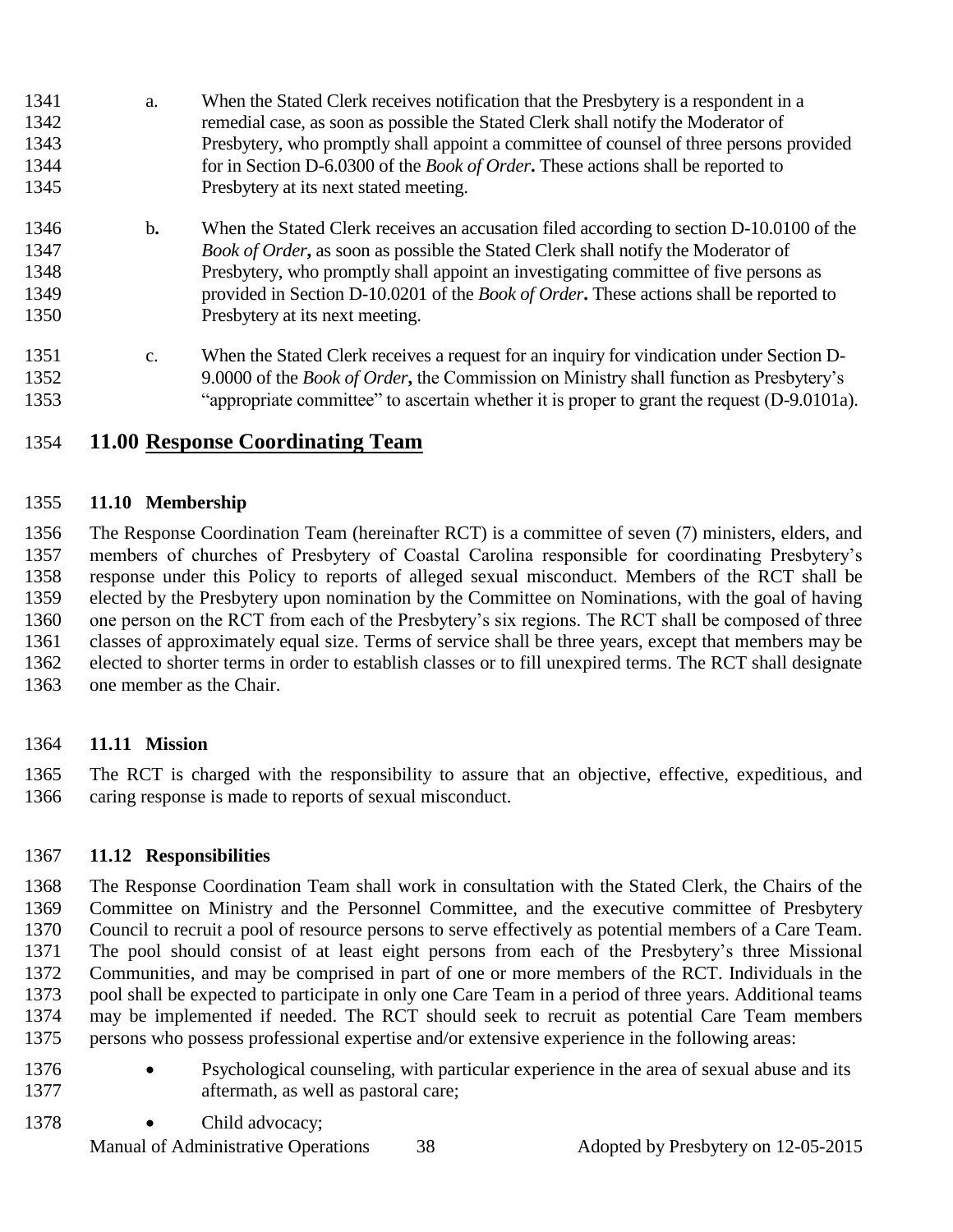- a. When the Stated Clerk receives notification that the Presbytery is a respondent in a remedial case, as soon as possible the Stated Clerk shall notify the Moderator of Presbytery, who promptly shall appoint a committee of counsel of three persons provided for in Section D-6.0300 of the *Book of Order***.** These actions shall be reported to Presbytery at its next stated meeting.
- b**.** When the Stated Clerk receives an accusation filed according to section D-10.0100 of the *Book of Order***,** as soon as possible the Stated Clerk shall notify the Moderator of Presbytery, who promptly shall appoint an investigating committee of five persons as provided in Section D-10.0201 of the *Book of Order***.** These actions shall be reported to Presbytery at its next meeting.
- c. When the Stated Clerk receives a request for an inquiry for vindication under Section D- 9.0000 of the *Book of Order***,** the Commission on Ministry shall function as Presbytery's "appropriate committee" to ascertain whether it is proper to grant the request (D-9.0101a).

#### **11.00 Response Coordinating Team**

#### **11.10 Membership**

 The Response Coordination Team (hereinafter RCT) is a committee of seven (7) ministers, elders, and members of churches of Presbytery of Coastal Carolina responsible for coordinating Presbytery's response under this Policy to reports of alleged sexual misconduct. Members of the RCT shall be elected by the Presbytery upon nomination by the Committee on Nominations, with the goal of having one person on the RCT from each of the Presbytery's six regions. The RCT shall be composed of three classes of approximately equal size. Terms of service shall be three years, except that members may be elected to shorter terms in order to establish classes or to fill unexpired terms. The RCT shall designate one member as the Chair.

#### **11.11 Mission**

 The RCT is charged with the responsibility to assure that an objective, effective, expeditious, and caring response is made to reports of sexual misconduct.

#### **11.12 Responsibilities**

 The Response Coordination Team shall work in consultation with the Stated Clerk, the Chairs of the Committee on Ministry and the Personnel Committee, and the executive committee of Presbytery Council to recruit a pool of resource persons to serve effectively as potential members of a Care Team. The pool should consist of at least eight persons from each of the Presbytery's three Missional Communities, and may be comprised in part of one or more members of the RCT. Individuals in the pool shall be expected to participate in only one Care Team in a period of three years. Additional teams may be implemented if needed. The RCT should seek to recruit as potential Care Team members persons who possess professional expertise and/or extensive experience in the following areas:

- 1376 Psychological counseling, with particular experience in the area of sexual abuse and its aftermath, as well as pastoral care;
- 1378 Child advocacy;

Manual of Administrative Operations 38 Adopted by Presbytery on 12-05-2015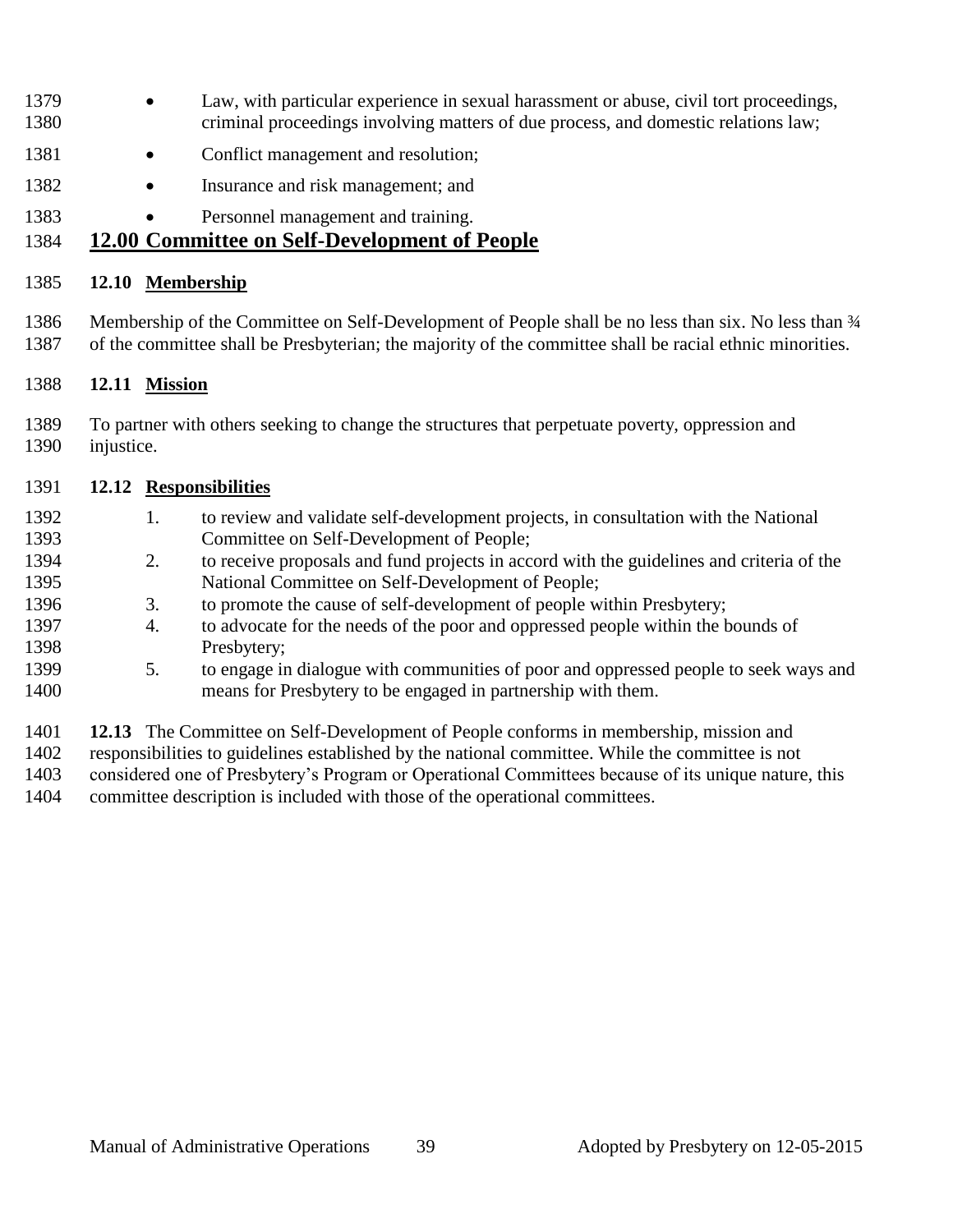- 1379 Law, with particular experience in sexual harassment or abuse, civil tort proceedings, criminal proceedings involving matters of due process, and domestic relations law;
- 1381 Conflict management and resolution;
- 1382 Insurance and risk management; and
- 1383 Personnel management and training.

#### **12.00 Committee on Self-Development of People**

#### **12.10 Membership**

1386 Membership of the Committee on Self-Development of People shall be no less than six. No less than  $\frac{3}{4}$ of the committee shall be Presbyterian; the majority of the committee shall be racial ethnic minorities.

#### **12.11 Mission**

 To partner with others seeking to change the structures that perpetuate poverty, oppression and injustice.

#### **12.12 Responsibilities**

| 1392 |    | to review and validate self-development projects, in consultation with the National      |
|------|----|------------------------------------------------------------------------------------------|
| 1393 |    | Committee on Self-Development of People;                                                 |
| 1394 | 2. | to receive proposals and fund projects in accord with the guidelines and criteria of the |
| 1395 |    | National Committee on Self-Development of People;                                        |
| 1396 | 3. | to promote the cause of self-development of people within Presbytery;                    |
| 1397 | 4. | to advocate for the needs of the poor and oppressed people within the bounds of          |
| 1398 |    | Presbytery;                                                                              |
| 1399 | 5. | to engage in dialogue with communities of poor and oppressed people to seek ways and     |
| 1400 |    | means for Presbytery to be engaged in partnership with them.                             |
|      |    |                                                                                          |

**12.13** The Committee on Self-Development of People conforms in membership, mission and

responsibilities to guidelines established by the national committee. While the committee is not

considered one of Presbytery's Program or Operational Committees because of its unique nature, this

committee description is included with those of the operational committees.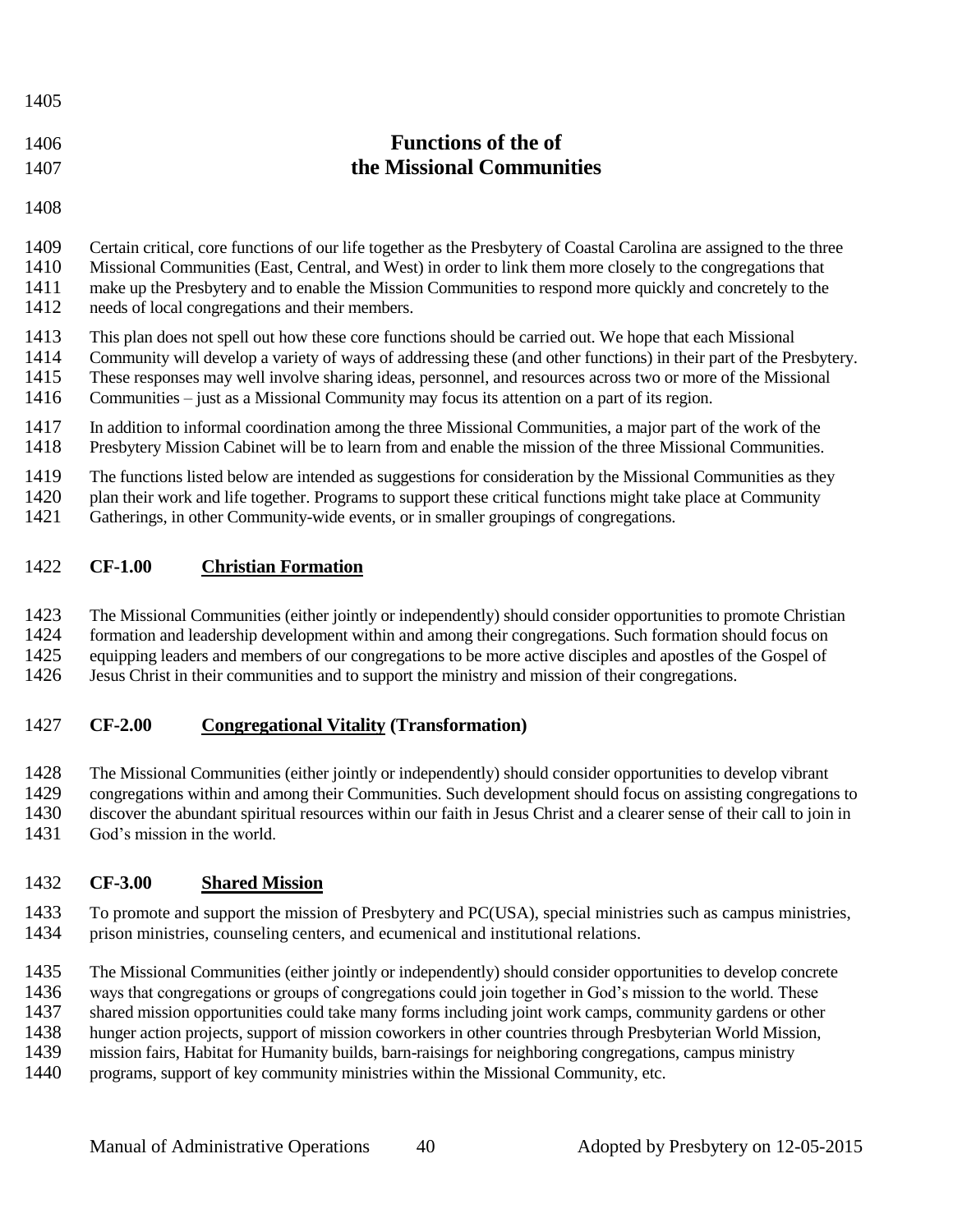| 1406 | <b>Functions of the of</b> |
|------|----------------------------|
| 1407 | the Missional Communities  |
|      |                            |

 Certain critical, core functions of our life together as the Presbytery of Coastal Carolina are assigned to the three Missional Communities (East, Central, and West) in order to link them more closely to the congregations that make up the Presbytery and to enable the Mission Communities to respond more quickly and concretely to the needs of local congregations and their members.

- This plan does not spell out how these core functions should be carried out. We hope that each Missional
- Community will develop a variety of ways of addressing these (and other functions) in their part of the Presbytery.
- These responses may well involve sharing ideas, personnel, and resources across two or more of the Missional
- Communities just as a Missional Community may focus its attention on a part of its region.
- In addition to informal coordination among the three Missional Communities, a major part of the work of the
- Presbytery Mission Cabinet will be to learn from and enable the mission of the three Missional Communities.
- The functions listed below are intended as suggestions for consideration by the Missional Communities as they
- 1420 plan their work and life together. Programs to support these critical functions might take place at Community<br>1421 Gatherings, in other Community-wide events, or in smaller groupings of congregations.
- Gatherings, in other Community-wide events, or in smaller groupings of congregations.

#### **CF-1.00 Christian Formation**

The Missional Communities (either jointly or independently) should consider opportunities to promote Christian

- formation and leadership development within and among their congregations. Such formation should focus on
- 1425 equipping leaders and members of our congregations to be more active disciples and apostles of the Gospel of
- Jesus Christ in their communities and to support the ministry and mission of their congregations.

#### **CF-2.00 Congregational Vitality (Transformation)**

The Missional Communities (either jointly or independently) should consider opportunities to develop vibrant

- 1429 congregations within and among their Communities. Such development should focus on assisting congregations to<br>1430 discover the abundant spiritual resources within our faith in Jesus Christ and a clearer sense of thei
- discover the abundant spiritual resources within our faith in Jesus Christ and a clearer sense of their call to join in
- God's mission in the world.

#### **CF-3.00 Shared Mission**

- To promote and support the mission of Presbytery and PC(USA), special ministries such as campus ministries, prison ministries, counseling centers, and ecumenical and institutional relations.
- The Missional Communities (either jointly or independently) should consider opportunities to develop concrete
- ways that congregations or groups of congregations could join together in God's mission to the world. These
- shared mission opportunities could take many forms including joint work camps, community gardens or other
- hunger action projects, support of mission coworkers in other countries through Presbyterian World Mission,
- mission fairs, Habitat for Humanity builds, barn-raisings for neighboring congregations, campus ministry
- programs, support of key community ministries within the Missional Community, etc.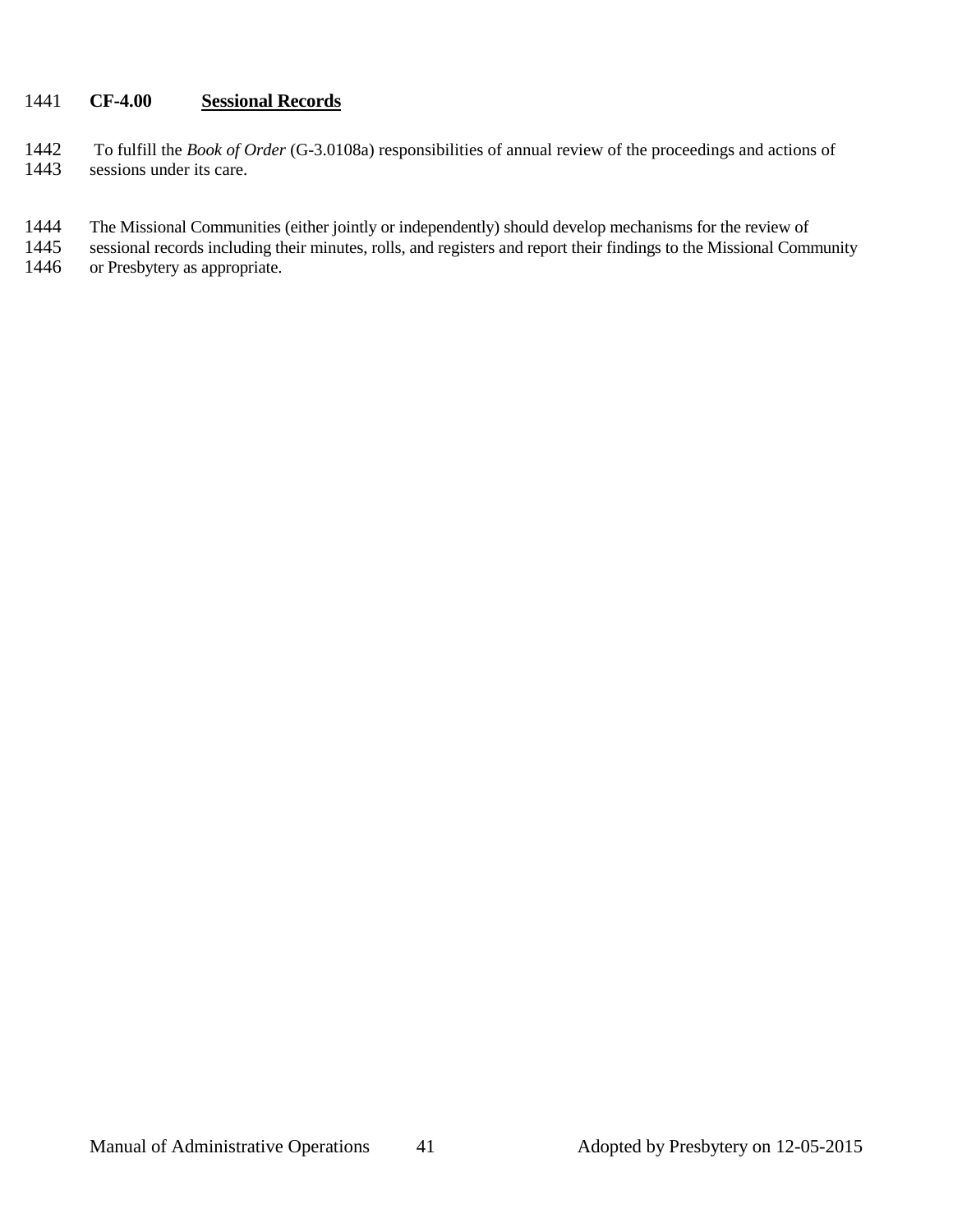#### 1441 **CF-4.00 Sessional Records**

- 1442 To fulfill the *Book of Order* (G-3.0108a) responsibilities of annual review of the proceedings and actions of sessions under its care.
- 1444 The Missional Communities (either jointly or independently) should develop mechanisms for the review of
- 1445 sessional records including their minutes, rolls, and registers and report their findings to the Missional Community<br>1446 or Presbytery as appropriate.
- or Presbytery as appropriate.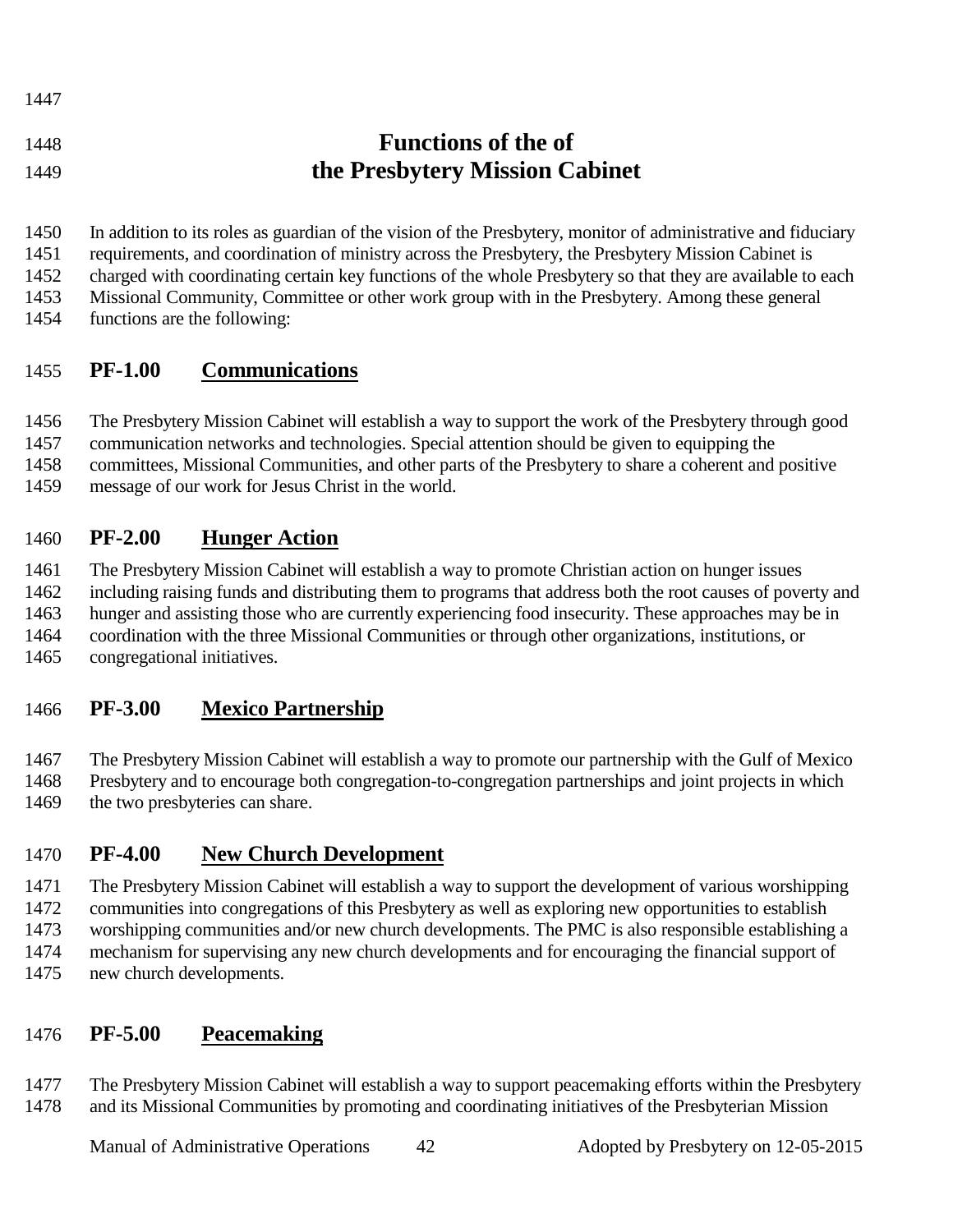| .     |                                |
|-------|--------------------------------|
| 1448  | <b>Functions of the of</b>     |
| -1449 | the Presbytery Mission Cabinet |

In addition to its roles as guardian of the vision of the Presbytery, monitor of administrative and fiduciary

requirements, and coordination of ministry across the Presbytery, the Presbytery Mission Cabinet is

charged with coordinating certain key functions of the whole Presbytery so that they are available to each

Missional Community, Committee or other work group with in the Presbytery. Among these general

functions are the following:

## **PF-1.00 Communications**

The Presbytery Mission Cabinet will establish a way to support the work of the Presbytery through good

communication networks and technologies. Special attention should be given to equipping the

committees, Missional Communities, and other parts of the Presbytery to share a coherent and positive

message of our work for Jesus Christ in the world.

## **PF-2.00 Hunger Action**

The Presbytery Mission Cabinet will establish a way to promote Christian action on hunger issues

including raising funds and distributing them to programs that address both the root causes of poverty and

hunger and assisting those who are currently experiencing food insecurity. These approaches may be in

coordination with the three Missional Communities or through other organizations, institutions, or

congregational initiatives.

## **PF-3.00 Mexico Partnership**

 The Presbytery Mission Cabinet will establish a way to promote our partnership with the Gulf of Mexico Presbytery and to encourage both congregation-to-congregation partnerships and joint projects in which 1469 the two presbyteries can share.

## **PF-4.00 New Church Development**

 The Presbytery Mission Cabinet will establish a way to support the development of various worshipping communities into congregations of this Presbytery as well as exploring new opportunities to establish worshipping communities and/or new church developments. The PMC is also responsible establishing a mechanism for supervising any new church developments and for encouraging the financial support of new church developments.

## **PF-5.00 Peacemaking**

 The Presbytery Mission Cabinet will establish a way to support peacemaking efforts within the Presbytery and its Missional Communities by promoting and coordinating initiatives of the Presbyterian Mission

Manual of Administrative Operations 42 Adopted by Presbytery on 12-05-2015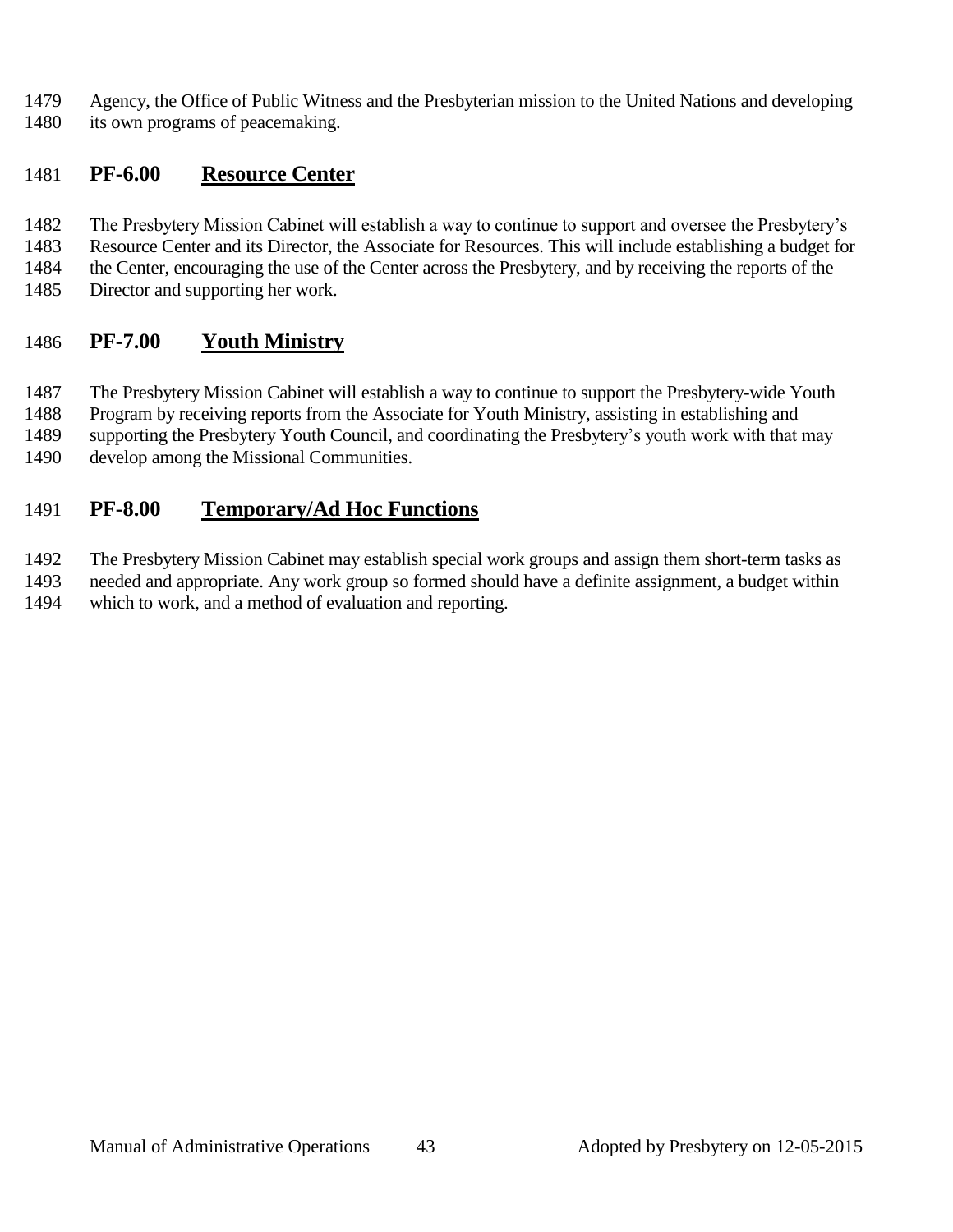- Agency, the Office of Public Witness and the Presbyterian mission to the United Nations and developing
- its own programs of peacemaking.

#### **PF-6.00 Resource Center**

- The Presbytery Mission Cabinet will establish a way to continue to support and oversee the Presbytery's
- Resource Center and its Director, the Associate for Resources. This will include establishing a budget for
- the Center, encouraging the use of the Center across the Presbytery, and by receiving the reports of the
- Director and supporting her work.

## **PF-7.00 Youth Ministry**

The Presbytery Mission Cabinet will establish a way to continue to support the Presbytery-wide Youth

- Program by receiving reports from the Associate for Youth Ministry, assisting in establishing and
- supporting the Presbytery Youth Council, and coordinating the Presbytery's youth work with that may
- develop among the Missional Communities.

## **PF-8.00 Temporary/Ad Hoc Functions**

The Presbytery Mission Cabinet may establish special work groups and assign them short-term tasks as

 needed and appropriate. Any work group so formed should have a definite assignment, a budget within which to work, and a method of evaluation and reporting.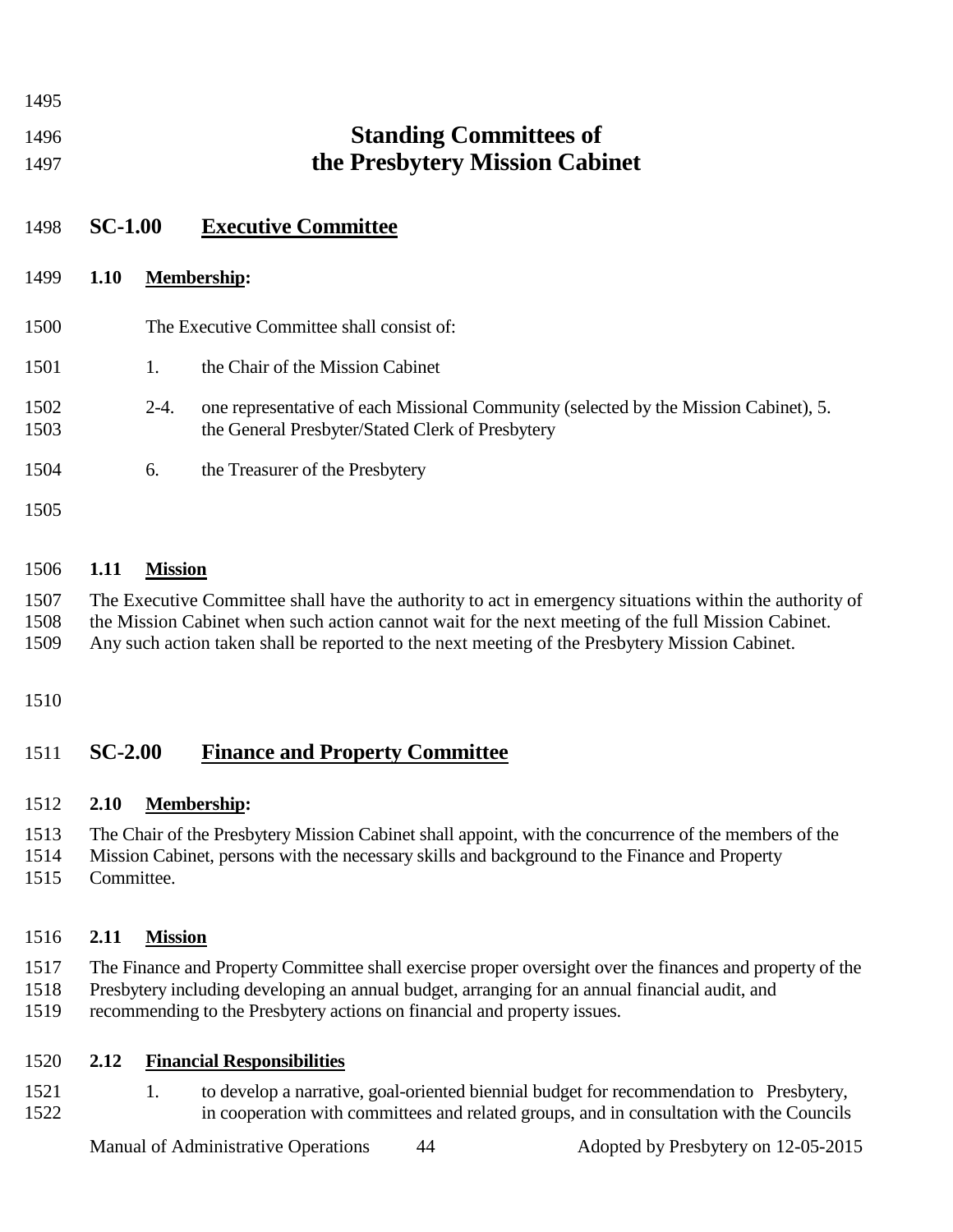| 1495         |                |                |                                                                                                                                          |
|--------------|----------------|----------------|------------------------------------------------------------------------------------------------------------------------------------------|
| 1496<br>1497 |                |                | <b>Standing Committees of</b><br>the Presbytery Mission Cabinet                                                                          |
| 1498         | <b>SC-1.00</b> |                | <b>Executive Committee</b>                                                                                                               |
| 1499         | <b>1.10</b>    |                | <b>Membership:</b>                                                                                                                       |
| 1500         |                |                | The Executive Committee shall consist of:                                                                                                |
| 1501         |                | $\mathbf{1}$ . | the Chair of the Mission Cabinet                                                                                                         |
| 1502<br>1503 |                | $2-4.$         | one representative of each Missional Community (selected by the Mission Cabinet), 5.<br>the General Presbyter/Stated Clerk of Presbytery |
| 1504         |                | 6.             | the Treasurer of the Presbytery                                                                                                          |
| 1505         |                |                |                                                                                                                                          |
|              |                |                |                                                                                                                                          |

#### **1.11 Mission**

 The Executive Committee shall have the authority to act in emergency situations within the authority of the Mission Cabinet when such action cannot wait for the next meeting of the full Mission Cabinet. Any such action taken shall be reported to the next meeting of the Presbytery Mission Cabinet.

#### 

#### **SC-2.00 Finance and Property Committee**

#### **2.10 Membership:**

The Chair of the Presbytery Mission Cabinet shall appoint, with the concurrence of the members of the

- Mission Cabinet, persons with the necessary skills and background to the Finance and Property
- Committee.

#### **2.11 Mission**

- The Finance and Property Committee shall exercise proper oversight over the finances and property of the
- Presbytery including developing an annual budget, arranging for an annual financial audit, and
- recommending to the Presbytery actions on financial and property issues.

#### **2.12 Financial Responsibilities**

1521 1. to develop a narrative, goal-oriented biennial budget for recommendation to Presbytery, in cooperation with committees and related groups, and in consultation with the Councils

Manual of Administrative Operations 44 Adopted by Presbytery on 12-05-2015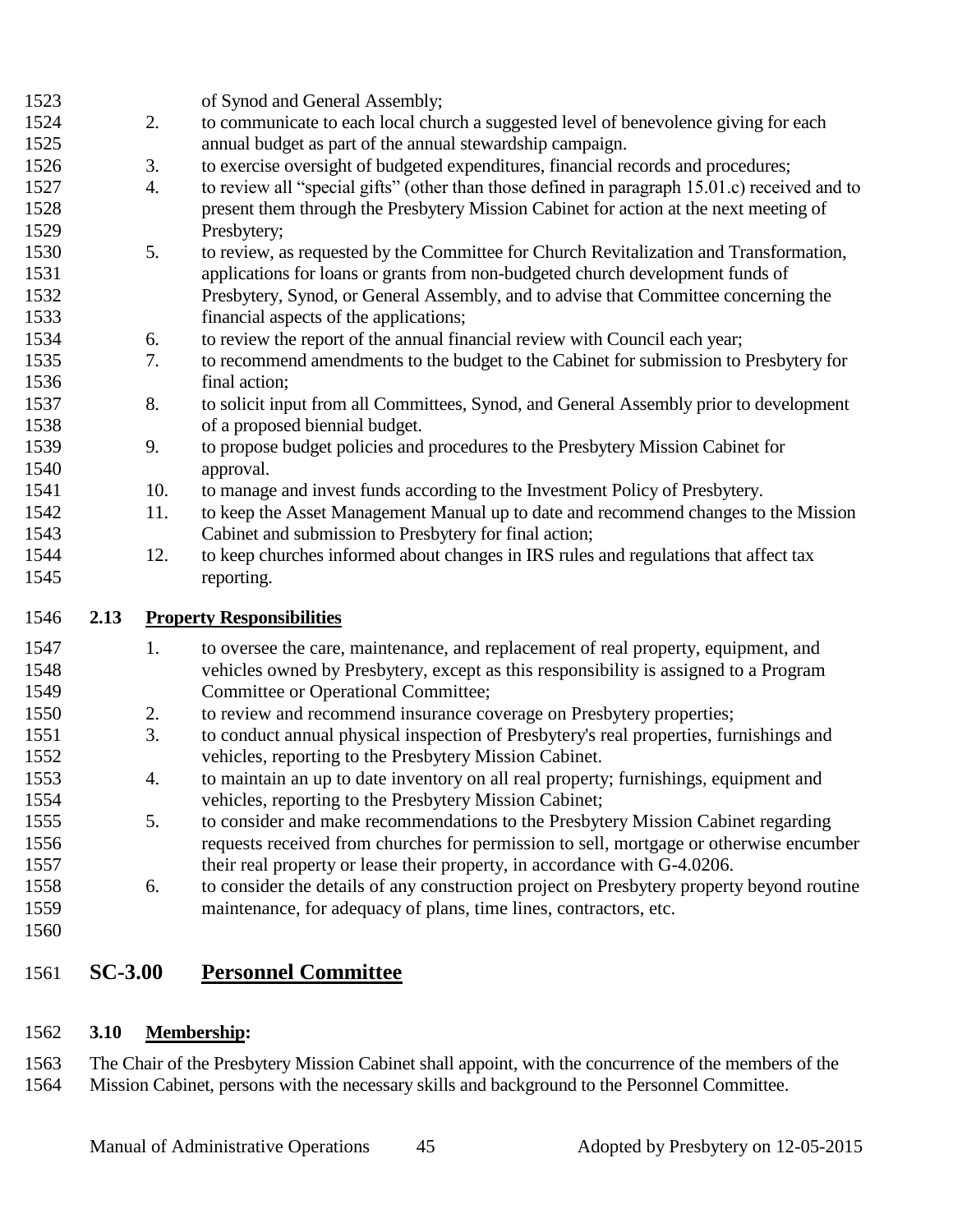| 1523 |      |     | of Synod and General Assembly;                                                                |
|------|------|-----|-----------------------------------------------------------------------------------------------|
| 1524 |      | 2.  | to communicate to each local church a suggested level of benevolence giving for each          |
| 1525 |      |     | annual budget as part of the annual stewardship campaign.                                     |
| 1526 |      | 3.  | to exercise oversight of budgeted expenditures, financial records and procedures;             |
| 1527 |      | 4.  | to review all "special gifts" (other than those defined in paragraph 15.01.c) received and to |
| 1528 |      |     | present them through the Presbytery Mission Cabinet for action at the next meeting of         |
| 1529 |      |     | Presbytery;                                                                                   |
| 1530 |      | 5.  | to review, as requested by the Committee for Church Revitalization and Transformation,        |
| 1531 |      |     | applications for loans or grants from non-budgeted church development funds of                |
| 1532 |      |     | Presbytery, Synod, or General Assembly, and to advise that Committee concerning the           |
| 1533 |      |     | financial aspects of the applications;                                                        |
| 1534 |      | 6.  | to review the report of the annual financial review with Council each year;                   |
| 1535 |      | 7.  | to recommend amendments to the budget to the Cabinet for submission to Presbytery for         |
| 1536 |      |     | final action;                                                                                 |
| 1537 |      | 8.  | to solicit input from all Committees, Synod, and General Assembly prior to development        |
| 1538 |      |     | of a proposed biennial budget.                                                                |
| 1539 |      | 9.  | to propose budget policies and procedures to the Presbytery Mission Cabinet for               |
| 1540 |      |     | approval.                                                                                     |
| 1541 |      | 10. | to manage and invest funds according to the Investment Policy of Presbytery.                  |
| 1542 |      | 11. | to keep the Asset Management Manual up to date and recommend changes to the Mission           |
| 1543 |      |     | Cabinet and submission to Presbytery for final action;                                        |
|      |      |     |                                                                                               |
| 1544 |      | 12. | to keep churches informed about changes in IRS rules and regulations that affect tax          |
| 1545 |      |     | reporting.                                                                                    |
|      |      |     |                                                                                               |
| 1546 | 2.13 |     | <b>Property Responsibilities</b>                                                              |
| 1547 |      | 1.  | to oversee the care, maintenance, and replacement of real property, equipment, and            |
| 1548 |      |     | vehicles owned by Presbytery, except as this responsibility is assigned to a Program          |
| 1549 |      |     | Committee or Operational Committee;                                                           |
| 1550 |      | 2.  | to review and recommend insurance coverage on Presbytery properties;                          |
| 1551 |      | 3.  | to conduct annual physical inspection of Presbytery's real properties, furnishings and        |
| 1552 |      |     | vehicles, reporting to the Presbytery Mission Cabinet.                                        |
| 1553 |      | 4.  | to maintain an up to date inventory on all real property; furnishings, equipment and          |
| 1554 |      |     | vehicles, reporting to the Presbytery Mission Cabinet;                                        |
| 1555 |      | 5.  | to consider and make recommendations to the Presbytery Mission Cabinet regarding              |
| 1556 |      |     | requests received from churches for permission to sell, mortgage or otherwise encumber        |
| 1557 |      |     | their real property or lease their property, in accordance with G-4.0206.                     |
| 1558 |      | 6.  | to consider the details of any construction project on Presbytery property beyond routine     |
| 1559 |      |     | maintenance, for adequacy of plans, time lines, contractors, etc.                             |
| 1560 |      |     |                                                                                               |

## **SC-3.00 Personnel Committee**

#### **3.10 Membership:**

 The Chair of the Presbytery Mission Cabinet shall appoint, with the concurrence of the members of the Mission Cabinet, persons with the necessary skills and background to the Personnel Committee.